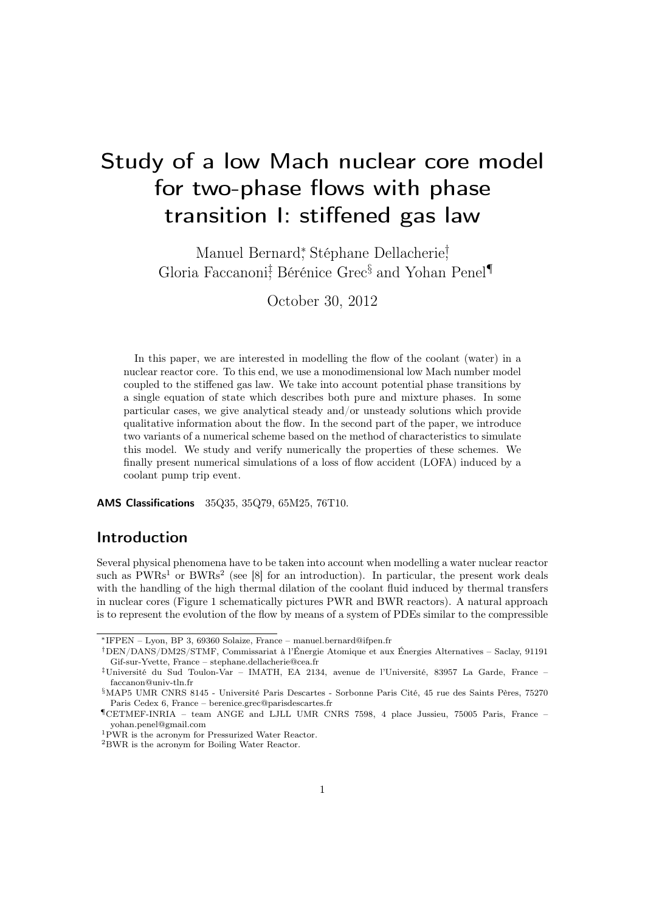# <span id="page-0-2"></span>Study of a low Mach nuclear core model for two-phase flows with phase transition I: stiffened gas law

Manuel Bernard<sup>\*</sup>, Stéphane Dellacherie<sup>†</sup> Gloria Faccanoni<sup>†</sup>, Bérénice Grec<sup>§</sup> and Yohan Penel<sup>¶</sup>

October 30, 2012

In this paper, we are interested in modelling the flow of the coolant (water) in a nuclear reactor core. To this end, we use a monodimensional low Mach number model coupled to the stiffened gas law. We take into account potential phase transitions by a single equation of state which describes both pure and mixture phases. In some particular cases, we give analytical steady and/or unsteady solutions which provide qualitative information about the flow. In the second part of the paper, we introduce two variants of a numerical scheme based on the method of characteristics to simulate this model. We study and verify numerically the properties of these schemes. We finally present numerical simulations of a loss of flow accident (LOFA) induced by a coolant pump trip event.

AMS Classifications 35Q35, 35Q79, 65M25, 76T10.

# Introduction

Several physical phenomena have to be taken into account when modelling a water nuclear reactor such as  $PWRs<sup>1</sup>$  $PWRs<sup>1</sup>$  $PWRs<sup>1</sup>$  or  $BWRs<sup>2</sup>$  $BWRs<sup>2</sup>$  $BWRs<sup>2</sup>$  (see [\[8\]](#page-40-0) for an introduction). In particular, the present work deals with the handling of the high thermal dilation of the coolant fluid induced by thermal transfers in nuclear cores (Figure 1 schematically pictures PWR and BWR reactors). A natural approach is to represent the evolution of the flow by means of a system of PDEs similar to the compressible

<sup>∗</sup>IFPEN – Lyon, BP 3, 69360 Solaize, France – manuel.bernard@ifpen.fr

<sup>†</sup>DEN/DANS/DM2S/STMF, Commissariat à l'Énergie Atomique et aux Énergies Alternatives – Saclay, 91191 Gif-sur-Yvette, France – stephane.dellacherie@cea.fr

<sup>‡</sup>Université du Sud Toulon-Var – IMATH, EA 2134, avenue de l'Université, 83957 La Garde, France – faccanon@univ-tln.fr

<sup>§</sup>MAP5 UMR CNRS 8145 - Université Paris Descartes - Sorbonne Paris Cité, 45 rue des Saints Pères, 75270 Paris Cedex 6, France – berenice.grec@parisdescartes.fr

<sup>¶</sup>CETMEF-INRIA – team ANGE and LJLL UMR CNRS 7598, 4 place Jussieu, 75005 Paris, France – yohan.penel@gmail.com

<span id="page-0-0"></span><sup>1</sup>PWR is the acronym for Pressurized Water Reactor.

<span id="page-0-1"></span><sup>2</sup>BWR is the acronym for Boiling Water Reactor.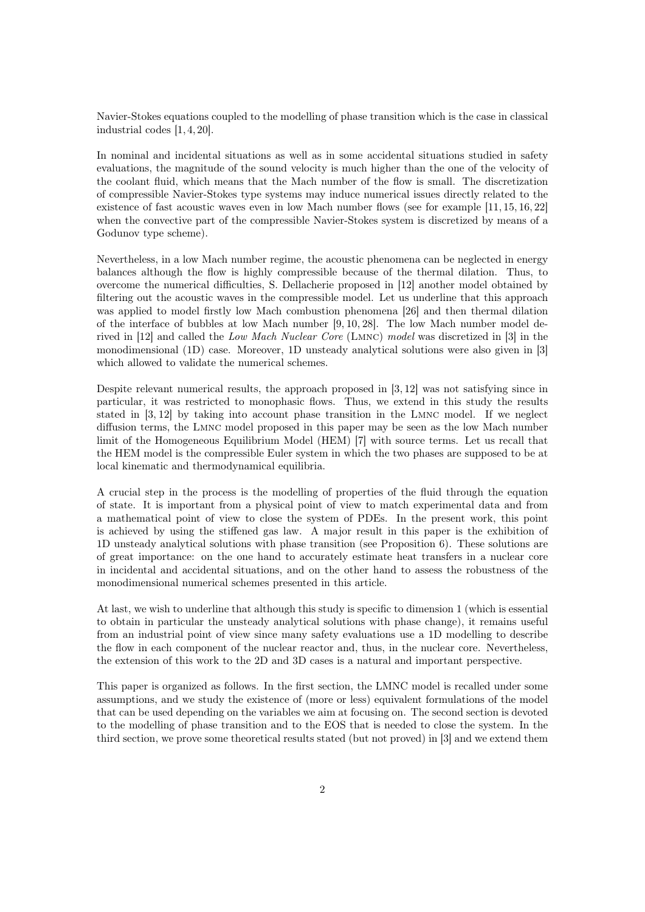Navier-Stokes equations coupled to the modelling of phase transition which is the case in classical industrial codes [\[1,](#page-39-0) [4,](#page-40-1) [20\]](#page-41-0).

In nominal and incidental situations as well as in some accidental situations studied in safety evaluations, the magnitude of the sound velocity is much higher than the one of the velocity of the coolant fluid, which means that the Mach number of the flow is small. The discretization of compressible Navier-Stokes type systems may induce numerical issues directly related to the existence of fast acoustic waves even in low Mach number flows (see for example [\[11,](#page-40-2) [15,](#page-40-3) [16,](#page-40-4) [22\]](#page-41-1) when the convective part of the compressible Navier-Stokes system is discretized by means of a Godunov type scheme).

Nevertheless, in a low Mach number regime, the acoustic phenomena can be neglected in energy balances although the flow is highly compressible because of the thermal dilation. Thus, to overcome the numerical difficulties, S. Dellacherie proposed in [\[12\]](#page-40-5) another model obtained by filtering out the acoustic waves in the compressible model. Let us underline that this approach was applied to model firstly low Mach combustion phenomena [\[26\]](#page-41-2) and then thermal dilation of the interface of bubbles at low Mach number [\[9,](#page-40-6) [10,](#page-40-7) [28\]](#page-41-3). The low Mach number model derived in [\[12\]](#page-40-5) and called the Low Mach Nuclear Core (Lmnc) model was discretized in [\[3\]](#page-40-8) in the monodimensional (1D) case. Moreover, 1D unsteady analytical solutions were also given in [\[3\]](#page-40-8) which allowed to validate the numerical schemes.

Despite relevant numerical results, the approach proposed in [\[3,](#page-40-8) [12\]](#page-40-5) was not satisfying since in particular, it was restricted to monophasic flows. Thus, we extend in this study the results stated in [\[3,](#page-40-8) [12\]](#page-40-5) by taking into account phase transition in the Lmnc model. If we neglect diffusion terms, the Lmnc model proposed in this paper may be seen as the low Mach number limit of the Homogeneous Equilibrium Model (HEM) [\[7\]](#page-40-9) with source terms. Let us recall that the HEM model is the compressible Euler system in which the two phases are supposed to be at local kinematic and thermodynamical equilibria.

A crucial step in the process is the modelling of properties of the fluid through the equation of state. It is important from a physical point of view to match experimental data and from a mathematical point of view to close the system of PDEs. In the present work, this point is achieved by using the stiffened gas law. A major result in this paper is the exhibition of 1D unsteady analytical solutions with phase transition (see Proposition [6\)](#page-20-0). These solutions are of great importance: on the one hand to accurately estimate heat transfers in a nuclear core in incidental and accidental situations, and on the other hand to assess the robustness of the monodimensional numerical schemes presented in this article.

At last, we wish to underline that although this study is specific to dimension 1 (which is essential to obtain in particular the unsteady analytical solutions with phase change), it remains useful from an industrial point of view since many safety evaluations use a 1D modelling to describe the flow in each component of the nuclear reactor and, thus, in the nuclear core. Nevertheless, the extension of this work to the 2D and 3D cases is a natural and important perspective.

This paper is organized as follows. In the first section, the LMNC model is recalled under some assumptions, and we study the existence of (more or less) equivalent formulations of the model that can be used depending on the variables we aim at focusing on. The second section is devoted to the modelling of phase transition and to the EOS that is needed to close the system. In the third section, we prove some theoretical results stated (but not proved) in [\[3\]](#page-40-8) and we extend them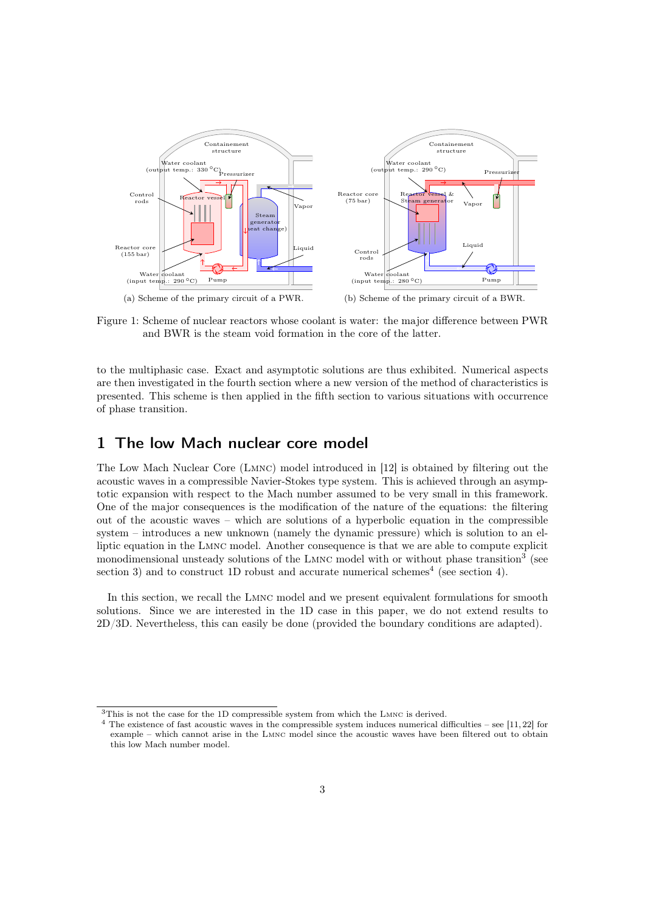

Figure 1: Scheme of nuclear reactors whose coolant is water: the major difference between PWR and BWR is the steam void formation in the core of the latter.

to the multiphasic case. Exact and asymptotic solutions are thus exhibited. Numerical aspects are then investigated in the fourth section where a new version of the method of characteristics is presented. This scheme is then applied in the fifth section to various situations with occurrence of phase transition.

# 1 The low Mach nuclear core model

The Low Mach Nuclear Core (Lmnc) model introduced in [\[12\]](#page-40-5) is obtained by filtering out the acoustic waves in a compressible Navier-Stokes type system. This is achieved through an asymptotic expansion with respect to the Mach number assumed to be very small in this framework. One of the major consequences is the modification of the nature of the equations: the filtering out of the acoustic waves – which are solutions of a hyperbolic equation in the compressible system – introduces a new unknown (namely the dynamic pressure) which is solution to an elliptic equation in the Lmnc model. Another consequence is that we are able to compute explicit monodimensional unsteady solutions of the LMNC model with or without phase transition<sup>[3](#page-2-0)</sup> (see section [3\)](#page-13-0) and to construct 1D robust and accurate numerical schemes<sup>[4](#page-2-1)</sup> (see section [4\)](#page-24-0).

In this section, we recall the Lmnc model and we present equivalent formulations for smooth solutions. Since we are interested in the 1D case in this paper, we do not extend results to 2D/3D. Nevertheless, this can easily be done (provided the boundary conditions are adapted).

<span id="page-2-0"></span><sup>3</sup>This is not the case for the 1D compressible system from which the Lmnc is derived.

<span id="page-2-1"></span> $4$  The existence of fast acoustic waves in the compressible system induces numerical difficulties – see [\[11,](#page-40-2) [22\]](#page-41-1) for example – which cannot arise in the Lmnc model since the acoustic waves have been filtered out to obtain this low Mach number model.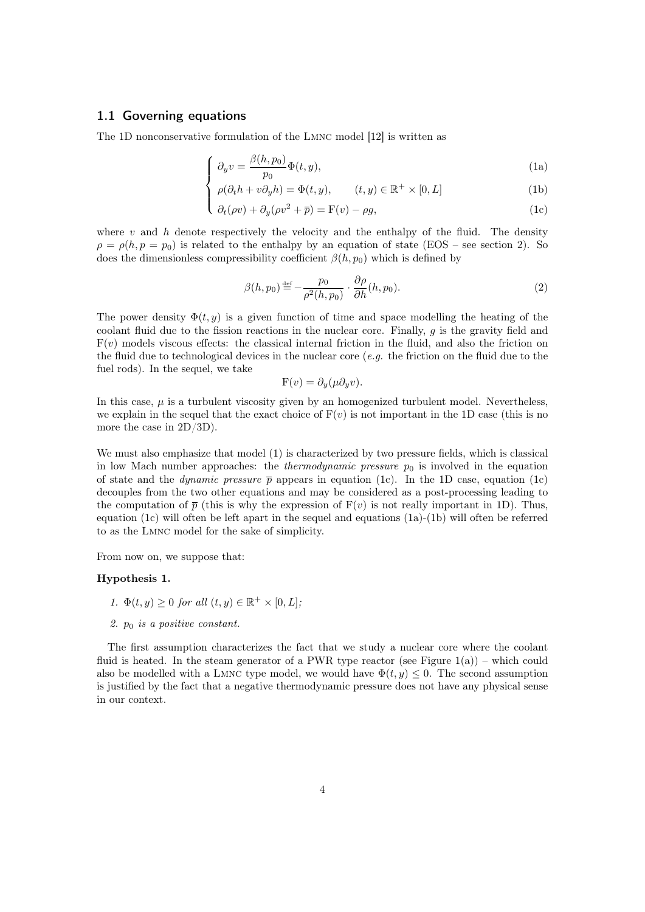### <span id="page-3-0"></span>1.1 Governing equations

<span id="page-3-1"></span>The 1D nonconservative formulation of the Lmnc model [\[12\]](#page-40-5) is written as

$$
\int_{\mathcal{D}} \partial_y v = \frac{\beta(h, p_0)}{p_0} \Phi(t, y),\tag{1a}
$$

$$
\rho(\partial_t h + v \partial_y h) = \Phi(t, y), \qquad (t, y) \in \mathbb{R}^+ \times [0, L] \tag{1b}
$$

$$
\begin{cases}\n\frac{\partial}{\partial t}(\rho v) + \partial_y(\rho v^2 + \overline{p}) = \mathcal{F}(v) - \rho g,\n\end{cases}
$$
\n(1c)

where  $v$  and  $h$  denote respectively the velocity and the enthalpy of the fluid. The density  $\rho = \rho(h, p = p_0)$  is related to the enthalpy by an equation of state (EOS – see section [2\)](#page-7-0). So does the dimensionless compressibility coefficient  $\beta(h, p_0)$  which is defined by

<span id="page-3-3"></span>
$$
\beta(h, p_0) \stackrel{\text{def}}{=} -\frac{p_0}{\rho^2(h, p_0)} \cdot \frac{\partial \rho}{\partial h}(h, p_0). \tag{2}
$$

The power density  $\Phi(t, y)$  is a given function of time and space modelling the heating of the coolant fluid due to the fission reactions in the nuclear core. Finally, g is the gravity field and  $F(v)$  models viscous effects: the classical internal friction in the fluid, and also the friction on the fluid due to technological devices in the nuclear core  $(e.g.$  the friction on the fluid due to the fuel rods). In the sequel, we take

$$
F(v) = \partial_y(\mu \partial_y v).
$$

In this case,  $\mu$  is a turbulent viscosity given by an homogenized turbulent model. Nevertheless, we explain in the sequel that the exact choice of  $F(v)$  is not important in the 1D case (this is no more the case in 2D/3D).

We must also emphasize that model [\(1\)](#page-3-0) is characterized by two pressure fields, which is classical in low Mach number approaches: the *thermodynamic pressure*  $p_0$  is involved in the equation of state and the *dynamic pressure*  $\bar{p}$  appears in equation [\(1c\)](#page-3-1). In the 1D case, equation (1c) decouples from the two other equations and may be considered as a post-processing leading to the computation of  $\bar{p}$  (this is why the expression of  $F(v)$ ) is not really important in 1D). Thus, equation [\(1c\)](#page-3-1) will often be left apart in the sequel and equations [\(1a\)](#page-3-1)-[\(1b\)](#page-3-1) will often be referred to as the Lmnc model for the sake of simplicity.

From now on, we suppose that:

#### <span id="page-3-2"></span>Hypothesis 1.

- 1.  $\Phi(t, y) \geq 0$  for all  $(t, y) \in \mathbb{R}^+ \times [0, L]$ ;
- 2.  $p_0$  is a positive constant.

The first assumption characterizes the fact that we study a nuclear core where the coolant fluid is heated. In the steam generator of a PWR type reactor (see Figure  $1(a)$ ) – which could also be modelled with a LMNC type model, we would have  $\Phi(t, y) \leq 0$ . The second assumption is justified by the fact that a negative thermodynamic pressure does not have any physical sense in our context.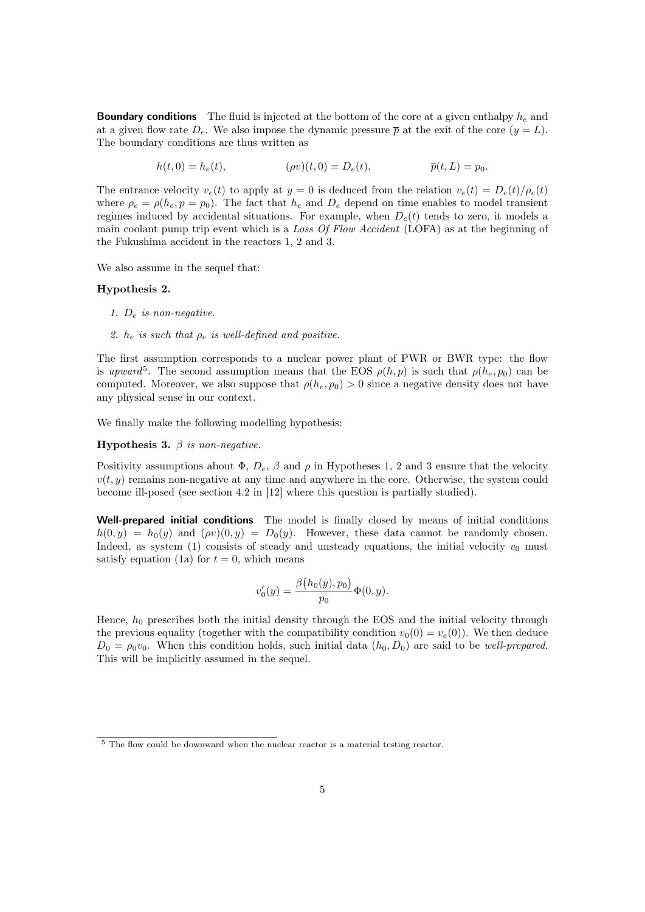**Boundary conditions** The fluid is injected at the bottom of the core at a given enthalpy  $h_e$  and at a given flow rate  $D_e$ . We also impose the dynamic pressure  $\bar{p}$  at the exit of the core  $(y = L)$ . The boundary conditions are thus written as

$$
h(t,0) = h_e(t), \qquad (\rho v)(t,0) = D_e(t), \qquad \overline{p}(t,L) = p_0.
$$

The entrance velocity  $v_e(t)$  to apply at  $y = 0$  is deduced from the relation  $v_e(t) = D_e(t)/\rho_e(t)$ where  $\rho_e = \rho(h_e, p = p_0)$ . The fact that  $h_e$  and  $D_e$  depend on time enables to model transient regimes induced by accidental situations. For example, when  $D_e(t)$  tends to zero, it models a main coolant pump trip event which is a Loss Of Flow Accident (LOFA) as at the beginning of the Fukushima accident in the reactors 1, 2 and 3.

We also assume in the sequel that:

#### <span id="page-4-1"></span>Hypothesis 2.

- 1.  $D_e$  is non-negative.
- 2.  $h_e$  is such that  $\rho_e$  is well-defined and positive.

The first assumption corresponds to a nuclear power plant of PWR or BWR type: the flow is upward<sup>[5](#page-4-0)</sup>. The second assumption means that the EOS  $\rho(h, p)$  is such that  $\rho(h_e, p_0)$  can be computed. Moreover, we also suppose that  $\rho(h_e, p_0) > 0$  since a negative density does not have any physical sense in our context.

We finally make the following modelling hypothesis:

<span id="page-4-2"></span>Hypothesis 3.  $\beta$  is non-negative.

Positivity assumptions about  $\Phi$ ,  $D_e$ ,  $\beta$  and  $\rho$  in Hypotheses [1,](#page-3-2) [2](#page-4-1) and [3](#page-4-2) ensure that the velocity  $v(t, y)$  remains non-negative at any time and anywhere in the core. Otherwise, the system could become ill-posed (see section 4.2 in [\[12\]](#page-40-5) where this question is partially studied).

Well-prepared initial conditions The model is finally closed by means of initial conditions  $h(0, y) = h_0(y)$  and  $(\rho v)(0, y) = D_0(y)$ . However, these data cannot be randomly chosen. Indeed, as system [\(1\)](#page-3-0) consists of steady and unsteady equations, the initial velocity  $v_0$  must satisfy equation [\(1a\)](#page-3-1) for  $t = 0$ , which means

$$
v_0'(y) = \frac{\beta(h_0(y), p_0)}{p_0} \Phi(0, y).
$$

Hence,  $h_0$  prescribes both the initial density through the EOS and the initial velocity through the previous equality (together with the compatibility condition  $v_0(0) = v_e(0)$ ). We then deduce  $D_0 = \rho_0 v_0$ . When this condition holds, such initial data  $(h_0, D_0)$  are said to be well-prepared. This will be implicitly assumed in the sequel.

<span id="page-4-0"></span><sup>&</sup>lt;sup>5</sup> The flow could be downward when the nuclear reactor is a material testing reactor.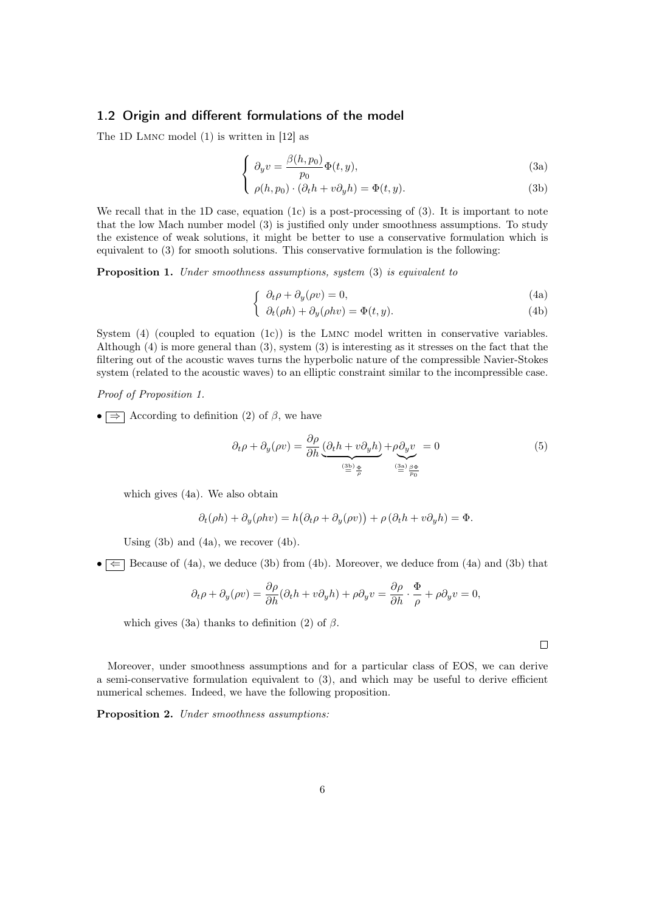### <span id="page-5-0"></span>1.2 Origin and different formulations of the model

<span id="page-5-2"></span>The 1D Lmnc model [\(1\)](#page-3-0) is written in [\[12\]](#page-40-5) as

$$
\begin{cases}\n\partial_y v = \frac{\beta(h, p_0)}{p_0} \Phi(t, y),\n\end{cases} \tag{3a}
$$

$$
\left( \rho(h, p_0) \cdot (\partial_t h + v \partial_y h) = \Phi(t, y). \right) \tag{3b}
$$

We recall that in the 1D case, equation  $(1c)$  is a post-processing of  $(3)$ . It is important to note that the low Mach number model [\(3\)](#page-5-0) is justified only under smoothness assumptions. To study the existence of weak solutions, it might be better to use a conservative formulation which is equivalent to [\(3\)](#page-5-0) for smooth solutions. This conservative formulation is the following:

<span id="page-5-3"></span><span id="page-5-1"></span>Proposition 1. Under smoothness assumptions, system [\(3\)](#page-5-0) is equivalent to

$$
\int \partial_t \rho + \partial_y(\rho v) = 0,\tag{4a}
$$

$$
\partial_t(\rho h) + \partial_y(\rho h v) = \Phi(t, y). \tag{4b}
$$

System  $(4)$  (coupled to equation  $(1c)$ ) is the LMNC model written in conservative variables. Although [\(4\)](#page-5-1) is more general than [\(3\)](#page-5-0), system [\(3\)](#page-5-0) is interesting as it stresses on the fact that the filtering out of the acoustic waves turns the hyperbolic nature of the compressible Navier-Stokes system (related to the acoustic waves) to an elliptic constraint similar to the incompressible case.

#### Proof of Proposition [1.](#page-5-1)

•  $\Rightarrow$  According to definition [\(2\)](#page-3-3) of  $\beta$ , we have

<span id="page-5-5"></span>
$$
\partial_t \rho + \partial_y(\rho v) = \frac{\partial \rho}{\partial h} \underbrace{(\partial_t h + v \partial_y h)}_{\stackrel{\text{(3b)} \text{ } \underline{\phi}}{\underline{\phi}}} + \rho \underbrace{\partial_y v}{\stackrel{\text{(3a)} \text{ } \underline{\beta} \underline{\phi}}{\underline{\phi}}}
$$
\n<sup>(5)</sup>

which gives [\(4a\)](#page-5-3). We also obtain

$$
\partial_t(\rho h) + \partial_y(\rho h v) = h(\partial_t \rho + \partial_y(\rho v)) + \rho(\partial_t h + v \partial_y h) = \Phi.
$$

Using [\(3b\)](#page-5-2) and [\(4a\)](#page-5-3), we recover [\(4b\)](#page-5-3).

 $\bullet \neq \leftarrow$  Because of [\(4a\)](#page-5-3), we deduce [\(3b\)](#page-5-2) from [\(4b\)](#page-5-3). Moreover, we deduce from (4a) and (3b) that

$$
\partial_t \rho + \partial_y(\rho v) = \frac{\partial \rho}{\partial h} (\partial_t h + v \partial_y h) + \rho \partial_y v = \frac{\partial \rho}{\partial h} \cdot \frac{\Phi}{\rho} + \rho \partial_y v = 0,
$$

which gives [\(3a\)](#page-5-2) thanks to definition [\(2\)](#page-3-3) of  $\beta$ .

 $\Box$ 

Moreover, under smoothness assumptions and for a particular class of EOS, we can derive a semi-conservative formulation equivalent to [\(3\)](#page-5-0), and which may be useful to derive efficient numerical schemes. Indeed, we have the following proposition.

<span id="page-5-4"></span>Proposition 2. Under smoothness assumptions: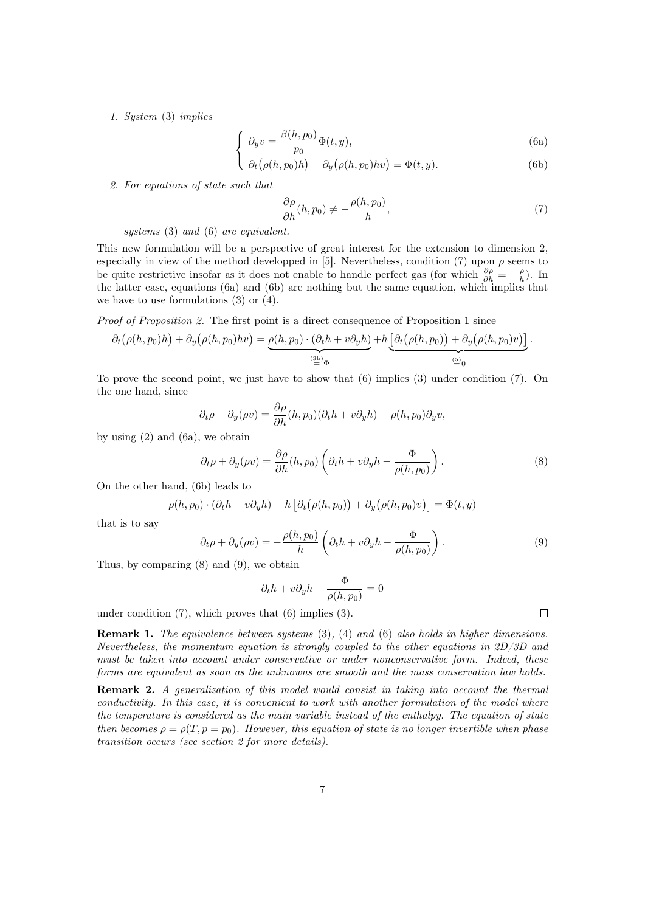<span id="page-6-2"></span><span id="page-6-0"></span>1. System [\(3\)](#page-5-0) implies

$$
\begin{cases}\n\partial_y v = \frac{\beta(h, p_0)}{p_0} \Phi(t, y),\n\end{cases} \tag{6a}
$$

$$
\partial_t (\rho(h, p_0)h) + \partial_y (\rho(h, p_0)hv) = \Phi(t, y). \tag{6b}
$$

2. For equations of state such that

<span id="page-6-1"></span>
$$
\frac{\partial \rho}{\partial h}(h, p_0) \neq -\frac{\rho(h, p_0)}{h},\tag{7}
$$

systems [\(3\)](#page-5-0) and [\(6\)](#page-6-0) are equivalent.

I

This new formulation will be a perspective of great interest for the extension to dimension 2, especially in view of the method developped in [\[5\]](#page-40-10). Nevertheless, condition [\(7\)](#page-6-1) upon  $\rho$  seems to be quite restrictive insofar as it does not enable to handle perfect gas (for which  $\frac{\partial \rho}{\partial h} = -\frac{\rho}{h}$ ). In the latter case, equations [\(6a\)](#page-6-2) and [\(6b\)](#page-6-2) are nothing but the same equation, which implies that we have to use formulations  $(3)$  or  $(4)$ .

Proof of Proposition [2.](#page-5-4) The first point is a direct consequence of Proposition [1](#page-5-1) since

$$
\partial_t \big(\rho(h, p_0)h\big) + \partial_y \big(\rho(h, p_0)hv\big) = \underbrace{\rho(h, p_0) \cdot (\partial_t h + v \partial_y h)}_{\stackrel{\text{(3b)}}{=} \Phi} + h \underbrace{\big[\partial_t \big(\rho(h, p_0)\big) + \partial_y \big(\rho(h, p_0)v\big)\big]}_{\stackrel{\text{(5)}}{=} 0}.
$$

To prove the second point, we just have to show that [\(6\)](#page-6-0) implies [\(3\)](#page-5-0) under condition [\(7\)](#page-6-1). On the one hand, since

$$
\partial_t \rho + \partial_y(\rho v) = \frac{\partial \rho}{\partial h}(h, p_0)(\partial_t h + v \partial_y h) + \rho(h, p_0)\partial_y v,
$$

by using  $(2)$  and  $(6a)$ , we obtain

<span id="page-6-3"></span>
$$
\partial_t \rho + \partial_y(\rho v) = \frac{\partial \rho}{\partial h}(h, p_0) \left(\partial_t h + v \partial_y h - \frac{\Phi}{\rho(h, p_0)}\right). \tag{8}
$$

On the other hand, [\(6b\)](#page-6-2) leads to

$$
\rho(h, p_0) \cdot (\partial_t h + v \partial_y h) + h \left[ \partial_t (\rho(h, p_0)) + \partial_y (\rho(h, p_0) v) \right] = \Phi(t, y)
$$

that is to say

<span id="page-6-4"></span>
$$
\partial_t \rho + \partial_y(\rho v) = -\frac{\rho(h, p_0)}{h} \left( \partial_t h + v \partial_y h - \frac{\Phi}{\rho(h, p_0)} \right). \tag{9}
$$

Thus, by comparing [\(8\)](#page-6-3) and [\(9\)](#page-6-4), we obtain

$$
\partial_t h + v \partial_y h - \frac{\Phi}{\rho(h, p_0)} = 0
$$

under condition  $(7)$ , which proves that  $(6)$  implies  $(3)$ .

Remark 1. The equivalence between systems [\(3\)](#page-5-0), [\(4\)](#page-5-1) and [\(6\)](#page-6-0) also holds in higher dimensions. Nevertheless, the momentum equation is strongly coupled to the other equations in 2D/3D and must be taken into account under conservative or under nonconservative form. Indeed, these forms are equivalent as soon as the unknowns are smooth and the mass conservation law holds.

<span id="page-6-5"></span>Remark 2. A generalization of this model would consist in taking into account the thermal conductivity. In this case, it is convenient to work with another formulation of the model where the temperature is considered as the main variable instead of the enthalpy. The equation of state then becomes  $\rho = \rho(T, p = p_0)$ . However, this equation of state is no longer invertible when phase transition occurs (see section [2](#page-7-0) for more details).

 $\Box$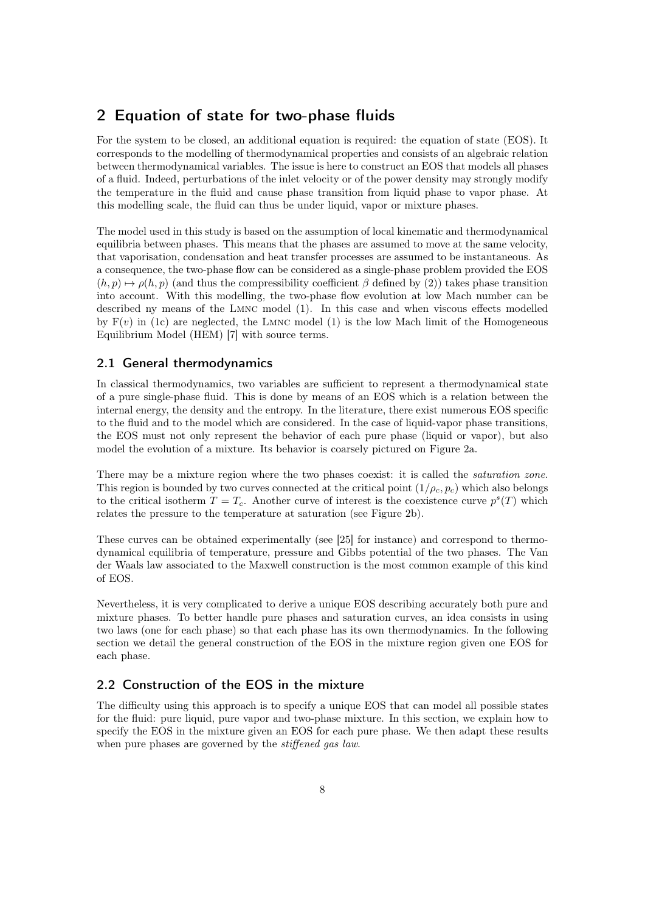# <span id="page-7-0"></span>2 Equation of state for two-phase fluids

For the system to be closed, an additional equation is required: the equation of state (EOS). It corresponds to the modelling of thermodynamical properties and consists of an algebraic relation between thermodynamical variables. The issue is here to construct an EOS that models all phases of a fluid. Indeed, perturbations of the inlet velocity or of the power density may strongly modify the temperature in the fluid and cause phase transition from liquid phase to vapor phase. At this modelling scale, the fluid can thus be under liquid, vapor or mixture phases.

The model used in this study is based on the assumption of local kinematic and thermodynamical equilibria between phases. This means that the phases are assumed to move at the same velocity, that vaporisation, condensation and heat transfer processes are assumed to be instantaneous. As a consequence, the two-phase flow can be considered as a single-phase problem provided the EOS  $(h, p) \mapsto \rho(h, p)$  (and thus the compressibility coefficient  $\beta$  defined by [\(2\)](#page-3-3)) takes phase transition into account. With this modelling, the two-phase flow evolution at low Mach number can be described ny means of the Lmnc model [\(1\)](#page-3-0). In this case and when viscous effects modelled by  $F(v)$  in [\(1c\)](#page-3-1) are neglected, the LMNC model [\(1\)](#page-3-0) is the low Mach limit of the Homogeneous Equilibrium Model (HEM) [\[7\]](#page-40-9) with source terms.

### 2.1 General thermodynamics

In classical thermodynamics, two variables are sufficient to represent a thermodynamical state of a pure single-phase fluid. This is done by means of an EOS which is a relation between the internal energy, the density and the entropy. In the literature, there exist numerous EOS specific to the fluid and to the model which are considered. In the case of liquid-vapor phase transitions, the EOS must not only represent the behavior of each pure phase (liquid or vapor), but also model the evolution of a mixture. Its behavior is coarsely pictured on Figure [2a.](#page-8-0)

There may be a mixture region where the two phases coexist: it is called the *saturation zone*. This region is bounded by two curves connected at the critical point  $(1/\rho_c, p_c)$  which also belongs to the critical isotherm  $T = T_c$ . Another curve of interest is the coexistence curve  $p^{s}(T)$  which relates the pressure to the temperature at saturation (see Figure [2b\)](#page-8-1).

These curves can be obtained experimentally (see [\[25\]](#page-41-4) for instance) and correspond to thermodynamical equilibria of temperature, pressure and Gibbs potential of the two phases. The Van der Waals law associated to the Maxwell construction is the most common example of this kind of EOS.

Nevertheless, it is very complicated to derive a unique EOS describing accurately both pure and mixture phases. To better handle pure phases and saturation curves, an idea consists in using two laws (one for each phase) so that each phase has its own thermodynamics. In the following section we detail the general construction of the EOS in the mixture region given one EOS for each phase.

# <span id="page-7-1"></span>2.2 Construction of the EOS in the mixture

The difficulty using this approach is to specify a unique EOS that can model all possible states for the fluid: pure liquid, pure vapor and two-phase mixture. In this section, we explain how to specify the EOS in the mixture given an EOS for each pure phase. We then adapt these results when pure phases are governed by the *stiffened gas law*.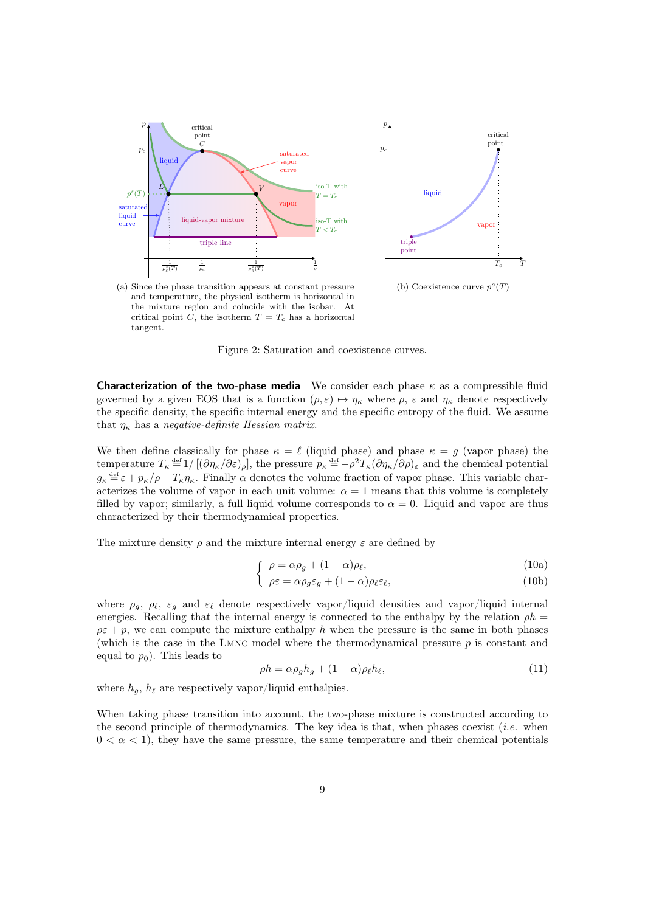

<span id="page-8-1"></span> $\tau$ critical point vapo  $T_c$ (b) Coexistence curve  $p^{s}(T)$ 

<span id="page-8-0"></span>(a) Since the phase transition appears at constant pressure and temperature, the physical isotherm is horizontal in the mixture region and coincide with the isobar. At critical point C, the isotherm  $T = T_c$  has a horizontal tangent.

Figure 2: Saturation and coexistence curves.

**Characterization of the two-phase media** We consider each phase  $\kappa$  as a compressible fluid governed by a given EOS that is a function  $(\rho, \varepsilon) \mapsto \eta_{\kappa}$  where  $\rho$ ,  $\varepsilon$  and  $\eta_{\kappa}$  denote respectively the specific density, the specific internal energy and the specific entropy of the fluid. We assume that  $\eta_{\kappa}$  has a negative-definite Hessian matrix.

We then define classically for phase  $\kappa = \ell$  (liquid phase) and phase  $\kappa = g$  (vapor phase) the temperature  $T_{\kappa} \stackrel{\text{def}}{=} 1/[(\partial \eta_{\kappa}/\partial \varepsilon)_{\rho}],$  the pressure  $p_{\kappa} \stackrel{\text{def}}{=} -\rho^2 T_{\kappa} (\partial \eta_{\kappa}/\partial \rho)_{\varepsilon}$  and the chemical potential  $g_{\kappa} \stackrel{\text{def}}{=} \varepsilon + p_{\kappa}/\rho - T_{\kappa}\eta_{\kappa}$ . Finally  $\alpha$  denotes the volume fraction of vapor phase. This variable characterizes the volume of vapor in each unit volume:  $\alpha = 1$  means that this volume is completely filled by vapor; similarly, a full liquid volume corresponds to  $\alpha = 0$ . Liquid and vapor are thus characterized by their thermodynamical properties.

<span id="page-8-2"></span>The mixture density  $\rho$  and the mixture internal energy  $\varepsilon$  are defined by

$$
\int \rho = \alpha \rho_g + (1 - \alpha) \rho_\ell,\tag{10a}
$$

$$
\left( \rho \varepsilon = \alpha \rho_g \varepsilon_g + (1 - \alpha) \rho_\ell \varepsilon_\ell, \right) \tag{10b}
$$

where  $\rho_g$ ,  $\rho_\ell$ ,  $\varepsilon_g$  and  $\varepsilon_\ell$  denote respectively vapor/liquid densities and vapor/liquid internal energies. Recalling that the internal energy is connected to the enthalpy by the relation  $\rho h =$  $\rho \varepsilon + p$ , we can compute the mixture enthalpy h when the pressure is the same in both phases (which is the case in the Lmnc model where the thermodynamical pressure p is constant and equal to  $p_0$ ). This leads to

<span id="page-8-3"></span>
$$
\rho h = \alpha \rho_g h_g + (1 - \alpha) \rho_\ell h_\ell,\tag{11}
$$

where  $h_g$ ,  $h_\ell$  are respectively vapor/liquid enthalpies.

When taking phase transition into account, the two-phase mixture is constructed according to the second principle of thermodynamics. The key idea is that, when phases coexist (*i.e.* when  $0 < \alpha < 1$ , they have the same pressure, the same temperature and their chemical potentials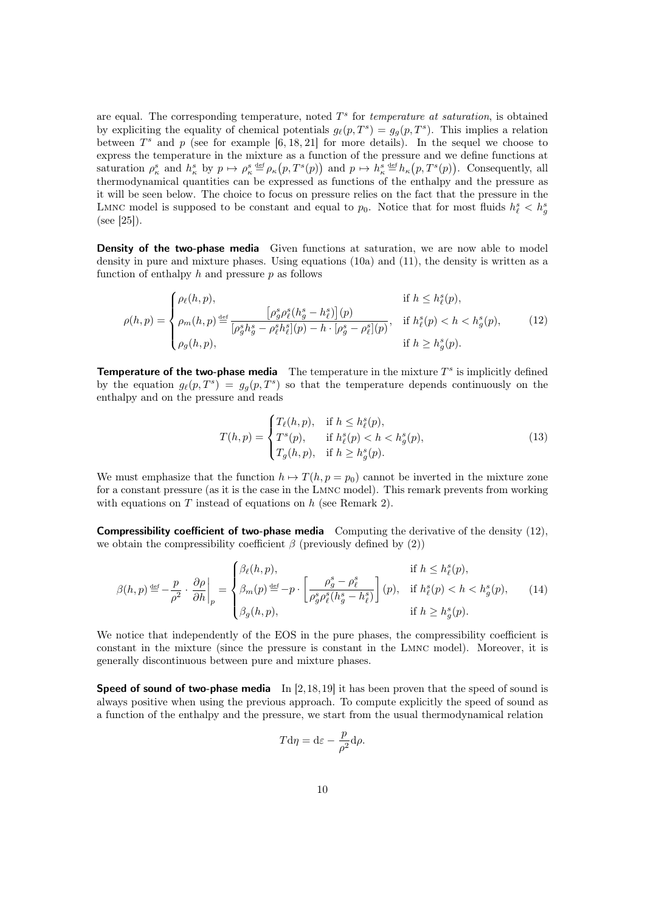are equal. The corresponding temperature, noted  $T<sup>s</sup>$  for temperature at saturation, is obtained by expliciting the equality of chemical potentials  $g_{\ell}(p, T^s) = g_g(p, T^s)$ . This implies a relation between  $T^s$  and p (see for example [\[6,](#page-40-11) [18,](#page-40-12) [21\]](#page-41-5) for more details). In the sequel we choose to express the temperature in the mixture as a function of the pressure and we define functions at saturation  $\rho^s_{\kappa}$  and  $h^s_{\kappa}$  by  $p \mapsto \rho^s_{\kappa} \stackrel{\text{def}}{=} \rho_{\kappa}(p, T^s(p))$  and  $p \mapsto h^s_{\kappa} \stackrel{\text{def}}{=} h_{\kappa}(p, T^s(p))$ . Consequently, all thermodynamical quantities can be expressed as functions of the enthalpy and the pressure as it will be seen below. The choice to focus on pressure relies on the fact that the pressure in the LMNC model is supposed to be constant and equal to  $p_0$ . Notice that for most fluids  $h_{\ell}^s < h_g^s$  $(see |25|).$ 

**Density of the two-phase media** Given functions at saturation, we are now able to model density in pure and mixture phases. Using equations [\(10a\)](#page-8-2) and [\(11\)](#page-8-3), the density is written as a function of enthalpy  $h$  and pressure  $p$  as follows

<span id="page-9-0"></span>
$$
\rho(h,p) = \begin{cases}\n\rho_{\ell}(h,p), & \text{if } h \le h_{\ell}^{s}(p), \\
\rho_{m}(h,p) \stackrel{\text{def}}{=} \frac{\left[\rho_{g}^{s}\rho_{\ell}^{s}(h_{g}^{s} - h_{\ell}^{s})\right](p)}{\left[\rho_{g}^{s}h_{g}^{s} - \rho_{\ell}^{s}h_{\ell}^{s}\right](p) - h \cdot \left[\rho_{g}^{s} - \rho_{\ell}^{s}\right](p)}, & \text{if } h_{\ell}^{s}(p) < h < h_{g}^{s}(p), \\
\rho_{g}(h,p), & \text{if } h \ge h_{g}^{s}(p).\n\end{cases}
$$
\n
$$
(12)
$$

**Temperature of the two-phase media** The temperature in the mixture  $T^s$  is implicitly defined by the equation  $g_{\ell}(p, T^s) = g_g(p, T^s)$  so that the temperature depends continuously on the enthalpy and on the pressure and reads

<span id="page-9-1"></span>
$$
T(h,p) = \begin{cases} T_{\ell}(h,p), & \text{if } h \le h_{\ell}^{s}(p), \\ T^{s}(p), & \text{if } h_{\ell}^{s}(p) < h < h_{g}^{s}(p), \\ T_{g}(h,p), & \text{if } h \ge h_{g}^{s}(p). \end{cases}
$$
(13)

We must emphasize that the function  $h \mapsto T(h, p = p_0)$  cannot be inverted in the mixture zone for a constant pressure (as it is the case in the Lmnc model). This remark prevents from working with equations on  $T$  instead of equations on  $h$  (see Remark [2\)](#page-6-5).

**Compressibility coefficient of two-phase media** Computing the derivative of the density  $(12)$ , we obtain the compressibility coefficient  $\beta$  (previously defined by [\(2\)](#page-3-3))

<span id="page-9-2"></span>
$$
\beta(h,p) \stackrel{\text{def}}{=} -\frac{p}{\rho^2} \cdot \left. \frac{\partial \rho}{\partial h} \right|_p = \begin{cases} \beta_\ell(h,p), & \text{if } h \le h_\ell^s(p), \\ \beta_m(p) \stackrel{\text{def}}{=} -p \cdot \left[ \frac{\rho_g^s - \rho_\ell^s}{\rho_g^s \rho_\ell^s(h_g^s - h_\ell^s)} \right](p), & \text{if } h_\ell^s(p) < h < h_g^s(p), \\ \beta_g(h,p), & \text{if } h \ge h_g^s(p). \end{cases} \tag{14}
$$

We notice that independently of the EOS in the pure phases, the compressibility coefficient is constant in the mixture (since the pressure is constant in the Lmnc model). Moreover, it is generally discontinuous between pure and mixture phases.

**Speed of sound of two-phase media** In  $[2,18,19]$  $[2,18,19]$  $[2,18,19]$  it has been proven that the speed of sound is always positive when using the previous approach. To compute explicitly the speed of sound as a function of the enthalpy and the pressure, we start from the usual thermodynamical relation

$$
T\mathrm{d}\eta=\mathrm{d}\varepsilon-\frac{p}{\rho^2}\mathrm{d}\rho.
$$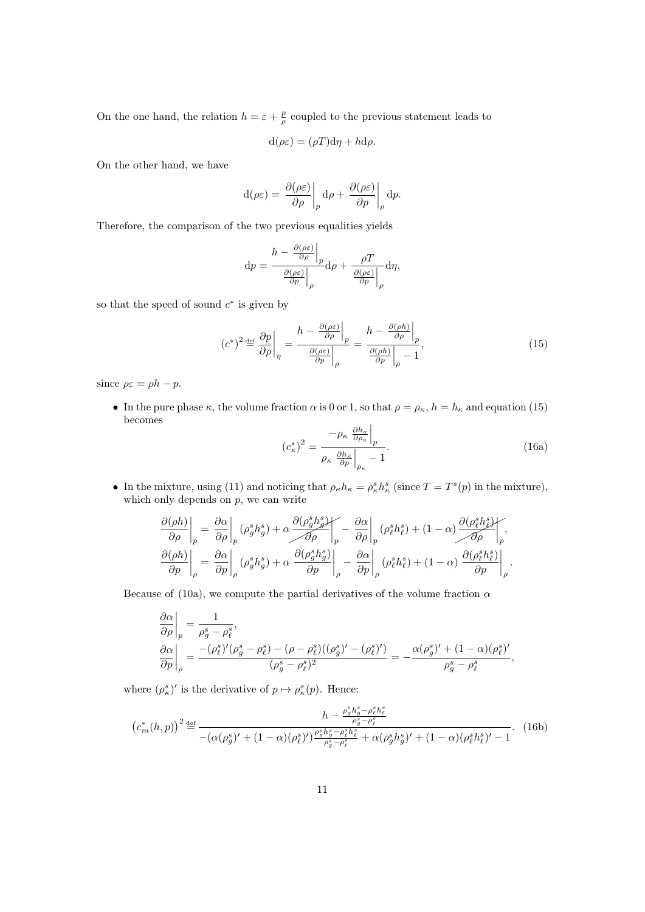On the one hand, the relation  $h = \varepsilon + \frac{p}{\rho}$  coupled to the previous statement leads to

$$
d(\rho \varepsilon) = (\rho T) d\eta + h d\rho.
$$

On the other hand, we have

$$
d(\rho \varepsilon) = \left. \frac{\partial(\rho \varepsilon)}{\partial \rho} \right|_p d\rho + \left. \frac{\partial(\rho \varepsilon)}{\partial p} \right|_\rho dp.
$$

Therefore, the comparison of the two previous equalities yields

$$
\mathrm{d}p = \frac{h - \frac{\partial(\rho \varepsilon)}{\partial \rho}\Big|_p}{\frac{\partial(\rho \varepsilon)}{\partial p}\Big|_p} \mathrm{d}\rho + \frac{\rho T}{\frac{\partial(\rho \varepsilon)}{\partial p}\Big|_p} \mathrm{d}\eta,
$$

so that the speed of sound  $c^*$  is given by

<span id="page-10-0"></span>
$$
\left(c^*\right)^2 \stackrel{\text{def}}{=} \left. \frac{\partial p}{\partial \rho} \right|_{\eta} = \left. \frac{h - \left. \frac{\partial (\rho \varepsilon)}{\partial \rho} \right|_{p}}{\left. \frac{\partial (\rho \varepsilon)}{\partial p} \right|_{\rho}} = \left. \frac{h - \left. \frac{\partial (\rho h)}{\partial \rho} \right|_{p}}{\left. \frac{\partial (\rho h)}{\partial p} \right|_{\rho} - 1},\right. \tag{15}
$$

since  $\rho \varepsilon = \rho h - p$ .

• In the pure phase  $\kappa$ , the volume fraction  $\alpha$  is 0 or 1, so that  $\rho = \rho_{\kappa}$ ,  $h = h_{\kappa}$  and equation [\(15\)](#page-10-0) becomes

<span id="page-10-1"></span>
$$
\left(c_{\kappa}^{*}\right)^{2} = \frac{-\rho_{\kappa} \left. \frac{\partial h_{\kappa}}{\partial \rho_{\kappa}} \right|_{p}}{\rho_{\kappa} \left. \frac{\partial h_{\kappa}}{\partial p} \right|_{\rho_{\kappa}} - 1}.
$$
\n(16a)

• In the mixture, using [\(11\)](#page-8-3) and noticing that  $\rho_{\kappa} h_{\kappa} = \rho_{\kappa}^s h_{\kappa}^s$  (since  $T = T^s(p)$  in the mixture), which only depends on  $p$ , we can write

$$
\label{eq:1} \begin{split} \left.\frac{\partial (\rho h)}{\partial \rho}\right|_p &= \left.\frac{\partial \alpha}{\partial \rho}\right|_p \left(\rho_g^s h_g^s\right) + \alpha \frac{\partial \big(\rho_g^s h_g^s\big)}{\partial \rho}\right|_p - \left.\frac{\partial \alpha}{\partial \rho}\right|_p \left(\rho_\ell^s h_\ell^s\right) + (1-\alpha) \frac{\partial \big(\rho_\ell^s h_\ell^s\big)}{\partial \rho}\right|_p,\\ \left.\frac{\partial (\rho h)}{\partial p}\right|_\rho &= \left.\frac{\partial \alpha}{\partial p}\right|_\rho \left(\rho_g^s h_g^s\right) + \alpha \left.\frac{\partial \big(\rho_g^s h_g^s\big)}{\partial p}\right|_\rho - \left.\frac{\partial \alpha}{\partial p}\right|_\rho \left(\rho_\ell^s h_\ell^s\right) + (1-\alpha) \left.\frac{\partial \big(\rho_\ell^s h_\ell^s\big)}{\partial p}\right|_\rho. \end{split}
$$

Because of [\(10a\)](#page-8-2), we compute the partial derivatives of the volume fraction  $\alpha$ 

$$
\frac{\partial \alpha}{\partial \rho}\bigg|_p = \frac{1}{\rho_g^s - \rho_\ell^s},
$$
  
\n
$$
\frac{\partial \alpha}{\partial p}\bigg|_p = \frac{- (\rho_\ell^s)'(\rho_g^s - \rho_\ell^s) - (\rho - \rho_\ell^s)((\rho_g^s)' - (\rho_\ell^s)')}{(\rho_g^s - \rho_\ell^s)^2} = -\frac{\alpha(\rho_g^s)' + (1 - \alpha)(\rho_\ell^s)'}{\rho_g^s - \rho_\ell^s},
$$

where  $(\rho^s_{\kappa})'$  is the derivative of  $p \mapsto \rho^s_{\kappa}(p)$ . Hence:

<span id="page-10-2"></span>
$$
\left(c_{m}^{*}(h,p)\right)^{2} \stackrel{\text{def}}{=} \frac{h - \frac{\rho_{g}^{s}h_{g}^{s} - \rho_{\ell}^{s}h_{\ell}^{s}}{\rho_{g}^{s} - \rho_{\ell}^{s}}}{-\left(\alpha(\rho_{g}^{s})' + (1-\alpha)(\rho_{\ell}^{s})'\right) \frac{\rho_{g}^{s}h_{g}^{s} - \rho_{\ell}^{s}h_{\ell}^{s}}{\rho_{g}^{s} - \rho_{\ell}^{s}} + \alpha(\rho_{g}^{s}h_{g}')' + (1-\alpha)(\rho_{\ell}^{s}h_{\ell}^{s})' - 1}.
$$
 (16b)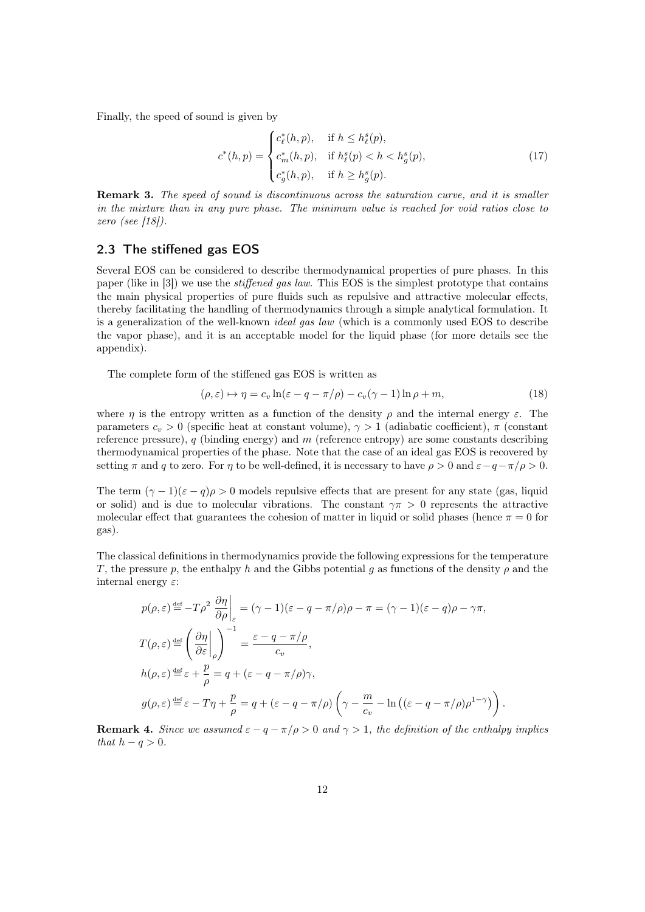Finally, the speed of sound is given by

$$
c^*(h, p) = \begin{cases} c^*_\ell(h, p), & \text{if } h \le h^s_\ell(p), \\ c^*_m(h, p), & \text{if } h^s_\ell(p) < h < h^s_g(p), \\ c^*_g(h, p), & \text{if } h \ge h^s_g(p). \end{cases}
$$
(17)

Remark 3. The speed of sound is discontinuous across the saturation curve, and it is smaller in the mixture than in any pure phase. The minimum value is reached for void ratios close to zero (see [\[18\]](#page-40-12)).

### 2.3 The stiffened gas EOS

Several EOS can be considered to describe thermodynamical properties of pure phases. In this paper (like in [\[3\]](#page-40-8)) we use the stiffened gas law. This EOS is the simplest prototype that contains the main physical properties of pure fluids such as repulsive and attractive molecular effects, thereby facilitating the handling of thermodynamics through a simple analytical formulation. It is a generalization of the well-known *ideal gas law* (which is a commonly used EOS to describe the vapor phase), and it is an acceptable model for the liquid phase (for more details see the appendix).

The complete form of the stiffened gas EOS is written as

<span id="page-11-1"></span>
$$
(\rho, \varepsilon) \mapsto \eta = c_v \ln(\varepsilon - q - \pi/\rho) - c_v(\gamma - 1) \ln \rho + m,\tag{18}
$$

where  $\eta$  is the entropy written as a function of the density  $\rho$  and the internal energy  $\varepsilon$ . The parameters  $c_v > 0$  (specific heat at constant volume),  $\gamma > 1$  (adiabatic coefficient),  $\pi$  (constant reference pressure),  $q$  (binding energy) and  $m$  (reference entropy) are some constants describing thermodynamical properties of the phase. Note that the case of an ideal gas EOS is recovered by setting  $\pi$  and q to zero. For  $\eta$  to be well-defined, it is necessary to have  $\rho > 0$  and  $\varepsilon - q - \pi/\rho > 0$ .

The term  $(\gamma - 1)(\epsilon - q)\rho > 0$  models repulsive effects that are present for any state (gas, liquid or solid) and is due to molecular vibrations. The constant  $\gamma \pi > 0$  represents the attractive molecular effect that guarantees the cohesion of matter in liquid or solid phases (hence  $\pi = 0$  for gas).

The classical definitions in thermodynamics provide the following expressions for the temperature T, the pressure p, the enthalpy h and the Gibbs potential g as functions of the density  $\rho$  and the internal energy  $\varepsilon$ :

$$
p(\rho, \varepsilon) \stackrel{\text{def}}{=} -T\rho^2 \left. \frac{\partial \eta}{\partial \rho} \right|_{\varepsilon} = (\gamma - 1)(\varepsilon - q - \pi/\rho)\rho - \pi = (\gamma - 1)(\varepsilon - q)\rho - \gamma\pi,
$$
  
\n
$$
T(\rho, \varepsilon) \stackrel{\text{def}}{=} \left( \left. \frac{\partial \eta}{\partial \varepsilon} \right|_{\rho} \right)^{-1} = \frac{\varepsilon - q - \pi/\rho}{c_v},
$$
  
\n
$$
h(\rho, \varepsilon) \stackrel{\text{def}}{=} \varepsilon + \frac{p}{\rho} = q + (\varepsilon - q - \pi/\rho)\gamma,
$$
  
\n
$$
g(\rho, \varepsilon) \stackrel{\text{def}}{=} \varepsilon - T\eta + \frac{p}{\rho} = q + (\varepsilon - q - \pi/\rho) \left( \gamma - \frac{m}{c_v} - \ln \left( (\varepsilon - q - \pi/\rho)\rho^{1-\gamma} \right) \right).
$$

<span id="page-11-0"></span>**Remark 4.** Since we assumed  $\varepsilon - q - \pi/\rho > 0$  and  $\gamma > 1$ , the definition of the enthalpy implies that  $h - q > 0$ .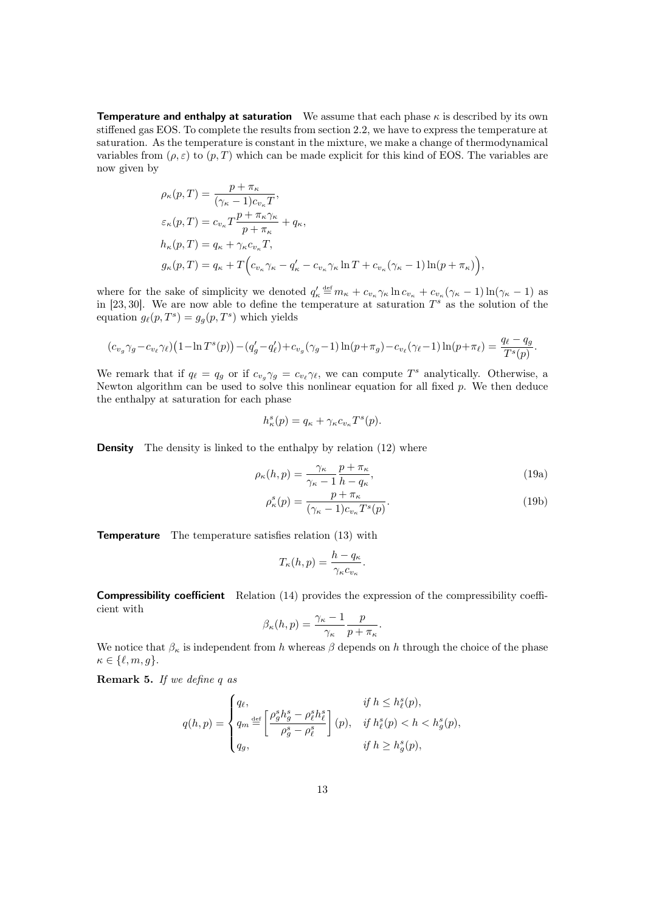**Temperature and enthalpy at saturation** We assume that each phase  $\kappa$  is described by its own stiffened gas EOS. To complete the results from section [2.2,](#page-7-1) we have to express the temperature at saturation. As the temperature is constant in the mixture, we make a change of thermodynamical variables from  $(\rho, \varepsilon)$  to  $(p, T)$  which can be made explicit for this kind of EOS. The variables are now given by

$$
\rho_{\kappa}(p,T) = \frac{p + \pi_{\kappa}}{(\gamma_{\kappa} - 1)c_{v_{\kappa}}T},
$$
  
\n
$$
\varepsilon_{\kappa}(p,T) = c_{v_{\kappa}}T\frac{p + \pi_{\kappa}\gamma_{\kappa}}{p + \pi_{\kappa}} + q_{\kappa},
$$
  
\n
$$
h_{\kappa}(p,T) = q_{\kappa} + \gamma_{\kappa}c_{v_{\kappa}}T,
$$
  
\n
$$
g_{\kappa}(p,T) = q_{\kappa} + T\Big(c_{v_{\kappa}}\gamma_{\kappa} - q_{\kappa}' - c_{v_{\kappa}}\gamma_{\kappa}\ln T + c_{v_{\kappa}}(\gamma_{\kappa} - 1)\ln(p + \pi_{\kappa})\Big),
$$

where for the sake of simplicity we denoted  $q'_\kappa \stackrel{\text{def}}{=} m_\kappa + c_{v_\kappa} \gamma_\kappa \ln c_{v_\kappa} + c_{v_\kappa} (\gamma_\kappa - 1) \ln(\gamma_\kappa - 1)$  as in [\[23,](#page-41-6) [30\]](#page-41-7). We are now able to define the temperature at saturation  $T^s$  as the solution of the equation  $g_{\ell}(p, T^s) = g_g(p, T^s)$  which yields

$$
(c_{v_g}\gamma_g - c_{v_\ell}\gamma_\ell)\left(1 - \ln T^s(p)\right) - (q'_g - q'_\ell) + c_{v_g}(\gamma_g - 1)\ln(p + \pi_g) - c_{v_\ell}(\gamma_\ell - 1)\ln(p + \pi_\ell) = \frac{q_\ell - q_g}{T^s(p)}.
$$

We remark that if  $q_\ell = q_g$  or if  $c_{v_g} \gamma_g = c_{v_\ell} \gamma_\ell$ , we can compute  $T^s$  analytically. Otherwise, a Newton algorithm can be used to solve this nonlinear equation for all fixed  $p$ . We then deduce the enthalpy at saturation for each phase

$$
h_{\kappa}^{s}(p) = q_{\kappa} + \gamma_{\kappa} c_{v_{\kappa}} T^{s}(p).
$$

**Density** The density is linked to the enthalpy by relation [\(12\)](#page-9-0) where

$$
\rho_{\kappa}(h,p) = \frac{\gamma_{\kappa}}{\gamma_{\kappa} - 1} \frac{p + \pi_{\kappa}}{h - q_{\kappa}},\tag{19a}
$$

<span id="page-12-0"></span>
$$
\rho_{\kappa}^{s}(p) = \frac{p + \pi_{\kappa}}{(\gamma_{\kappa} - 1)c_{v_{\kappa}}T^{s}(p)}.
$$
\n(19b)

Temperature The temperature satisfies relation [\(13\)](#page-9-1) with

$$
T_{\kappa}(h, p) = \frac{h - q_{\kappa}}{\gamma_{\kappa} c_{v_{\kappa}}}.
$$

Compressibility coefficient Relation [\(14\)](#page-9-2) provides the expression of the compressibility coefficient with

$$
\beta_{\kappa}(h,p) = \frac{\gamma_{\kappa} - 1}{\gamma_{\kappa}} \frac{p}{p + \pi_{\kappa}}.
$$

We notice that  $\beta_{\kappa}$  is independent from h whereas  $\beta$  depends on h through the choice of the phase  $\kappa \in \{\ell, m, q\}.$ 

Remark 5. If we define q as

$$
q(h,p) = \begin{cases} q_{\ell}, & \text{if } h \leq h_{\ell}^{s}(p), \\ q_{m} \stackrel{\text{def}}{=} \left[ \frac{\rho_{g}^{s}h_{g}^{s} - \rho_{\ell}^{s}h_{\ell}^{s}}{\rho_{g}^{s} - \rho_{\ell}^{s}} \right](p), & \text{if } h_{\ell}^{s}(p) < h < h_{g}^{s}(p), \\ q_{g}, & \text{if } h \geq h_{g}^{s}(p), \end{cases}
$$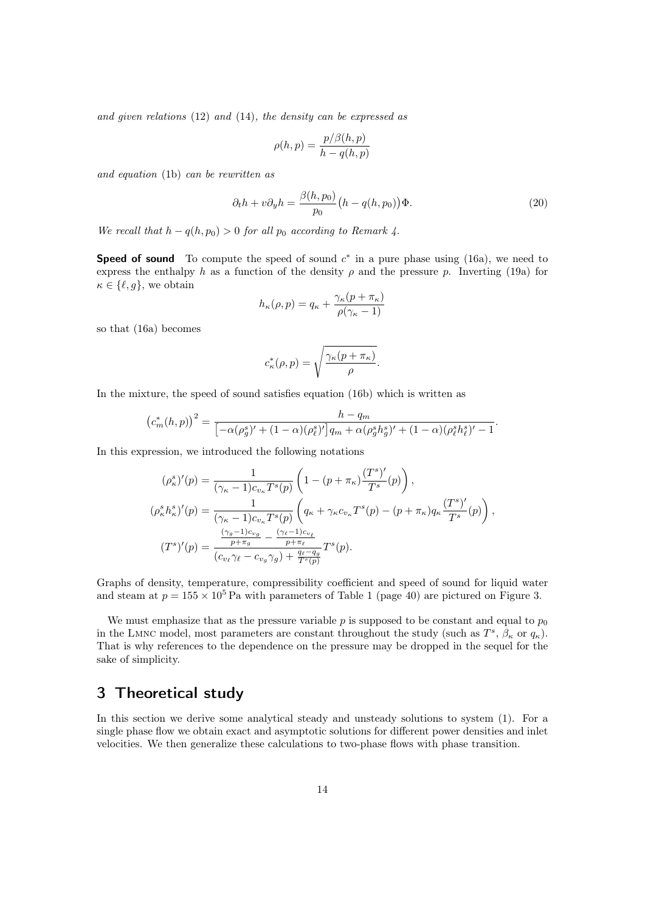and given relations [\(12\)](#page-9-0) and [\(14\)](#page-9-2), the density can be expressed as

$$
\rho(h,p) = \frac{p/\beta(h,p)}{h - q(h,p)}
$$

and equation [\(1b\)](#page-3-1) can be rewritten as

<span id="page-13-1"></span>
$$
\partial_t h + v \partial_y h = \frac{\beta(h, p_0)}{p_0} \left( h - q(h, p_0) \right) \Phi.
$$
\n(20)

We recall that  $h - q(h, p_0) > 0$  for all  $p_0$  according to Remark [4.](#page-11-0)

**Speed of sound** To compute the speed of sound  $c^*$  in a pure phase using [\(16a\)](#page-10-1), we need to express the enthalpy h as a function of the density  $\rho$  and the pressure p. Inverting [\(19a\)](#page-12-0) for  $\kappa \in \{\ell, g\}$ , we obtain

$$
h_{\kappa}(\rho, p) = q_{\kappa} + \frac{\gamma_{\kappa}(p + \pi_{\kappa})}{\rho(\gamma_{\kappa} - 1)}
$$

so that [\(16a\)](#page-10-1) becomes

$$
c_{\kappa}^*(\rho, p) = \sqrt{\frac{\gamma_{\kappa}(p + \pi_{\kappa})}{\rho}}.
$$

In the mixture, the speed of sound satisfies equation [\(16b\)](#page-10-2) which is written as

$$
(c_m^*(h,p))^2 = \frac{h - q_m}{\left[ -\alpha(\rho_g^s)' + (1 - \alpha)(\rho_\ell^s)'\right]q_m + \alpha(\rho_g^sh_g^s)' + (1 - \alpha)(\rho_\ell^sh_\ell^s)' - 1}.
$$

In this expression, we introduced the following notations

$$
(\rho_{\kappa}^{s})'(p) = \frac{1}{(\gamma_{\kappa} - 1)c_{v_{\kappa}}T^{s}(p)} \left(1 - (p + \pi_{\kappa})\frac{(T^{s})'}{T^{s}}(p)\right),
$$
  
\n
$$
(\rho_{\kappa}^{s}h_{\kappa}^{s})'(p) = \frac{1}{(\gamma_{\kappa} - 1)c_{v_{\kappa}}T^{s}(p)} \left(q_{\kappa} + \gamma_{\kappa}c_{v_{\kappa}}T^{s}(p) - (p + \pi_{\kappa})q_{\kappa}\frac{(T^{s})'}{T^{s}}(p)\right),
$$
  
\n
$$
(T^{s})'(p) = \frac{\frac{(\gamma_{g} - 1)c_{v_{g}}}{p + \pi_{g}} - \frac{(\gamma_{\ell} - 1)c_{v_{\ell}}}{p + \pi_{\ell}}}{(c_{v_{\ell}}\gamma_{\ell} - c_{v_{g}}\gamma_{g}) + \frac{q_{\ell} - q_{g}}{T^{s}(p)}}T^{s}(p).
$$

Graphs of density, temperature, compressibility coefficient and speed of sound for liquid water and steam at  $p = 155 \times 10^5$  $p = 155 \times 10^5$  $p = 155 \times 10^5$  Pa with parameters of Table 1 (page [40\)](#page-0-2) are pictured on Figure [3.](#page-0-2)

We must emphasize that as the pressure variable  $p$  is supposed to be constant and equal to  $p_0$ in the LMNC model, most parameters are constant throughout the study (such as  $T^s$ ,  $\beta_{\kappa}$  or  $q_{\kappa}$ ). That is why references to the dependence on the pressure may be dropped in the sequel for the sake of simplicity.

# <span id="page-13-0"></span>3 Theoretical study

In this section we derive some analytical steady and unsteady solutions to system [\(1\)](#page-3-0). For a single phase flow we obtain exact and asymptotic solutions for different power densities and inlet velocities. We then generalize these calculations to two-phase flows with phase transition.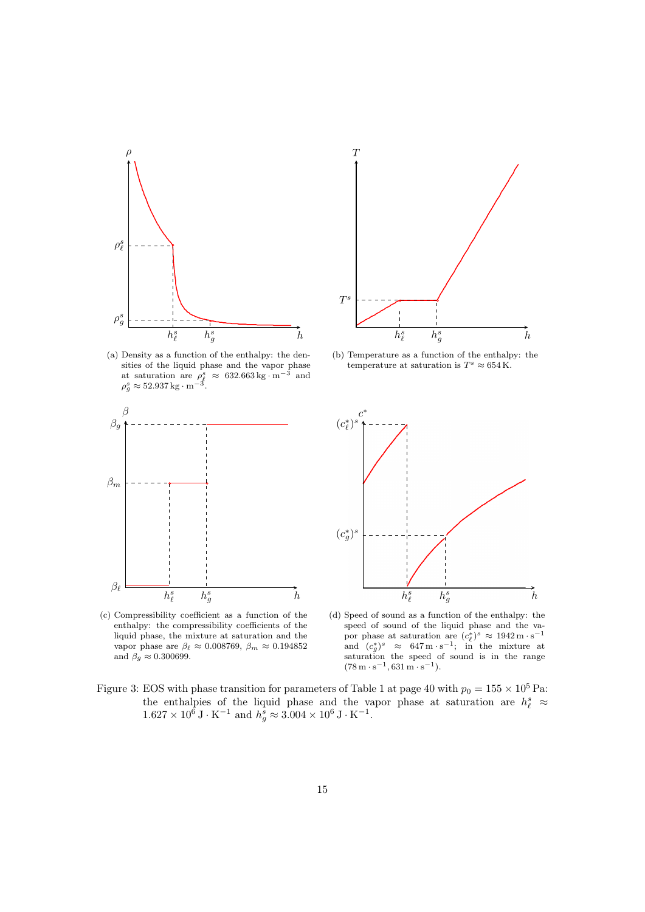<span id="page-14-0"></span>

(a) Density as a function of the enthalpy: the densities of the liquid phase and the vapor phase at saturation are  $\rho_{\ell}^{s} \approx 632.663 \,\text{kg} \cdot \text{m}^{-3}$  and  $\rho_{g}^{s} \approx 52.937 \,\text{kg} \cdot \text{m}^{-3}$ .

<span id="page-14-1"></span>

(c) Compressibility coefficient as a function of the enthalpy: the compressibility coefficients of the liquid phase, the mixture at saturation and the vapor phase are  $\beta_{\ell} \approx 0.008769, \ \beta_{m} \approx 0.194852$ and  $\beta_g \approx 0.300699.$ 



(b) Temperature as a function of the enthalpy: the temperature at saturation is  $T^s \approx 654 \text{ K}.$ 



(d) Speed of sound as a function of the enthalpy: the speed of sound of the liquid phase and the vapor phase at saturation are  $(c_{\ell}^*)^s \approx 1942 \,\mathrm{m \cdot s^{-1}}$ and  $(c_g^*)^s \approx 647 \,\mathrm{m \cdot s^{-1}};$  in the mixture at saturation the speed of sound is in the range  $(78 \text{ m} \cdot \text{s}^{-1}, 631 \text{ m} \cdot \text{s}^{-1}).$ 

Figure 3: EOS with phase transition for parameters of Table [1](#page-0-2) at page [40](#page-0-2) with  $p_0 = 155 \times 10^5$  Pa: the enthalpies of the liquid phase and the vapor phase at saturation are  $h_{\ell}^{s}$   $\approx$  $1.627 \times 10^6 \,\text{J} \cdot \text{K}^{-1}$  and  $h_g^s \approx 3.004 \times 10^6 \,\text{J} \cdot \text{K}^{-1}$ .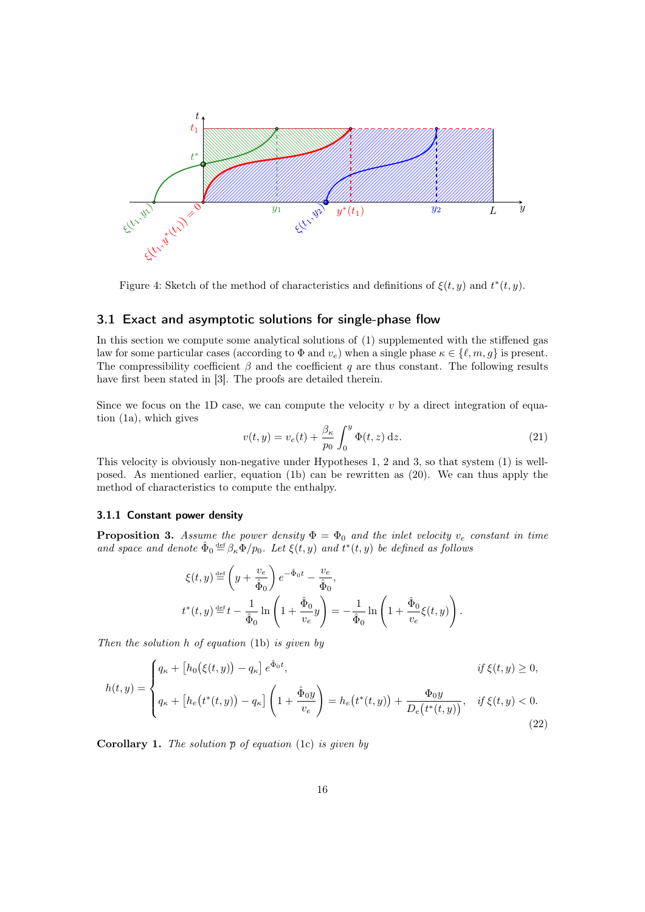

Figure 4: Sketch of the method of characteristics and definitions of  $\xi(t, y)$  and  $t^*(t, y)$ .

### <span id="page-15-4"></span>3.1 Exact and asymptotic solutions for single-phase flow

In this section we compute some analytical solutions of [\(1\)](#page-3-0) supplemented with the stiffened gas law for some particular cases (according to  $\Phi$  and  $v_e$ ) when a single phase  $\kappa \in \{\ell, m, g\}$  is present. The compressibility coefficient  $\beta$  and the coefficient q are thus constant. The following results have first been stated in [\[3\]](#page-40-8). The proofs are detailed therein.

Since we focus on the 1D case, we can compute the velocity  $v$  by a direct integration of equation [\(1a\)](#page-3-1), which gives

<span id="page-15-1"></span>
$$
v(t,y) = v_e(t) + \frac{\beta_\kappa}{p_0} \int_0^y \Phi(t,z) dz.
$$
 (21)

This velocity is obviously non-negative under Hypotheses [1,](#page-3-2) [2](#page-4-1) and [3,](#page-4-2) so that system [\(1\)](#page-3-0) is wellposed. As mentioned earlier, equation [\(1b\)](#page-3-1) can be rewritten as [\(20\)](#page-13-1). We can thus apply the method of characteristics to compute the enthalpy.

#### 3.1.1 Constant power density

<span id="page-15-0"></span>**Proposition 3.** Assume the power density  $\Phi = \Phi_0$  and the inlet velocity  $v_e$  constant in time and space and denote  $\hat{\Phi}_0 \stackrel{\text{def}}{=} \beta_{\kappa} \Phi/p_0$ . Let  $\xi(t, y)$  and  $t^*(t, y)$  be defined as follows

$$
\xi(t,y) \stackrel{\text{def}}{=} \left(y + \frac{v_e}{\hat{\Phi}_0}\right) e^{-\hat{\Phi}_0 t} - \frac{v_e}{\hat{\Phi}_0},
$$
  

$$
t^*(t,y) \stackrel{\text{def}}{=} t - \frac{1}{\hat{\Phi}_0} \ln\left(1 + \frac{\hat{\Phi}_0}{v_e}y\right) = -\frac{1}{\hat{\Phi}_0} \ln\left(1 + \frac{\hat{\Phi}_0}{v_e}\xi(t,y)\right).
$$

Then the solution  $h$  of equation [\(1b\)](#page-3-1) is given by

<span id="page-15-3"></span>
$$
h(t,y) = \begin{cases} q_{\kappa} + \left[ h_0(\xi(t,y)) - q_{\kappa} \right] e^{\hat{\Phi}_0 t}, & \text{if } \xi(t,y) \ge 0, \\ q_{\kappa} + \left[ h_e(t^*(t,y)) - q_{\kappa} \right] \left( 1 + \frac{\hat{\Phi}_0 y}{v_e} \right) = h_e(t^*(t,y)) + \frac{\Phi_0 y}{D_e(t^*(t,y))}, & \text{if } \xi(t,y) < 0. \end{cases}
$$
\n(22)

<span id="page-15-2"></span>**Corollary 1.** The solution  $\overline{p}$  of equation [\(1c\)](#page-3-1) is given by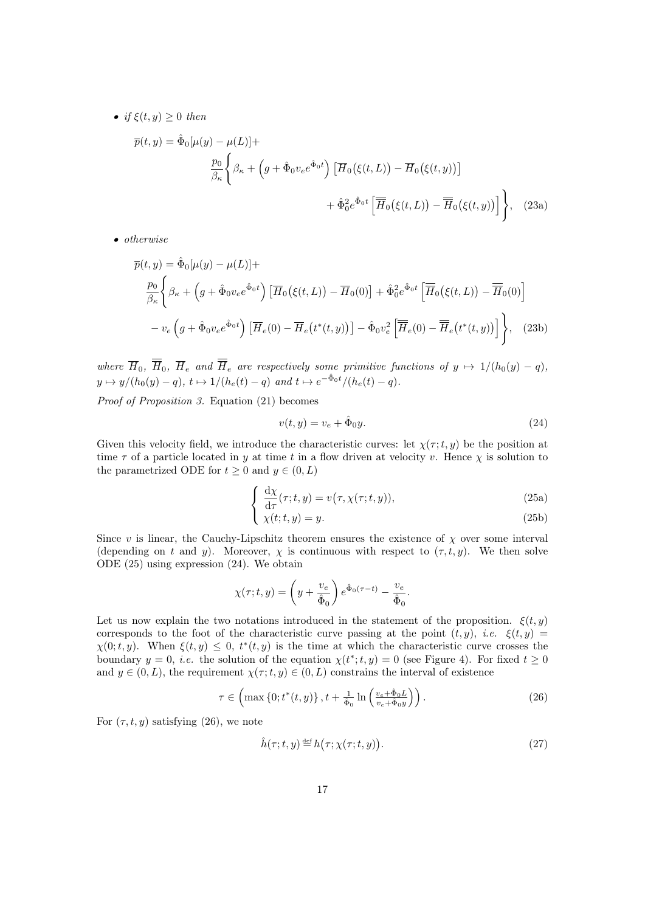• if  $\xi(t, y) \geq 0$  then

$$
\overline{p}(t,y) = \hat{\Phi}_0[\mu(y) - \mu(L)] +
$$
\n
$$
\frac{p_0}{\beta_{\kappa}} \left\{ \beta_{\kappa} + \left( g + \hat{\Phi}_0 v_e e^{\hat{\Phi}_0 t} \right) \left[ \overline{H}_0(\xi(t,L)) - \overline{H}_0(\xi(t,y)) \right] \right.
$$
\n
$$
+ \hat{\Phi}_0^2 e^{\hat{\Phi}_0 t} \left[ \overline{\overline{H}}_0(\xi(t,L)) - \overline{\overline{H}}_0(\xi(t,y)) \right] \right\}, \quad (23a)
$$

• otherwise

$$
\overline{p}(t, y) = \hat{\Phi}_0[\mu(y) - \mu(L)] +
$$
\n
$$
\frac{p_0}{\beta_{\kappa}} \left\{ \beta_{\kappa} + \left( g + \hat{\Phi}_0 v_e e^{\hat{\Phi}_0 t} \right) \left[ \overline{H}_0(\xi(t, L)) - \overline{H}_0(0) \right] + \hat{\Phi}_0^2 e^{\hat{\Phi}_0 t} \left[ \overline{\overline{H}}_0(\xi(t, L)) - \overline{\overline{H}}_0(0) \right] \right\}
$$
\n
$$
- v_e \left( g + \hat{\Phi}_0 v_e e^{\hat{\Phi}_0 t} \right) \left[ \overline{H}_e(0) - \overline{H}_e(t^*(t, y)) \right] - \hat{\Phi}_0 v_e^2 \left[ \overline{\overline{H}}_e(0) - \overline{\overline{H}}_e(t^*(t, y)) \right] \right\}, \quad (23b)
$$

where  $\overline{H}_0$ ,  $\overline{H}_0$ ,  $\overline{H}_e$  and  $\overline{H}_e$  are respectively some primitive functions of  $y \mapsto 1/(h_0(y) - q)$ ,  $y \mapsto y/(h_0(y) - q), t \mapsto 1/(h_e(t) - q)$  and  $t \mapsto e^{-\hat{\Phi}_0 t}/(h_e(t) - q)$ .

Proof of Proposition [3.](#page-15-0) Equation [\(21\)](#page-15-1) becomes

<span id="page-16-3"></span><span id="page-16-2"></span><span id="page-16-0"></span>
$$
v(t, y) = v_e + \hat{\Phi}_0 y. \tag{24}
$$

Given this velocity field, we introduce the characteristic curves: let  $\chi(\tau;t,y)$  be the position at time  $\tau$  of a particle located in y at time t in a flow driven at velocity v. Hence  $\chi$  is solution to the parametrized ODE for  $t \geq 0$  and  $y \in (0, L)$ 

$$
\begin{cases} \frac{\mathrm{d}\chi}{\mathrm{d}\tau}(\tau;t,y) = v(\tau,\chi(\tau;t,y)), \end{cases} \tag{25a}
$$

$$
\chi(t;t,y) = y. \tag{25b}
$$

Since v is linear, the Cauchy-Lipschitz theorem ensures the existence of  $\chi$  over some interval (depending on t and y). Moreover,  $\chi$  is continuous with respect to  $(\tau, t, y)$ . We then solve ODE [\(25\)](#page-16-0) using expression [\(24\)](#page-16-0). We obtain

$$
\chi(\tau;t,y) = \left(y + \frac{v_e}{\hat{\Phi}_0}\right) e^{\hat{\Phi}_0(\tau - t)} - \frac{v_e}{\hat{\Phi}_0}.
$$

Let us now explain the two notations introduced in the statement of the proposition.  $\xi(t, y)$ corresponds to the foot of the characteristic curve passing at the point  $(t, y)$ , *i.e.*  $\xi(t, y)$  $\chi(0;t,y)$ . When  $\xi(t,y) \leq 0$ ,  $t^*(t,y)$  is the time at which the characteristic curve crosses the boundary  $y = 0$ , *i.e.* the solution of the equation  $\chi(t^*; t, y) = 0$  (see Figure [4\)](#page-14-0). For fixed  $t \ge 0$ and  $y \in (0, L)$ , the requirement  $\chi(\tau; t, y) \in (0, L)$  constrains the interval of existence

<span id="page-16-1"></span>
$$
\tau \in \left(\max\left\{0; t^*(t, y)\right\}, t + \frac{1}{\hat{\Phi}_0} \ln\left(\frac{v_e + \hat{\Phi}_0 L}{v_e + \hat{\Phi}_0 y}\right)\right). \tag{26}
$$

For  $(\tau, t, y)$  satisfying [\(26\)](#page-16-1), we note

<span id="page-16-4"></span>
$$
\hat{h}(\tau;t,y) \stackrel{\text{def}}{=} h(\tau;\chi(\tau;t,y)).\tag{27}
$$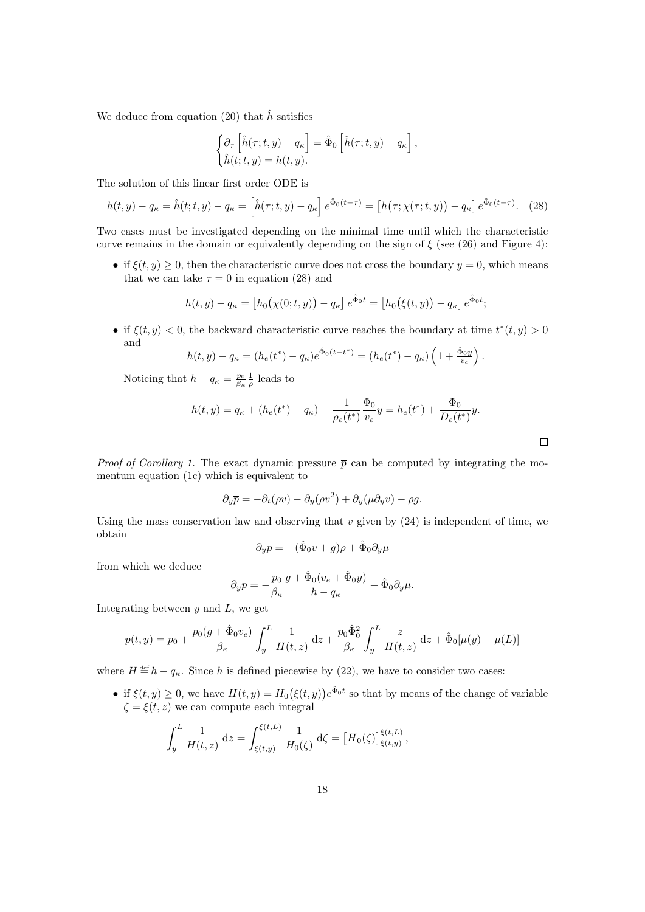We deduce from equation [\(20\)](#page-13-1) that  $\hat{h}$  satisfies

$$
\begin{cases} \partial_{\tau} \left[ \hat{h}(\tau;t,y) - q_{\kappa} \right] = \hat{\Phi}_0 \left[ \hat{h}(\tau;t,y) - q_{\kappa} \right], \\ \hat{h}(t;t,y) = h(t,y). \end{cases}
$$

The solution of this linear first order ODE is

<span id="page-17-0"></span>
$$
h(t,y) - q_{\kappa} = \hat{h}(t;t,y) - q_{\kappa} = \left[\hat{h}(\tau;t,y) - q_{\kappa}\right]e^{\hat{\Phi}_0(t-\tau)} = \left[h(\tau;\chi(\tau;t,y)) - q_{\kappa}\right]e^{\hat{\Phi}_0(t-\tau)}.
$$
 (28)

Two cases must be investigated depending on the minimal time until which the characteristic curve remains in the domain or equivalently depending on the sign of  $\xi$  (see [\(26\)](#page-16-1) and Figure [4\)](#page-14-0):

• if  $\xi(t, y) \geq 0$ , then the characteristic curve does not cross the boundary  $y = 0$ , which means that we can take  $\tau = 0$  in equation [\(28\)](#page-17-0) and

$$
h(t, y) - q_{\kappa} = [h_0(\chi(0; t, y)) - q_{\kappa}] e^{\hat{\Phi}_0 t} = [h_0(\xi(t, y)) - q_{\kappa}] e^{\hat{\Phi}_0 t};
$$

• if  $\xi(t, y) < 0$ , the backward characteristic curve reaches the boundary at time  $t^*(t, y) > 0$ and

$$
h(t,y) - q_{\kappa} = (h_e(t^*) - q_{\kappa})e^{\hat{\Phi}_0(t - t^*)} = (h_e(t^*) - q_{\kappa})\left(1 + \frac{\hat{\Phi}_0 y}{v_e}\right).
$$

Noticing that  $h - q_{\kappa} = \frac{p_0}{\beta_{\kappa}} \frac{1}{\rho}$  leads to

$$
h(t,y) = q_{\kappa} + (h_e(t^*) - q_{\kappa}) + \frac{1}{\rho_e(t^*)} \frac{\Phi_0}{v_e} y = h_e(t^*) + \frac{\Phi_0}{D_e(t^*)} y.
$$

*Proof of Corollary [1.](#page-15-2)* The exact dynamic pressure  $\bar{p}$  can be computed by integrating the momentum equation [\(1c\)](#page-3-1) which is equivalent to

$$
\partial_y \overline{p} = -\partial_t (\rho v) - \partial_y (\rho v^2) + \partial_y (\mu \partial_y v) - \rho g.
$$

Using the mass conservation law and observing that  $v$  given by  $(24)$  is independent of time, we obtain

$$
\partial_y \overline{p} = -(\hat{\Phi}_0 v + g)\rho + \hat{\Phi}_0 \partial_y \mu
$$

from which we deduce

$$
\partial_y \overline{p} = -\frac{p_0}{\beta_\kappa} \frac{g + \hat{\Phi}_0 (v_e + \hat{\Phi}_0 y)}{h - q_\kappa} + \hat{\Phi}_0 \partial_y \mu.
$$

Integrating between  $y$  and  $L$ , we get

$$
\overline{p}(t,y) = p_0 + \frac{p_0(g + \hat{\Phi}_0 v_e)}{\beta \kappa} \int_y^L \frac{1}{H(t,z)} dz + \frac{p_0 \hat{\Phi}_0^2}{\beta \kappa} \int_y^L \frac{z}{H(t,z)} dz + \hat{\Phi}_0[\mu(y) - \mu(L)]
$$

where  $H \triangleq h - q_{\kappa}$ . Since h is defined piecewise by [\(22\)](#page-15-3), we have to consider two cases:

• if  $\xi(t, y) \geq 0$ , we have  $H(t, y) = H_0(\xi(t, y))e^{\hat{\Phi}_0 t}$  so that by means of the change of variable  $\zeta = \xi(t, z)$  we can compute each integral

$$
\int_y^L \frac{1}{H(t,z)} dz = \int_{\xi(t,y)}^{\xi(t,L)} \frac{1}{H_0(\zeta)} d\zeta = \left[\overline{H}_0(\zeta)\right]_{\xi(t,y)}^{\xi(t,L)},
$$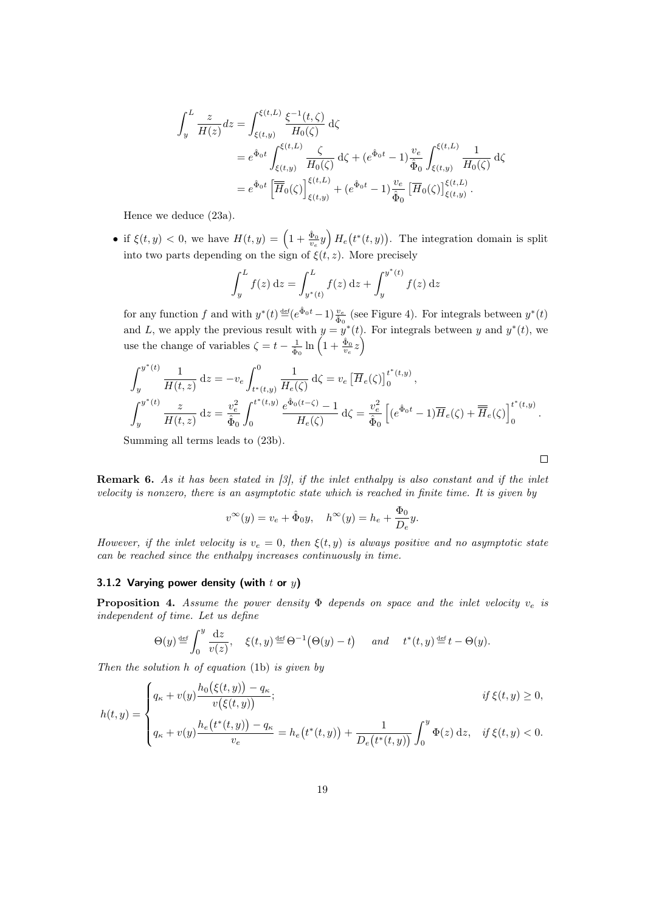$$
\int_{y}^{L} \frac{z}{H(z)} dz = \int_{\xi(t,y)}^{\xi(t,L)} \frac{\xi^{-1}(t,\zeta)}{H_{0}(\zeta)} d\zeta
$$
\n
$$
= e^{\hat{\Phi}_{0}t} \int_{\xi(t,y)}^{\xi(t,L)} \frac{\zeta}{H_{0}(\zeta)} d\zeta + (e^{\hat{\Phi}_{0}t} - 1) \frac{v_{e}}{\hat{\Phi}_{0}} \int_{\xi(t,y)}^{\xi(t,L)} \frac{1}{H_{0}(\zeta)} d\zeta
$$
\n
$$
= e^{\hat{\Phi}_{0}t} \left[ \overline{\overline{H}}_{0}(\zeta) \right]_{\xi(t,y)}^{\xi(t,L)} + (e^{\hat{\Phi}_{0}t} - 1) \frac{v_{e}}{\hat{\Phi}_{0}} \left[ \overline{H}_{0}(\zeta) \right]_{\xi(t,y)}^{\xi(t,L)}.
$$

Hence we deduce [\(23a\)](#page-16-2).

• if  $\xi(t, y) < 0$ , we have  $H(t, y) = \left(1 + \frac{\hat{\Phi}_0}{v_e} y\right) H_e(t^*(t, y))$ . The integration domain is split into two parts depending on the sign of  $\xi(t, z)$ . More precisely

$$
\int_{y}^{L} f(z) dz = \int_{y^{*}(t)}^{L} f(z) dz + \int_{y}^{y^{*}(t)} f(z) dz
$$

for any function f and with  $y^*(t) \stackrel{\text{def}}{=} (e^{\hat{\Phi}_0 t} - 1) \frac{v_e}{\hat{\Phi}_0}$  (see Figure [4\)](#page-14-0). For integrals between  $y^*(t)$ and L, we apply the previous result with  $y = y^*(t)$ . For integrals between y and  $y^*(t)$ , we use the change of variables  $\zeta = t - \frac{1}{\hat{\Phi}_0} \ln \left( 1 + \frac{\hat{\Phi}_0}{v_e} z \right)$ 

$$
\int_{y}^{y^{*}(t)} \frac{1}{H(t,z)} dz = -v_{e} \int_{t^{*}(t,y)}^{0} \frac{1}{H_{e}(\zeta)} d\zeta = v_{e} \left[\overline{H}_{e}(\zeta)\right]_{0}^{t^{*}(t,y)},
$$
\n
$$
\int_{y}^{y^{*}(t)} \frac{z}{H(t,z)} dz = \frac{v_{e}^{2}}{\hat{\Phi}_{0}} \int_{0}^{t^{*}(t,y)} \frac{e^{\hat{\Phi}_{0}(t-\zeta)} - 1}{H_{e}(\zeta)} d\zeta = \frac{v_{e}^{2}}{\hat{\Phi}_{0}} \left[ (e^{\hat{\Phi}_{0}t} - 1) \overline{H}_{e}(\zeta) + \overline{\overline{H}}_{e}(\zeta) \right]_{0}^{t^{*}(t,y)}.
$$

 $\Box$ 

Summing all terms leads to [\(23b\)](#page-16-3).

**Remark 6.** As it has been stated in  $\begin{bmatrix} 3 \end{bmatrix}$ , if the inlet enthalpy is also constant and if the inlet velocity is nonzero, there is an asymptotic state which is reached in finite time. It is given by

$$
v^{\infty}(y) = v_e + \hat{\Phi}_0 y, \quad h^{\infty}(y) = h_e + \frac{\Phi_0}{D_e} y.
$$

However, if the inlet velocity is  $v_e = 0$ , then  $\xi(t, y)$  is always positive and no asymptotic state can be reached since the enthalpy increases continuously in time.

#### 3.1.2 Varying power density (with  $t$  or  $y$ )

**Proposition 4.** Assume the power density  $\Phi$  depends on space and the inlet velocity  $v_e$  is independent of time. Let us define

$$
\Theta(y) \stackrel{\text{def}}{=} \int_0^y \frac{\mathrm{d}z}{v(z)}, \quad \xi(t, y) \stackrel{\text{def}}{=} \Theta^{-1}(\Theta(y) - t) \quad \text{and} \quad t^*(t, y) \stackrel{\text{def}}{=} t - \Theta(y).
$$

Then the solution  $h$  of equation [\(1b\)](#page-3-1) is given by

$$
h(t,y) = \begin{cases} q_{\kappa} + v(y) \frac{h_0(\xi(t,y)) - q_{\kappa}}{v(\xi(t,y))}; & \text{if } \xi(t,y) \ge 0, \\ q_{\kappa} + v(y) \frac{h_e(t^*(t,y)) - q_{\kappa}}{v_e} = h_e(t^*(t,y)) + \frac{1}{D_e(t^*(t,y))} \int_0^y \Phi(z) dz, & \text{if } \xi(t,y) < 0. \end{cases}
$$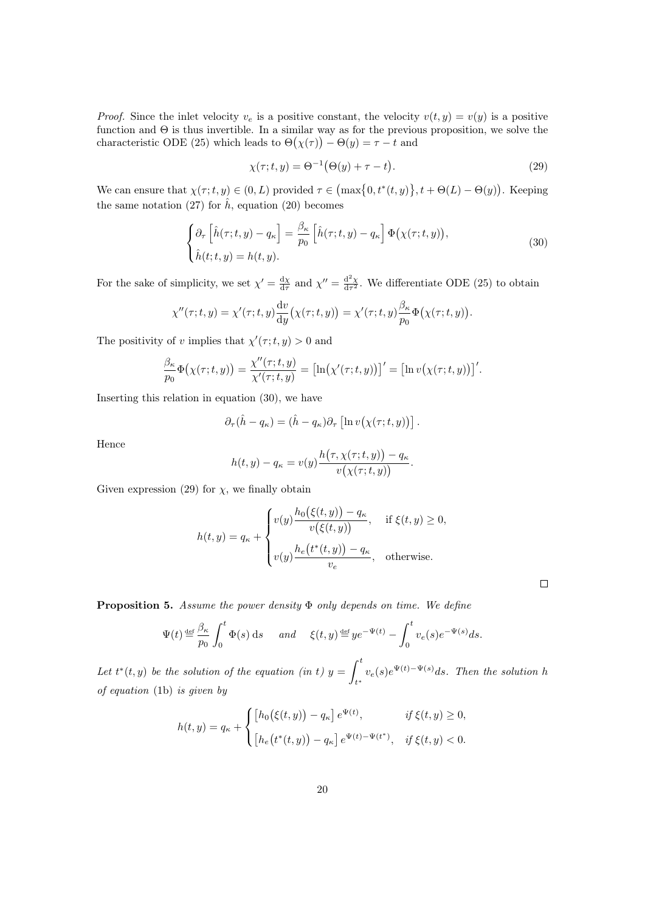*Proof.* Since the inlet velocity  $v_e$  is a positive constant, the velocity  $v(t, y) = v(y)$  is a positive function and  $\Theta$  is thus invertible. In a similar way as for the previous proposition, we solve the characteristic ODE [\(25\)](#page-16-0) which leads to  $\Theta(\chi(\tau)) - \Theta(y) = \tau - t$  and

<span id="page-19-1"></span>
$$
\chi(\tau;t,y) = \Theta^{-1}(\Theta(y) + \tau - t). \tag{29}
$$

 $\Box$ 

We can ensure that  $\chi(\tau;t,y) \in (0,L)$  provided  $\tau \in \left(\max\{0,t^*(t,y)\},t+\Theta(L)-\Theta(y)\right)$ . Keeping the same notation [\(27\)](#page-16-4) for  $\hat{h}$ , equation [\(20\)](#page-13-1) becomes

<span id="page-19-0"></span>
$$
\begin{cases} \partial_{\tau} \left[ \hat{h}(\tau;t,y) - q_{\kappa} \right] = \frac{\beta_{\kappa}}{p_0} \left[ \hat{h}(\tau;t,y) - q_{\kappa} \right] \Phi(\chi(\tau;t,y)), \\ \hat{h}(t;t,y) = h(t,y). \end{cases}
$$
(30)

For the sake of simplicity, we set  $\chi' = \frac{d\chi}{d\tau}$  and  $\chi'' = \frac{d^2\chi}{d\tau^2}$ . We differentiate ODE [\(25\)](#page-16-0) to obtain

$$
\chi''(\tau;t,y) = \chi'(\tau;t,y) \frac{\mathrm{d}v}{\mathrm{d}y} \big(\chi(\tau;t,y)\big) = \chi'(\tau;t,y) \frac{\beta_{\kappa}}{p_0} \Phi\big(\chi(\tau;t,y)\big).
$$

The positivity of v implies that  $\chi'(\tau;t,y) > 0$  and

$$
\frac{\beta_{\kappa}}{p_0}\Phi(\chi(\tau;t,y)) = \frac{\chi''(\tau;t,y)}{\chi'(\tau;t,y)} = \left[\ln(\chi'(\tau;t,y))\right]' = \left[\ln v(\chi(\tau;t,y))\right]'.
$$

Inserting this relation in equation [\(30\)](#page-19-0), we have

$$
\partial_{\tau}(\hat{h} - q_{\kappa}) = (\hat{h} - q_{\kappa})\partial_{\tau} \left[ \ln v(\chi(\tau; t, y)) \right].
$$

Hence

$$
h(t,y) - q_{\kappa} = v(y) \frac{h(\tau, \chi(\tau; t, y)) - q_{\kappa}}{v(\chi(\tau; t, y))}.
$$

Given expression [\(29\)](#page-19-1) for  $\chi$ , we finally obtain

$$
h(t,y) = q_{\kappa} + \begin{cases} v(y) \frac{h_0(\xi(t,y)) - q_{\kappa}}{v(\xi(t,y))}, & \text{if } \xi(t,y) \ge 0, \\ v(y) \frac{h_e(t^*(t,y)) - q_{\kappa}}{v_e}, & \text{otherwise.} \end{cases}
$$

Proposition 5. Assume the power density Φ only depends on time. We define

$$
\Psi(t) \stackrel{\text{def}}{=} \frac{\beta_{\kappa}}{p_0} \int_0^t \Phi(s) \, \mathrm{d}s \quad \text{and} \quad \xi(t, y) \stackrel{\text{def}}{=} y e^{-\Psi(t)} - \int_0^t v_e(s) e^{-\Psi(s)} \, \mathrm{d}s.
$$

Let  $t^*(t, y)$  be the solution of the equation (in t)  $y = \int_0^t$  $\int_{t^*} v_e(s)e^{\Psi(t)-\Psi(s)}ds$ . Then the solution h of equation [\(1b\)](#page-3-1) is given by

$$
h(t,y) = q_{\kappa} + \begin{cases} \left[ h_0(\xi(t,y)) - q_{\kappa} \right] e^{\Psi(t)}, & \text{if } \xi(t,y) \ge 0, \\ \left[ h_e(t^*(t,y)) - q_{\kappa} \right] e^{\Psi(t) - \Psi(t^*)}, & \text{if } \xi(t,y) < 0. \end{cases}
$$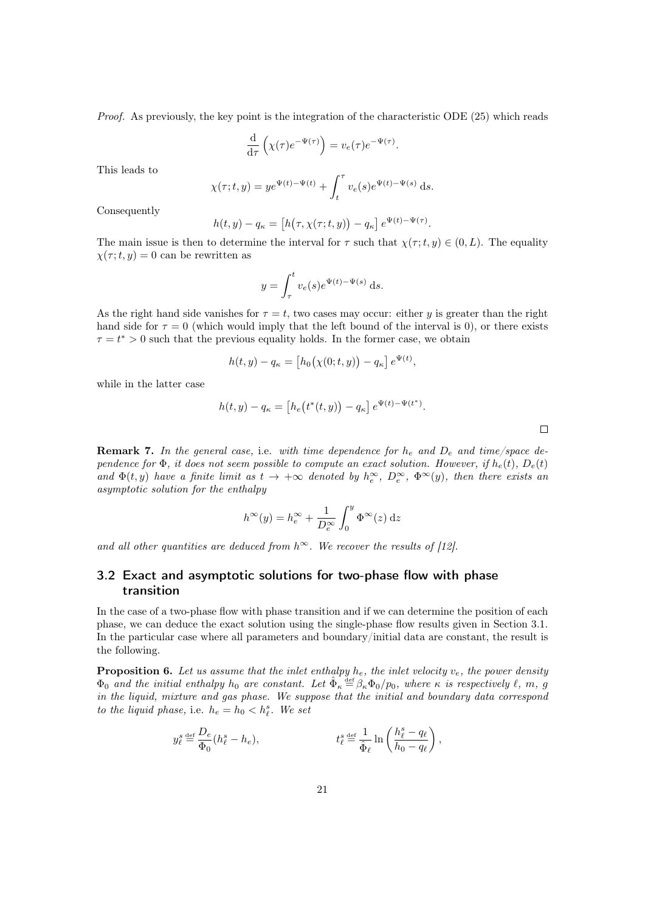Proof. As previously, the key point is the integration of the characteristic ODE [\(25\)](#page-16-0) which reads

$$
\frac{\mathrm{d}}{\mathrm{d}\tau}\left(\chi(\tau)e^{-\Psi(\tau)}\right) = v_e(\tau)e^{-\Psi(\tau)}.
$$

This leads to

$$
\chi(\tau; t, y) = y e^{\Psi(t) - \Psi(t)} + \int_t^{\tau} v_e(s) e^{\Psi(t) - \Psi(s)} ds.
$$

Consequently

$$
h(t,y) - q_{\kappa} = \left[ h(\tau, \chi(\tau; t, y)) - q_{\kappa} \right] e^{\Psi(t) - \Psi(\tau)}.
$$

The main issue is then to determine the interval for  $\tau$  such that  $\chi(\tau; t, y) \in (0, L)$ . The equality  $\chi(\tau; t, y) = 0$  can be rewritten as

$$
y = \int_{\tau}^{t} v_e(s)e^{\Psi(t) - \Psi(s)} ds.
$$

As the right hand side vanishes for  $\tau = t$ , two cases may occur: either y is greater than the right hand side for  $\tau = 0$  (which would imply that the left bound of the interval is 0), or there exists  $\tau = t^* > 0$  such that the previous equality holds. In the former case, we obtain

$$
h(t, y) - q_{\kappa} = [h_0(\chi(0; t, y)) - q_{\kappa}] e^{\Psi(t)},
$$

while in the latter case

$$
h(t, y) - q_{\kappa} = [h_e(t^*(t, y)) - q_{\kappa}] e^{\Psi(t) - \Psi(t^*)}.
$$

<span id="page-20-1"></span>**Remark 7.** In the general case, i.e. with time dependence for  $h_e$  and  $D_e$  and time/space dependence for  $\Phi$ , it does not seem possible to compute an exact solution. However, if  $h_e(t)$ ,  $D_e(t)$ and  $\Phi(t, y)$  have a finite limit as  $t \to +\infty$  denoted by  $h_e^{\infty}$ ,  $D_e^{\infty}$ ,  $\Phi^{\infty}(y)$ , then there exists an asymptotic solution for the enthalpy

$$
h^{\infty}(y) = h_e^{\infty} + \frac{1}{D_e^{\infty}} \int_0^y \Phi^{\infty}(z) dz
$$

and all other quantities are deduced from  $h^{\infty}$ . We recover the results of [\[12\]](#page-40-5).

## 3.2 Exact and asymptotic solutions for two-phase flow with phase transition

In the case of a two-phase flow with phase transition and if we can determine the position of each phase, we can deduce the exact solution using the single-phase flow results given in Section [3.1.](#page-15-4) In the particular case where all parameters and boundary/initial data are constant, the result is the following.

<span id="page-20-0"></span>**Proposition 6.** Let us assume that the inlet enthalpy  $h_e$ , the inlet velocity  $v_e$ , the power density  $\Phi_0$  and the initial enthalpy  $h_0$  are constant. Let  $\hat{\Phi}_{\kappa} \stackrel{\text{def}}{=} \beta_{\kappa} \Phi_0/p_0$ , where  $\kappa$  is respectively  $\ell$ ,  $m$ ,  $g$ in the liquid, mixture and gas phase. We suppose that the initial and boundary data correspond to the liquid phase, i.e.  $h_e = h_0 < h_{\ell}^s$ . We set

$$
y_{\ell}^s\stackrel{\text{def}}{=}\frac{D_e}{\Phi_0}(h_{\ell}^s-h_e), \qquad \qquad t_{\ell}^s\stackrel{\text{def}}{=}\frac{1}{\hat{\Phi}_{\ell}}\ln\left(\frac{h_{\ell}^s-q_{\ell}}{h_0-q_{\ell}}\right),
$$

 $\Box$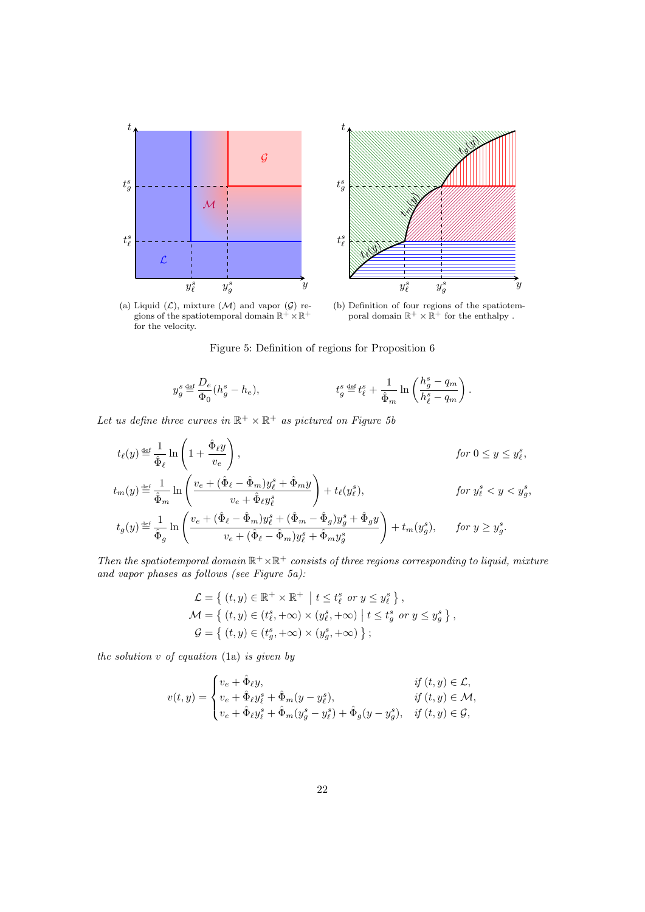<span id="page-21-2"></span><span id="page-21-1"></span>



(a) Liquid  $(\mathcal{L})$ , mixture  $(\mathcal{M})$  and vapor  $(\mathcal{G})$  regions of the spatiotemporal domain  $\mathbb{R}^+ \times \mathbb{R}^+$ for the velocity.

<span id="page-21-0"></span>(b) Definition of four regions of the spatiotem-<br>poral domain  $\mathbb{R}^+ \times \mathbb{R}^+$  for the enthalpy.

Figure 5: Definition of regions for Proposition [6](#page-20-0)

$$
y_g^s \mathbin{\stackrel{\text{def}}{=}} \frac{D_e}{\Phi_0} (h_g^s-h_e), \qquad \qquad t_g^s \mathbin{\stackrel{\text{def}}{=}} t_\ell^s + \frac{1}{\hat{\Phi}_m} \ln \left( \frac{h_g^s-q_m}{h_\ell^s-q_m} \right).
$$

Let us define three curves in  $\mathbb{R}^+ \times \mathbb{R}^+$  as pictured on Figure [5b](#page-21-0)

$$
\begin{aligned} &t_{\ell}(y) \hbox{\small{$\;\stackrel{\text{def}}{=}\;$}} \frac{1}{\hat{\Phi}_{\ell}} \ln\left(1+\frac{\hat{\Phi}_{\ell}y}{v_{e}}\right), &&\text{for $0\leq y\leq y_{\ell}^{s}$}, \\ &t_{m}(y) \hbox{\small{$\;\stackrel{\text{def}}{=}\;$}} \frac{1}{\hat{\Phi}_{m}} \ln\left(\frac{v_{e}+(\hat{\Phi}_{\ell}-\hat{\Phi}_{m})y_{\ell}^{s}+\hat{\Phi}_{m}y}{v_{e}+\hat{\Phi}_{\ell}y_{\ell}^{s}}\right)+t_{\ell}(y_{\ell}^{s}), &&\text{for $y_{\ell}^{s}
$$

Then the spatiotemporal domain  $\mathbb{R}^+ \times \mathbb{R}^+$  consists of three regions corresponding to liquid, mixture and vapor phases as follows (see Figure [5a\)](#page-21-1):

$$
\mathcal{L} = \left\{ (t, y) \in \mathbb{R}^+ \times \mathbb{R}^+ \middle| t \le t_\ell^s \text{ or } y \le y_\ell^s \right\},\
$$
  

$$
\mathcal{M} = \left\{ (t, y) \in (t_\ell^s, +\infty) \times (y_\ell^s, +\infty) \middle| t \le t_g^s \text{ or } y \le y_g^s \right\},\
$$
  

$$
\mathcal{G} = \left\{ (t, y) \in (t_g^s, +\infty) \times (y_g^s, +\infty) \right\};
$$

the solution  $v$  of equation [\(1a\)](#page-3-1) is given by

$$
v(t,y) = \begin{cases} v_e + \hat{\Phi}_\ell y, & \text{if } (t,y) \in \mathcal{L}, \\ v_e + \hat{\Phi}_\ell y_\ell^s + \hat{\Phi}_m (y - y_\ell^s), & \text{if } (t,y) \in \mathcal{M}, \\ v_e + \hat{\Phi}_\ell y_\ell^s + \hat{\Phi}_m (y_g^s - y_\ell^s) + \hat{\Phi}_g (y - y_g^s), & \text{if } (t,y) \in \mathcal{G}, \end{cases}
$$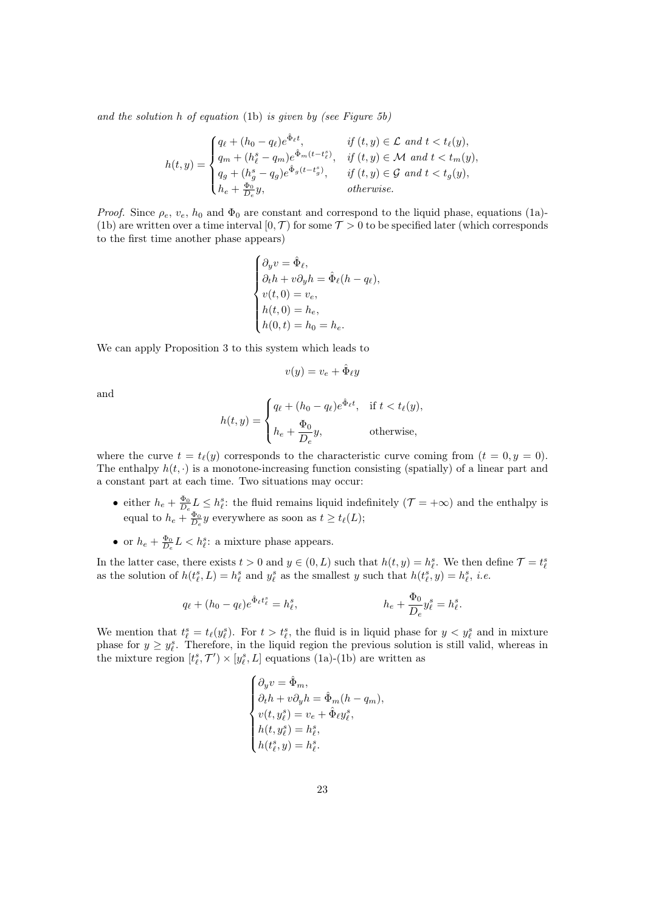and the solution  $h$  of equation [\(1b\)](#page-3-1) is given by (see Figure [5b\)](#page-21-0)

$$
h(t,y) = \begin{cases} q_{\ell} + (h_0 - q_{\ell})e^{\hat{\Phi}_{\ell}t}, & \text{if } (t,y) \in \mathcal{L} \text{ and } t < t_{\ell}(y), \\ q_m + (h_{\ell}^s - q_m)e^{\hat{\Phi}_m(t - t_{\ell}^s)}, & \text{if } (t,y) \in \mathcal{M} \text{ and } t < t_m(y), \\ q_g + (h_g^s - q_g)e^{\hat{\Phi}_g(t - t_g^s)}, & \text{if } (t,y) \in \mathcal{G} \text{ and } t < t_g(y), \\ h_e + \frac{\Phi_0}{D_e}y, & \text{otherwise.} \end{cases}
$$

*Proof.* Since  $\rho_e$ ,  $v_e$ ,  $h_0$  and  $\Phi_0$  are constant and correspond to the liquid phase, equations [\(1a\)](#page-3-1)-[\(1b\)](#page-3-1) are written over a time interval  $[0, \mathcal{T})$  for some  $\mathcal{T} > 0$  to be specified later (which corresponds to the first time another phase appears)

$$
\begin{cases} \partial_y v = \hat{\Phi}_{\ell}, \\ \partial_t h + v \partial_y h = \hat{\Phi}_{\ell} (h - q_{\ell}), \\ v(t, 0) = v_e, \\ h(t, 0) = h_e, \\ h(0, t) = h_0 = h_e. \end{cases}
$$

We can apply Proposition [3](#page-15-0) to this system which leads to

$$
v(y) = v_e + \hat{\Phi}_\ell y
$$

and

$$
h(t,y) = \begin{cases} q_{\ell} + (h_0 - q_{\ell})e^{\hat{\Phi}_{\ell}t}, & \text{if } t < t_{\ell}(y), \\ h_e + \frac{\Phi_0}{D_e}y, & \text{otherwise,} \end{cases}
$$

where the curve  $t = t_{\ell}(y)$  corresponds to the characteristic curve coming from  $(t = 0, y = 0)$ . The enthalpy  $h(t, \cdot)$  is a monotone-increasing function consisting (spatially) of a linear part and a constant part at each time. Two situations may occur:

- either  $h_e + \frac{\Phi_0}{D_e} L \leq h_{\ell}^s$ : the fluid remains liquid indefinitely  $(\mathcal{T} = +\infty)$  and the enthalpy is equal to  $h_e + \frac{\Phi_0}{D_e} y$  everywhere as soon as  $t \ge t_\ell(L)$ ;
- or  $h_e + \frac{\Phi_0}{D_e} L < h_{\ell}^s$ : a mixture phase appears.

In the latter case, there exists  $t > 0$  and  $y \in (0, L)$  such that  $h(t, y) = h_{\ell}^s$ . We then define  $\mathcal{T} = t_{\ell}^s$ as the solution of  $h(t_{\ell}^s, L) = h_{\ell}^s$  and  $y_{\ell}^s$  as the smallest y such that  $h(t_{\ell}^s, y) = h_{\ell}^s$ , *i.e.* 

$$
q_{\ell} + (h_0 - q_{\ell})e^{\hat{\Phi}_{\ell}t_{\ell}^{s}} = h_{\ell}^{s}, \qquad \qquad h_e + \frac{\Phi_0}{D_e}y_{\ell}^{s} = h_{\ell}^{s}.
$$

We mention that  $t_{\ell}^{s} = t_{\ell}(y_{\ell}^{s})$ . For  $t > t_{\ell}^{s}$ , the fluid is in liquid phase for  $y < y_{\ell}^{s}$  and in mixture phase for  $y \geq y_{\ell}^s$ . Therefore, in the liquid region the previous solution is still valid, whereas in the mixture region  $[t^s_{\ell}, \mathcal{T}') \times [y^s_{\ell}, L]$  equations [\(1a\)](#page-3-1)-[\(1b\)](#page-3-1) are written as

$$
\begin{cases} \partial_y v = \hat{\Phi}_m, \\ \partial_t h + v \partial_y h = \hat{\Phi}_m (h - q_m), \\ v(t, y_\ell^s) = v_e + \hat{\Phi}_\ell y_\ell^s, \\ h(t, y_\ell^s) = h_\ell^s, \\ h(t_\ell^s, y) = h_\ell^s. \end{cases}
$$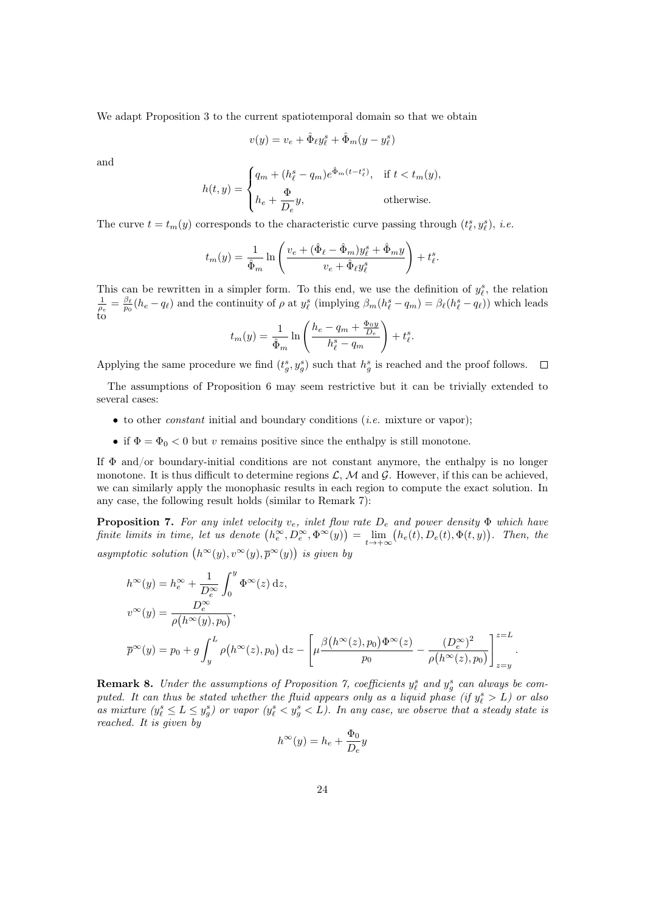We adapt Proposition [3](#page-15-0) to the current spatiotemporal domain so that we obtain

$$
v(y) = v_e + \hat{\Phi}_\ell y_\ell^s + \hat{\Phi}_m (y - y_\ell^s)
$$

and

$$
h(t,y) = \begin{cases} q_m + (h_\ell^s - q_m)e^{\hat{\Phi}_m(t - t_\ell^s)}, & \text{if } t < t_m(y), \\ h_e + \frac{\Phi}{D_e}y, & \text{otherwise.} \end{cases}
$$

The curve  $t = t_m(y)$  corresponds to the characteristic curve passing through  $(t_{\ell}^s, y_{\ell}^s)$ , *i.e.* 

$$
t_m(y) = \frac{1}{\hat{\Phi}_m} \ln \left( \frac{v_e + (\hat{\Phi}_\ell - \hat{\Phi}_m) y_\ell^s + \hat{\Phi}_m y}{v_e + \hat{\Phi}_\ell y_\ell^s} \right) + t_\ell^s.
$$

This can be rewritten in a simpler form. To this end, we use the definition of  $y_\ell^s$ , the relation  $\frac{1}{\rho_e} = \frac{\beta_\ell}{p_0} (h_e - q_\ell)$  and the continuity of  $\rho$  at  $y_\ell^s$  (implying  $\beta_m(h_\ell^s - q_m) = \beta_\ell(h_\ell^s - q_\ell)$ ) which leads to

$$
t_m(y) = \frac{1}{\hat{\Phi}_m} \ln \left( \frac{h_e - q_m + \frac{\Phi_0 y}{D_e}}{h_\ell^s - q_m} \right) + t_\ell^s.
$$

Applying the same procedure we find  $(t_g^s, y_g^s)$  such that  $h_g^s$  is reached and the proof follows.  $\Box$ 

The assumptions of Proposition [6](#page-20-0) may seem restrictive but it can be trivially extended to several cases:

- $\bullet$  to other *constant* initial and boundary conditions (*i.e.* mixture or vapor);
- if  $\Phi = \Phi_0 < 0$  but v remains positive since the enthalpy is still monotone.

If  $\Phi$  and/or boundary-initial conditions are not constant anymore, the enthalpy is no longer monotone. It is thus difficult to determine regions  $\mathcal{L}, \mathcal{M}$  and  $\mathcal{G}$ . However, if this can be achieved, we can similarly apply the monophasic results in each region to compute the exact solution. In any case, the following result holds (similar to Remark [7\)](#page-20-1):

<span id="page-23-0"></span>**Proposition 7.** For any inlet velocity  $v_e$ , inlet flow rate  $D_e$  and power density  $\Phi$  which have finite limits in time, let us denote  $(h_e^{\infty}, D_e^{\infty}, \Phi^{\infty}(y)) = \lim_{t \to +\infty} (h_e(t), D_e(t), \Phi(t, y))$ . Then, the asymptotic solution  $(h^{\infty}(y), v^{\infty}(y), \overline{p}^{\infty}(y))$  is given by

$$
h^{\infty}(y) = h^{\infty}_e + \frac{1}{D^{\infty}_e} \int_0^y \Phi^{\infty}(z) dz,
$$
  
\n
$$
v^{\infty}(y) = \frac{D^{\infty}_e}{\rho(h^{\infty}(y), p_0)},
$$
  
\n
$$
\overline{p}^{\infty}(y) = p_0 + g \int_y^L \rho(h^{\infty}(z), p_0) dz - \left[ \mu \frac{\beta(h^{\infty}(z), p_0) \Phi^{\infty}(z)}{p_0} - \frac{(D^{\infty}_e)^2}{\rho(h^{\infty}(z), p_0)} \right]_{z=y}^{z=L}.
$$

**Remark 8.** Under the assumptions of Proposition [7,](#page-23-0) coefficients  $y_{\ell}^s$  and  $y_g^s$  can always be computed. It can thus be stated whether the fluid appears only as a liquid phase (if  $y_{\ell}^s > L$ ) or also as mixture  $(y_\ell^s \le L \le y_g^s)$  or vapor  $(y_\ell^s < y_g^s < L)$ . In any case, we observe that a steady state is reached. It is given by

$$
h^{\infty}(y) = h_e + \frac{\Phi_0}{D_e}y
$$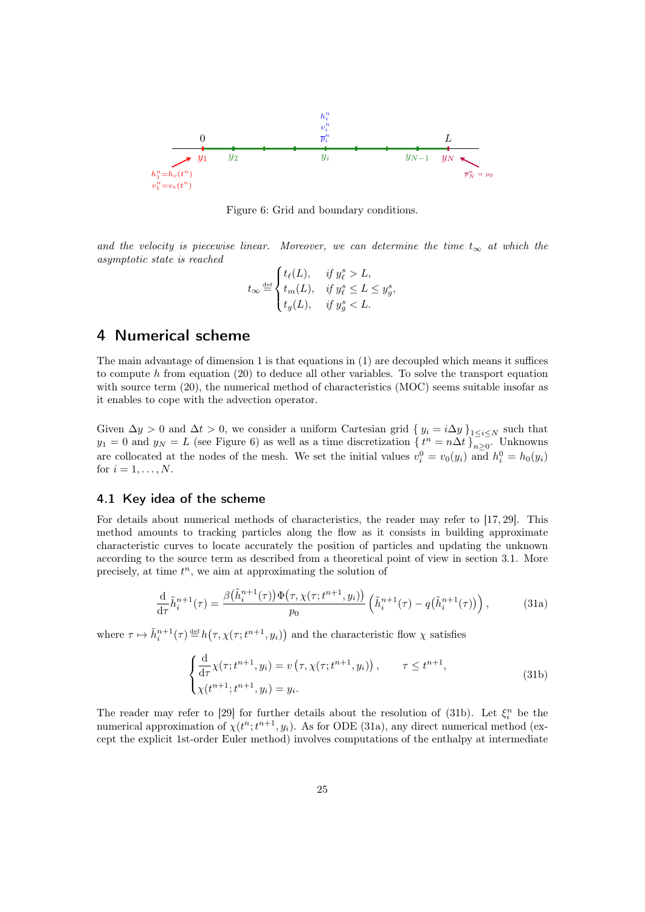

Figure 6: Grid and boundary conditions.

and the velocity is piecewise linear. Moreover, we can determine the time  $t_{\infty}$  at which the asymptotic state is reached

$$
t_{\infty} \stackrel{\text{def}}{=} \begin{cases} t_{\ell}(L), & \text{if } y_{\ell}^{s} > L, \\ t_{m}(L), & \text{if } y_{\ell}^{s} \le L \le y_{g}^{s}, \\ t_{g}(L), & \text{if } y_{g}^{s} < L. \end{cases}
$$

# <span id="page-24-0"></span>4 Numerical scheme

The main advantage of dimension 1 is that equations in [\(1\)](#page-3-0) are decoupled which means it suffices to compute h from equation  $(20)$  to deduce all other variables. To solve the transport equation with source term [\(20\)](#page-13-1), the numerical method of characteristics (MOC) seems suitable insofar as it enables to cope with the advection operator.

Given  $\Delta y > 0$  and  $\Delta t > 0$ , we consider a uniform Cartesian grid  $\{y_i = i\Delta y\}_{1 \leq i \leq N}$  such that  $y_1 = 0$  and  $y_N = L$  (see Figure [6\)](#page-21-2) as well as a time discretization  $\{t^n = n\Delta t\}_{n>0}^{\infty}$ . Unknowns are collocated at the nodes of the mesh. We set the initial values  $v_i^0 = v_0(y_i)$  and  $h_i^0 = h_0(y_i)$ for  $i = 1, \ldots, N$ .

### 4.1 Key idea of the scheme

For details about numerical methods of characteristics, the reader may refer to [\[17,](#page-40-15) [29\]](#page-41-8). This method amounts to tracking particles along the flow as it consists in building approximate characteristic curves to locate accurately the position of particles and updating the unknown according to the source term as described from a theoretical point of view in section [3.1.](#page-15-4) More precisely, at time  $t^n$ , we aim at approximating the solution of

<span id="page-24-2"></span>
$$
\frac{\mathrm{d}}{\mathrm{d}\tau}\tilde{h}_i^{n+1}(\tau) = \frac{\beta(\tilde{h}_i^{n+1}(\tau))\Phi(\tau, \chi(\tau; t^{n+1}, y_i))}{p_0}\left(\tilde{h}_i^{n+1}(\tau) - q(\tilde{h}_i^{n+1}(\tau))\right),\tag{31a}
$$

where  $\tau \mapsto \tilde{h}_i^{n+1}(\tau) \stackrel{\text{def}}{=} h(\tau, \chi(\tau; t^{n+1}, y_i))$  and the characteristic flow  $\chi$  satisfies

<span id="page-24-1"></span>
$$
\begin{cases}\n\frac{\mathrm{d}}{\mathrm{d}\tau}\chi(\tau;t^{n+1},y_i) = v\left(\tau,\chi(\tau;t^{n+1},y_i)\right), & \tau \le t^{n+1}, \\
\chi(t^{n+1};t^{n+1},y_i) = y_i.\n\end{cases}
$$
\n(31b)

The reader may refer to [\[29\]](#page-41-8) for further details about the resolution of [\(31b\)](#page-24-1). Let  $\xi_i^n$  be the numerical approximation of  $\chi(t^n; t^{n+1}, y_i)$ . As for ODE [\(31a\)](#page-24-2), any direct numerical method (except the explicit 1st-order Euler method) involves computations of the enthalpy at intermediate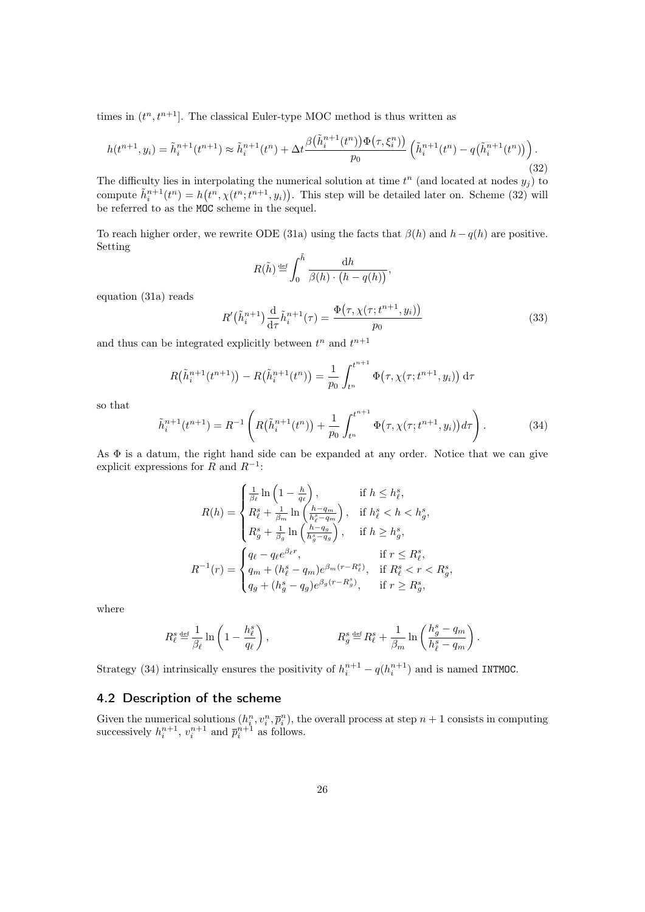times in  $(t^n, t^{n+1}]$ . The classical Euler-type MOC method is thus written as

<span id="page-25-0"></span>
$$
h(t^{n+1}, y_i) = \tilde{h}_i^{n+1}(t^{n+1}) \approx \tilde{h}_i^{n+1}(t^n) + \Delta t \frac{\beta(\tilde{h}_i^{n+1}(t^n))\Phi(\tau, \xi_i^n))}{p_0} \left(\tilde{h}_i^{n+1}(t^n) - q(\tilde{h}_i^{n+1}(t^n))\right).
$$
\n(32)

The difficulty lies in interpolating the numerical solution at time  $t^n$  (and located at nodes  $y_j$ ) to compute  $\tilde{h}_i^{n+1}(t^n) = h(t^n, \chi(t^n; t^{n+1}, y_i)).$  This step will be detailed later on. Scheme [\(32\)](#page-25-0) will be referred to as the MOC scheme in the sequel.

To reach higher order, we rewrite ODE [\(31a\)](#page-24-2) using the facts that  $\beta(h)$  and  $h-q(h)$  are positive. Setting

$$
R(\tilde{h}) \stackrel{\text{def}}{=} \int_0^{\tilde{h}} \frac{\mathrm{d}h}{\beta(h) \cdot (h - q(h))},
$$

equation [\(31a\)](#page-24-2) reads

<span id="page-25-2"></span>
$$
R'(\tilde{h}_i^{n+1})\frac{\mathrm{d}}{\mathrm{d}\tau}\tilde{h}_i^{n+1}(\tau) = \frac{\Phi(\tau, \chi(\tau; t^{n+1}, y_i))}{p_0} \tag{33}
$$

and thus can be integrated explicitly between  $t^n$  and  $t^{n+1}$ 

$$
R(\tilde{h}_i^{n+1}(t^{n+1})) - R(\tilde{h}_i^{n+1}(t^n)) = \frac{1}{p_0} \int_{t^n}^{t^{n+1}} \Phi(\tau, \chi(\tau; t^{n+1}, y_i)) d\tau
$$

so that

<span id="page-25-1"></span>
$$
\tilde{h}_i^{n+1}(t^{n+1}) = R^{-1} \left( R(\tilde{h}_i^{n+1}(t^n)) + \frac{1}{p_0} \int_{t^n}^{t^{n+1}} \Phi(\tau, \chi(\tau; t^{n+1}, y_i)) d\tau \right). \tag{34}
$$

As Φ is a datum, the right hand side can be expanded at any order. Notice that we can give explicit expressions for R and  $R^{-1}$ :

$$
R(h) = \begin{cases} \frac{1}{\beta_{\ell}} \ln \left( 1 - \frac{h}{q_{\ell}} \right), & \text{if } h \leq h_{\ell}^{s}, \\ R_{\ell}^{s} + \frac{1}{\beta_{m}} \ln \left( \frac{h - q_{m}}{h_{\ell}^{s} - q_{m}} \right), & \text{if } h_{\ell}^{s} < h < h_{g}^{s}, \\ R_{g}^{s} + \frac{1}{\beta_{g}} \ln \left( \frac{h - q_{g}}{h_{g}^{s} - q_{g}} \right), & \text{if } h \geq h_{g}^{s}, \\ R^{-1}(r) = \begin{cases} q_{\ell} - q_{\ell} e^{\beta_{\ell} r}, & \text{if } r \leq R_{\ell}^{s}, \\ q_{m} + (h_{\ell}^{s} - q_{m}) e^{\beta_{m}(r - R_{\ell}^{s})}, & \text{if } R_{\ell}^{s} < r < R_{g}^{s}, \\ q_{g} + (h_{g}^{s} - q_{g}) e^{\beta_{g}(r - R_{g}^{s})}, & \text{if } r \geq R_{g}^{s}, \end{cases}
$$

where

$$
R_{\ell}^s \stackrel{\text{\tiny def}}{=} \frac{1}{\beta_{\ell}} \ln \left( 1 - \frac{h_{\ell}^s}{q_{\ell}} \right), \qquad \qquad R_g^s \stackrel{\text{\tiny def}}{=} R_{\ell}^s + \frac{1}{\beta_m} \ln \left( \frac{h_g^s - q_m}{h_{\ell}^s - q_m} \right).
$$

Strategy [\(34\)](#page-25-1) intrinsically ensures the positivity of  $h_i^{n+1} - q(h_i^{n+1})$  and is named INTMOC.

## 4.2 Description of the scheme

Given the numerical solutions  $(h_i^n, v_i^n, \bar{p}_i^n)$ , the overall process at step  $n+1$  consists in computing successively  $h_i^{n+1}$ ,  $v_i^{n+1}$  and  $\overline{p}_i^{n+1}$  as follows.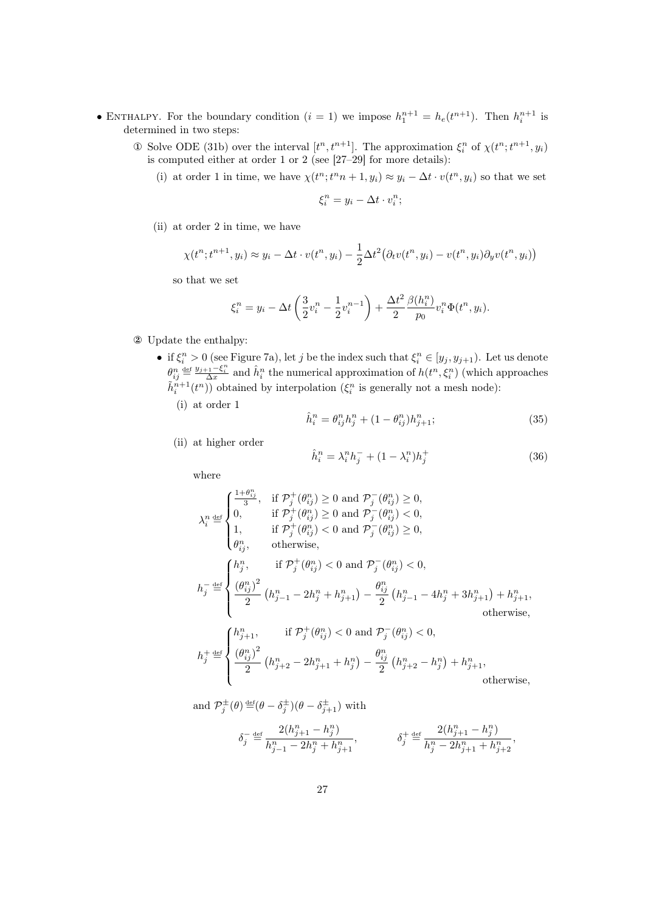- ENTHALPY. For the boundary condition  $(i = 1)$  we impose  $h_1^{n+1} = h_e(t^{n+1})$ . Then  $h_i^{n+1}$  is determined in two steps:
	- **①** Solve ODE [\(31b\)](#page-24-1) over the interval  $[t^n, t^{n+1}]$ . The approximation  $\xi_i^n$  of  $\chi(t^n; t^{n+1}, y_i)$ is computed either at order 1 or 2 (see [\[27–](#page-41-9)[29\]](#page-41-8) for more details):
		- (i) at order 1 in time, we have  $\chi(t^n; t^n n + 1, y_i) \approx y_i \Delta t \cdot v(t^n, y_i)$  so that we set

$$
\xi_i^n = y_i - \Delta t \cdot v_i^n;
$$

(ii) at order 2 in time, we have

$$
\chi(t^n; t^{n+1}, y_i) \approx y_i - \Delta t \cdot v(t^n, y_i) - \frac{1}{2} \Delta t^2 (\partial_t v(t^n, y_i) - v(t^n, y_i) \partial_y v(t^n, y_i))
$$

so that we set

$$
\xi_i^n = y_i - \Delta t \left( \frac{3}{2} v_i^n - \frac{1}{2} v_i^{n-1} \right) + \frac{\Delta t^2}{2} \frac{\beta(h_i^n)}{p_0} v_i^n \Phi(t^n, y_i).
$$

- ② Update the enthalpy:
	- if  $\xi_i^n > 0$  (see Figure [7a\)](#page-28-0), let j be the index such that  $\xi_i^n \in [y_j, y_{j+1})$ . Let us denote  $\theta_{ij}^n \stackrel{\text{def}}{=} \frac{y_{j+1}-\xi_i^n}{\Delta x}$  and  $\hat{h}_i^n$  the numerical approximation of  $h(t^n, \xi_i^n)$  (which approaches  $\tilde{h}_i^{n+1}(t^n)$ ) obtained by interpolation  $(\xi_i^n)$  is generally not a mesh node):

(i) at order 1

<span id="page-26-1"></span>
$$
\hat{h}_i^n = \theta_{ij}^n h_j^n + (1 - \theta_{ij}^n) h_{j+1}^n; \tag{35}
$$

(ii) at higher order

<span id="page-26-0"></span>
$$
\hat{h}_i^n = \lambda_i^n h_j^- + (1 - \lambda_i^n) h_j^+ \tag{36}
$$

where

$$
\label{eq:22} \begin{split} \lambda_i^n \overset{\text{def}}{=} \begin{cases} \frac{1+\theta_{ij}^n}{3}, & \text{if} \ \mathcal{P}_j^+(\theta_{ij}^n) \geq 0 \ \text{and} \ \mathcal{P}_j^-(\theta_{ij}^n) \geq 0, \\ 0, & \text{if} \ \mathcal{P}_j^+(\theta_{ij}^n) \geq 0 \ \text{and} \ \mathcal{P}_j^-(\theta_{ij}^n) < 0, \\ 1, & \text{if} \ \mathcal{P}_j^+(\theta_{ij}^n) < 0 \ \text{and} \ \mathcal{P}_j^-(\theta_{ij}^n) \geq 0, \\ \theta_{ij}^n, & \text{otherwise}, \end{cases} \\ h_j^- \overset{\text{def}}{=} \begin{cases} h_j^n, & \text{if} \ \mathcal{P}_j^+(\theta_{ij}^n) < 0 \ \text{and} \ \mathcal{P}_j^-(\theta_{ij}^n) < 0, \\ \frac{(\theta_{ij}^n)^2}{2}\left(h_{j-1}^n - 2h_j^n + h_{j+1}^n\right) - \frac{\theta_{ij}^n}{2}\left(h_{j-1}^n - 4h_j^n + 3h_{j+1}^n\right) + h_{j+1}^n, \\ & \text{otherwise}, \end{cases} \\ h_j^+ \overset{\text{def}}{=} \begin{cases} h_{j+1}^n, & \text{if} \ \mathcal{P}_j^+(\theta_{ij}^n) < 0 \ \text{and} \ \mathcal{P}_j^-(\theta_{ij}^n) < 0, \\ \frac{(\theta_{ij}^n)^2}{2}\left(h_{j+2}^n - 2h_{j+1}^n + h_j^n\right) - \frac{\theta_{ij}^n}{2}\left(h_{j+2}^n - h_j^n\right) + h_{j+1}^n, \\ & \text{otherwise}, \end{cases} \end{cases}
$$

and  $\mathcal{P}_j^{\pm}(\theta) \stackrel{\text{def}}{=} (\theta - \delta_j^{\pm})(\theta - \delta_{j+1}^{\pm})$  with

$$
\delta_j^- \stackrel{\text{\tiny def}}{=} \frac{2(h_{j+1}^n - h_j^n)}{h_{j-1}^n - 2h_j^n + h_{j+1}^n}, \qquad \qquad \delta_j^+ \stackrel{\text{\tiny def}}{=} \frac{2(h_{j+1}^n - h_j^n)}{h_j^n - 2h_{j+1}^n + h_{j+2}^n},
$$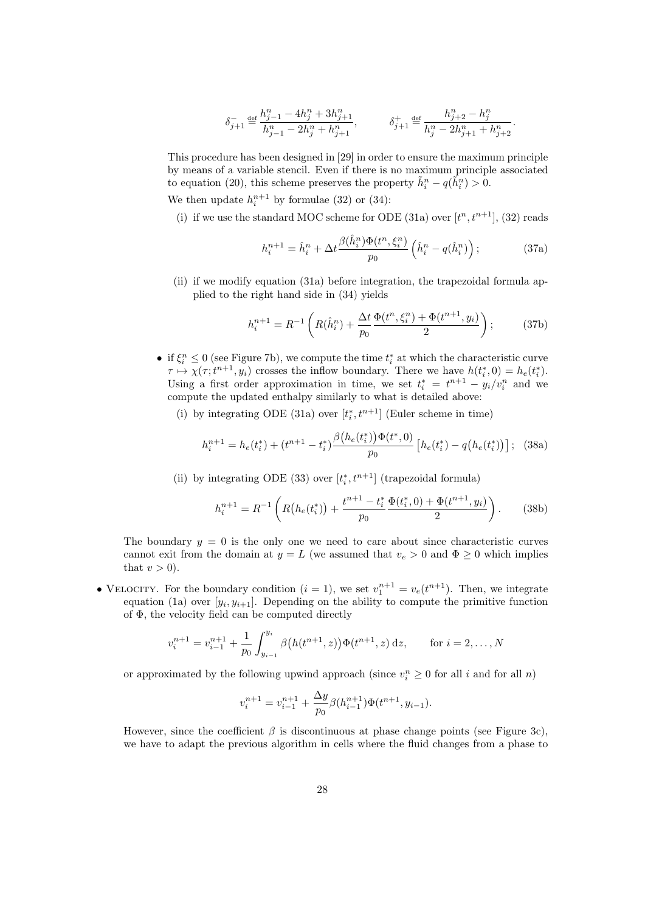$$
\delta_{j+1}^- \stackrel{\text{def}}{=} \frac{h_{j-1}^n - 4h_j^n + 3h_{j+1}^n}{h_{j-1}^n - 2h_j^n + h_{j+1}^n}, \hspace{30pt} \delta_{j+1}^+ \stackrel{\text{def}}{=} \frac{h_{j+2}^n - h_j^n}{h_j^n - 2h_{j+1}^n + h_{j+2}^n}.
$$

This procedure has been designed in [\[29\]](#page-41-8) in order to ensure the maximum principle by means of a variable stencil. Even if there is no maximum principle associated to equation [\(20\)](#page-13-1), this scheme preserves the property  $\tilde{h}_i^n - q(\tilde{h}_i^n) > 0$ .

We then update  $h_i^{n+1}$  by formulae [\(32\)](#page-25-0) or [\(34\)](#page-25-1):

(i) if we use the standard MOC scheme for ODE [\(31a\)](#page-24-2) over  $[t<sup>n</sup>, t<sup>n+1</sup>]$ , [\(32\)](#page-25-0) reads

<span id="page-27-2"></span>
$$
h_i^{n+1} = \hat{h}_i^n + \Delta t \frac{\beta(\hat{h}_i^n) \Phi(t^n, \xi_i^n)}{p_0} \left(\hat{h}_i^n - q(\hat{h}_i^n)\right);
$$
 (37a)

(ii) if we modify equation [\(31a\)](#page-24-2) before integration, the trapezoidal formula applied to the right hand side in [\(34\)](#page-25-1) yields

<span id="page-27-0"></span>
$$
h_i^{n+1} = R^{-1} \left( R(\hat{h}_i^n) + \frac{\Delta t}{p_0} \frac{\Phi(t^n, \xi_i^n) + \Phi(t^{n+1}, y_i)}{2} \right); \tag{37b}
$$

- if  $\xi_i^n \leq 0$  (see Figure [7b\)](#page-28-1), we compute the time  $t_i^*$  at which the characteristic curve  $\tau \mapsto \chi(\tau; t^{n+1}, y_i)$  crosses the inflow boundary. There we have  $h(t_i^*, 0) = h_e(t_i^*)$ . Using a first order approximation in time, we set  $t_i^* = t^{n+1} - y_i/v_i^n$  and we compute the updated enthalpy similarly to what is detailed above:
	- (i) by integrating ODE [\(31a\)](#page-24-2) over  $[t_i^*, t^{n+1}]$  (Euler scheme in time)

<span id="page-27-3"></span>
$$
h_i^{n+1} = h_e(t_i^*) + (t^{n+1} - t_i^*) \frac{\beta \left(h_e(t_i^*)\right) \Phi(t^*, 0)}{p_0} \left[h_e(t_i^*) - q\left(h_e(t_i^*)\right)\right]; \tag{38a}
$$

(ii) by integrating ODE [\(33\)](#page-25-2) over  $[t_i^*, t^{n+1}]$  (trapezoidal formula)

<span id="page-27-1"></span>
$$
h_i^{n+1} = R^{-1} \left( R\big(h_e(t_i^*)\big) + \frac{t^{n+1} - t_i^*}{p_0} \frac{\Phi(t_i^*, 0) + \Phi(t^{n+1}, y_i)}{2} \right). \tag{38b}
$$

The boundary  $y = 0$  is the only one we need to care about since characteristic curves cannot exit from the domain at  $y = L$  (we assumed that  $v_e > 0$  and  $\Phi \ge 0$  which implies that  $v > 0$ ).

• VELOCITY. For the boundary condition  $(i = 1)$ , we set  $v_1^{n+1} = v_e(t^{n+1})$ . Then, we integrate equation [\(1a\)](#page-3-1) over  $[y_i, y_{i+1}]$ . Depending on the ability to compute the primitive function of Φ, the velocity field can be computed directly

$$
v_i^{n+1} = v_{i-1}^{n+1} + \frac{1}{p_0} \int_{y_{i-1}}^{y_i} \beta\big(h(t^{n+1}, z)\big) \Phi(t^{n+1}, z) \, dz, \qquad \text{for } i = 2, \dots, N
$$

or approximated by the following upwind approach (since  $v_i^n \geq 0$  for all i and for all  $n$ )

$$
v_i^{n+1} = v_{i-1}^{n+1} + \frac{\Delta y}{p_0} \beta(h_{i-1}^{n+1}) \Phi(t^{n+1}, y_{i-1}).
$$

However, since the coefficient  $\beta$  is discontinuous at phase change points (see Figure [3c\)](#page-14-1), we have to adapt the previous algorithm in cells where the fluid changes from a phase to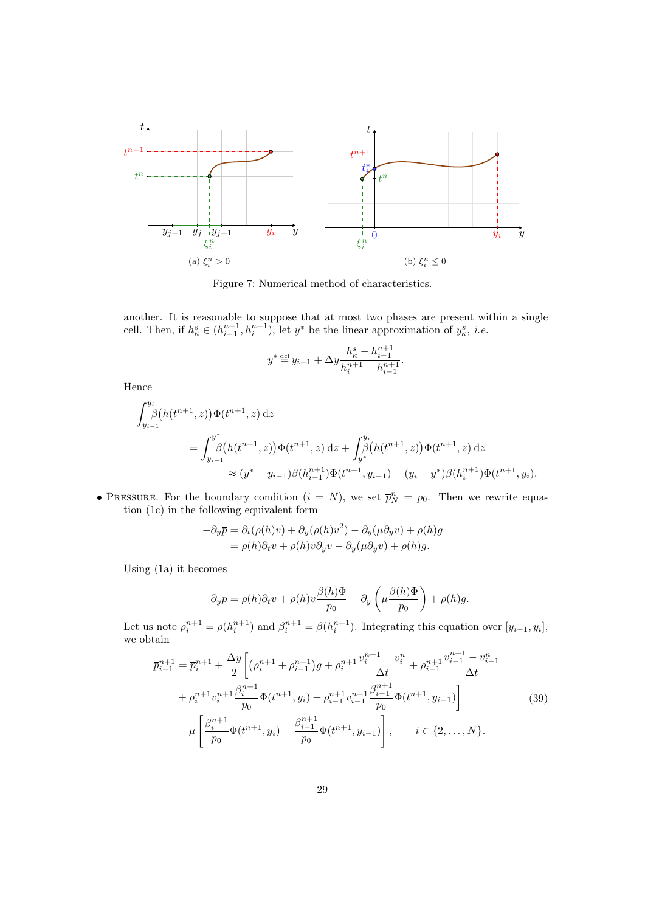<span id="page-28-2"></span>

<span id="page-28-1"></span>Figure 7: Numerical method of characteristics.

<span id="page-28-0"></span>another. It is reasonable to suppose that at most two phases are present within a single cell. Then, if  $h_{\kappa}^s \in (h_{i-1}^{n+1}, h_i^{n+1})$ , let  $y^*$  be the linear approximation of  $y_{\kappa}^s$ , *i.e.* 

$$
y^* \stackrel{\text{def}}{=} y_{i-1} + \Delta y \frac{h_{\kappa}^s - h_{i-1}^{n+1}}{h_i^{n+1} - h_{i-1}^{n+1}}.
$$

Hence

$$
\int_{y_{i-1}}^{y_i} \beta(h(t^{n+1}, z)) \Phi(t^{n+1}, z) dz
$$
  
= 
$$
\int_{y_{i-1}}^{y^*} \beta(h(t^{n+1}, z)) \Phi(t^{n+1}, z) dz + \int_{y^*}^{y_i} \beta(h(t^{n+1}, z)) \Phi(t^{n+1}, z) dz
$$
  

$$
\approx (y^* - y_{i-1}) \beta(h_{i-1}^{n+1}) \Phi(t^{n+1}, y_{i-1}) + (y_i - y^*) \beta(h_i^{n+1}) \Phi(t^{n+1}, y_i).
$$

• PRESSURE. For the boundary condition  $(i = N)$ , we set  $\overline{p}_N^n = p_0$ . Then we rewrite equation [\(1c\)](#page-3-1) in the following equivalent form

$$
-\partial_y \overline{p} = \partial_t(\rho(h)v) + \partial_y(\rho(h)v^2) - \partial_y(\mu \partial_y v) + \rho(h)g
$$
  
=  $\rho(h)\partial_t v + \rho(h)v\partial_y v - \partial_y(\mu \partial_y v) + \rho(h)g$ .

Using [\(1a\)](#page-3-1) it becomes

$$
-\partial_y \overline{p} = \rho(h)\partial_t v + \rho(h)v \frac{\beta(h)\Phi}{p_0} - \partial_y \left(\mu \frac{\beta(h)\Phi}{p_0}\right) + \rho(h)g.
$$

Let us note  $\rho_i^{n+1} = \rho(h_i^{n+1})$  and  $\beta_i^{n+1} = \beta(h_i^{n+1})$ . Integrating this equation over  $[y_{i-1}, y_i]$ , we obtain

<span id="page-28-3"></span>
$$
\overline{p}_{i-1}^{n+1} = \overline{p}_i^{n+1} + \frac{\Delta y}{2} \bigg[ \left( \rho_i^{n+1} + \rho_{i-1}^{n+1} \right) g + \rho_i^{n+1} \frac{v_i^{n+1} - v_i^n}{\Delta t} + \rho_{i-1}^{n+1} \frac{v_{i-1}^{n+1} - v_{i-1}^n}{\Delta t} + \rho_i^{n+1} v_i^{n+1} \frac{\beta_i^{n+1}}{p_0} \Phi(t^{n+1}, y_i) + \rho_{i-1}^{n+1} v_{i-1}^{n+1} \frac{\beta_i^{n+1}}{p_0} \Phi(t^{n+1}, y_{i-1}) \bigg] - \mu \bigg[ \frac{\beta_i^{n+1}}{p_0} \Phi(t^{n+1}, y_i) - \frac{\beta_i^{n+1}}{p_0} \Phi(t^{n+1}, y_{i-1}) \bigg], \qquad i \in \{2, ..., N\}.
$$
\n(39)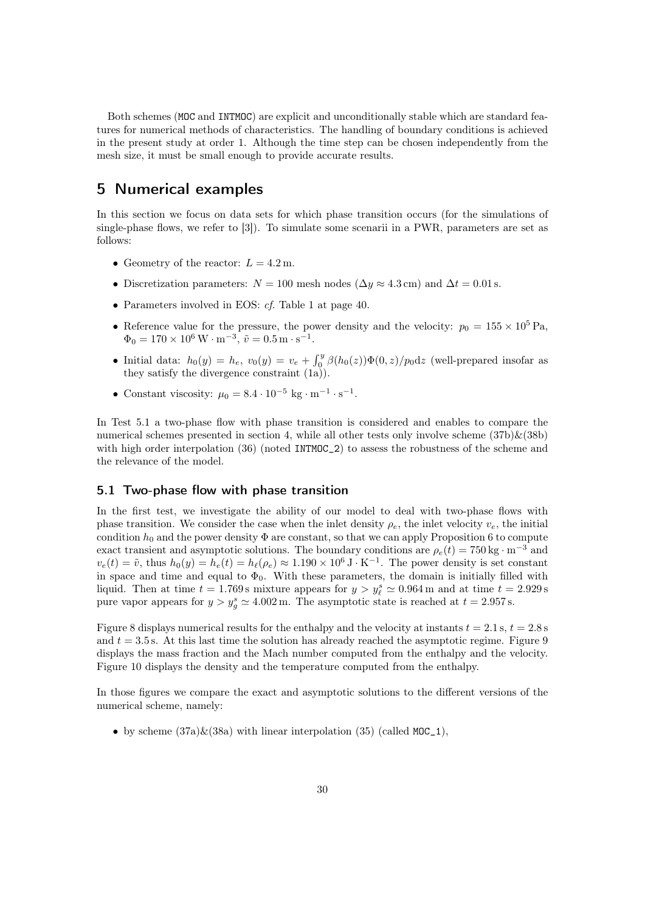Both schemes (MOC and INTMOC) are explicit and unconditionally stable which are standard features for numerical methods of characteristics. The handling of boundary conditions is achieved in the present study at order 1. Although the time step can be chosen independently from the mesh size, it must be small enough to provide accurate results.

# 5 Numerical examples

In this section we focus on data sets for which phase transition occurs (for the simulations of single-phase flows, we refer to [\[3\]](#page-40-8)). To simulate some scenarii in a PWR, parameters are set as follows:

- Geometry of the reactor:  $L = 4.2$  m.
- Discretization parameters:  $N = 100$  mesh nodes ( $\Delta y \approx 4.3$  cm) and  $\Delta t = 0.01$  s.
- Parameters involved in EOS: cf. Table [1](#page-0-2) at page [40.](#page-0-2)
- Reference value for the pressure, the power density and the velocity:  $p_0 = 155 \times 10^5$  Pa,  $\Phi_0 = 170 \times 10^6 \,\mathrm{W} \cdot \mathrm{m}^{-3}, \, \tilde{v} = 0.5 \,\mathrm{m} \cdot \mathrm{s}^{-1}.$
- Initial data:  $h_0(y) = h_e$ ,  $v_0(y) = v_e + \int_0^y \beta(h_0(z)) \Phi(0, z)/p_0 dz$  (well-prepared insofar as they satisfy the divergence constraint [\(1a\)](#page-3-1)).
- Constant viscosity:  $\mu_0 = 8.4 \cdot 10^{-5} \text{ kg} \cdot \text{m}^{-1} \cdot \text{s}^{-1}$ .

In Test [5.1](#page-29-0) a two-phase flow with phase transition is considered and enables to compare the numerical schemes presented in section [4,](#page-24-0) while all other tests only involve scheme  $(37b)\&(38b)$  $(37b)\&(38b)$  $(37b)\&(38b)$ with high order interpolation [\(36\)](#page-26-0) (noted INTMOC<sub>2</sub>) to assess the robustness of the scheme and the relevance of the model.

### <span id="page-29-0"></span>5.1 Two-phase flow with phase transition

In the first test, we investigate the ability of our model to deal with two-phase flows with phase transition. We consider the case when the inlet density  $\rho_e$ , the inlet velocity  $v_e$ , the initial condition  $h_0$  and the power density  $\Phi$  are constant, so that we can apply Proposition [6](#page-20-0) to compute exact transient and asymptotic solutions. The boundary conditions are  $\rho_e(t) = 750 \text{ kg} \cdot \text{m}^{-3}$  and  $v_e(t) = \tilde{v}$ , thus  $h_0(y) = h_e(t) = h_\ell(\rho_e) \approx 1.190 \times 10^6 \,\text{J} \cdot \text{K}^{-1}$ . The power density is set constant in space and time and equal to  $\Phi_0$ . With these parameters, the domain is initially filled with liquid. Then at time  $t = 1.769$  s mixture appears for  $y > y_\ell^s \simeq 0.964$  m and at time  $t = 2.929$  s pure vapor appears for  $y > y_g^s \simeq 4.002 \,\text{m}$ . The asymptotic state is reached at  $t = 2.957 \,\text{s}$ .

Figure [8](#page-28-2) displays numerical results for the enthalpy and the velocity at instants  $t = 2.1$  s,  $t = 2.8$  s and  $t = 3.5$  s. At this last time the solution has already reached the asymptotic regime. Figure [9](#page-31-0) displays the mass fraction and the Mach number computed from the enthalpy and the velocity. Figure [10](#page-32-0) displays the density and the temperature computed from the enthalpy.

In those figures we compare the exact and asymptotic solutions to the different versions of the numerical scheme, namely:

• by scheme  $(37a)\&(38a)$  $(37a)\&(38a)$  $(37a)\&(38a)$  with linear interpolation  $(35)$  (called MOC<sub>1</sub>),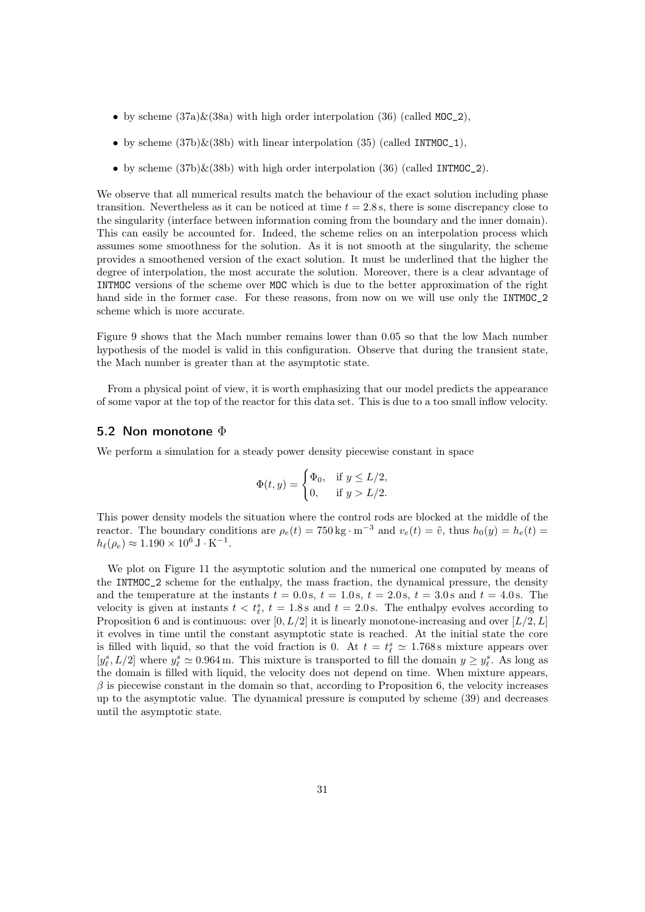- by scheme  $(37a)\&(38a)$  $(37a)\&(38a)$  $(37a)\&(38a)$  with high order interpolation  $(36)$  (called MOC\_2),
- by scheme  $(37b)\&(38b)$  $(37b)\&(38b)$  $(37b)\&(38b)$  with linear interpolation  $(35)$  (called INTMOC<sub>1</sub>),
- by scheme  $(37b)\&(38b)$  $(37b)\&(38b)$  $(37b)\&(38b)$  with high order interpolation  $(36)$  (called INTMOC<sub>-2</sub>).

We observe that all numerical results match the behaviour of the exact solution including phase transition. Nevertheless as it can be noticed at time  $t = 2.8$  s, there is some discrepancy close to the singularity (interface between information coming from the boundary and the inner domain). This can easily be accounted for. Indeed, the scheme relies on an interpolation process which assumes some smoothness for the solution. As it is not smooth at the singularity, the scheme provides a smoothened version of the exact solution. It must be underlined that the higher the degree of interpolation, the most accurate the solution. Moreover, there is a clear advantage of INTMOC versions of the scheme over MOC which is due to the better approximation of the right hand side in the former case. For these reasons, from now on we will use only the INTMOC 2 scheme which is more accurate.

Figure [9](#page-31-0) shows that the Mach number remains lower than 0.05 so that the low Mach number hypothesis of the model is valid in this configuration. Observe that during the transient state, the Mach number is greater than at the asymptotic state.

From a physical point of view, it is worth emphasizing that our model predicts the appearance of some vapor at the top of the reactor for this data set. This is due to a too small inflow velocity.

#### <span id="page-30-0"></span>5.2 Non monotone  $\Phi$

We perform a simulation for a steady power density piecewise constant in space

$$
\Phi(t, y) = \begin{cases} \Phi_0, & \text{if } y \le L/2, \\ 0, & \text{if } y > L/2. \end{cases}
$$

This power density models the situation where the control rods are blocked at the middle of the reactor. The boundary conditions are  $\rho_e(t) = 750 \text{ kg} \cdot \text{m}^{-3}$  and  $v_e(t) = \tilde{v}$ , thus  $h_0(y) = h_e(t)$  $h_{\ell}(\rho_e) \approx 1.190 \times 10^6 \,\text{J} \cdot \text{K}^{-1}.$ 

We plot on Figure [11](#page-33-0) the asymptotic solution and the numerical one computed by means of the INTMOC\_2 scheme for the enthalpy, the mass fraction, the dynamical pressure, the density and the temperature at the instants  $t = 0.0$  s,  $t = 1.0$  s,  $t = 2.0$  s,  $t = 3.0$  s and  $t = 4.0$  s. The velocity is given at instants  $t < t_{\ell}^s$ ,  $t = 1.8$  s and  $t = 2.0$  s. The enthalpy evolves according to Proposition [6](#page-20-0) and is continuous: over  $[0, L/2]$  it is linearly monotone-increasing and over  $[L/2, L]$ it evolves in time until the constant asymptotic state is reached. At the initial state the core is filled with liquid, so that the void fraction is 0. At  $t = t_{\ell}^{s} \approx 1.768$  s mixture appears over  $[y_\ell^s, L/2]$  where  $y_\ell^s \simeq 0.964$  m. This mixture is transported to fill the domain  $y \ge y_\ell^s$ . As long as the domain is filled with liquid, the velocity does not depend on time. When mixture appears,  $\beta$  is piecewise constant in the domain so that, according to Proposition [6,](#page-20-0) the velocity increases up to the asymptotic value. The dynamical pressure is computed by scheme [\(39\)](#page-28-3) and decreases until the asymptotic state.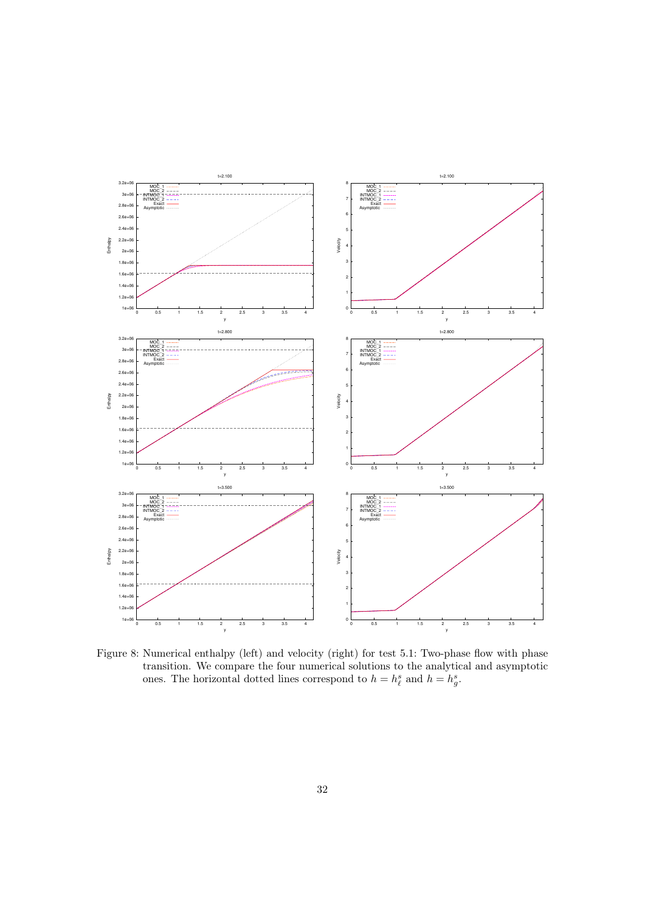<span id="page-31-0"></span>

Figure 8: Numerical enthalpy (left) and velocity (right) for test [5.1: Two-phase flow with phase](#page-29-0) [transition.](#page-29-0) We compare the four numerical solutions to the analytical and asymptotic ones. The horizontal dotted lines correspond to  $h = h_{\ell}^{s}$  and  $h = h_{g}^{s}$ .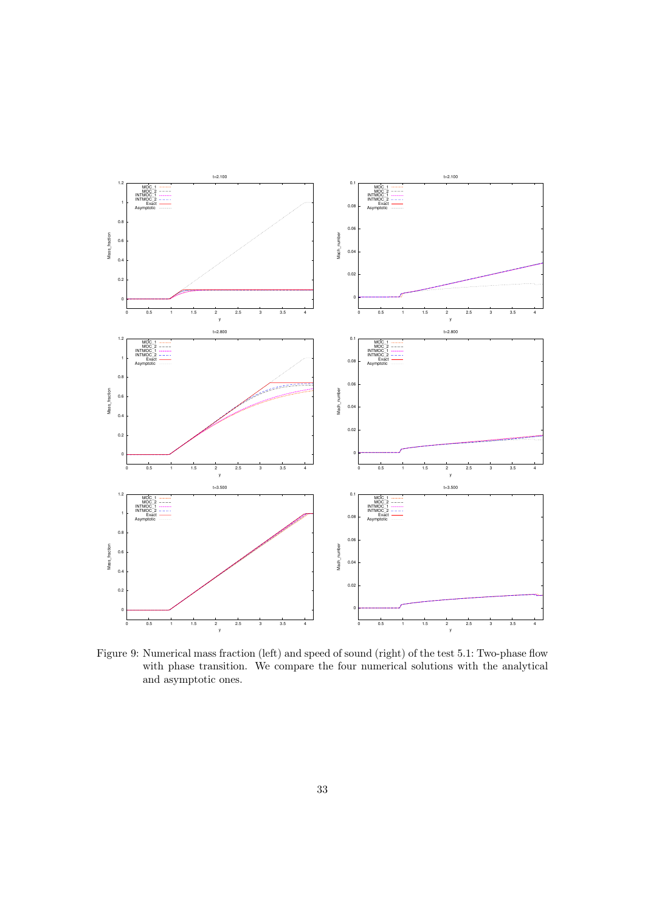<span id="page-32-0"></span>

Figure 9: Numerical mass fraction (left) and speed of sound (right) of the test [5.1: Two-phase flow](#page-29-0) [with phase transition.](#page-29-0) We compare the four numerical solutions with the analytical and asymptotic ones.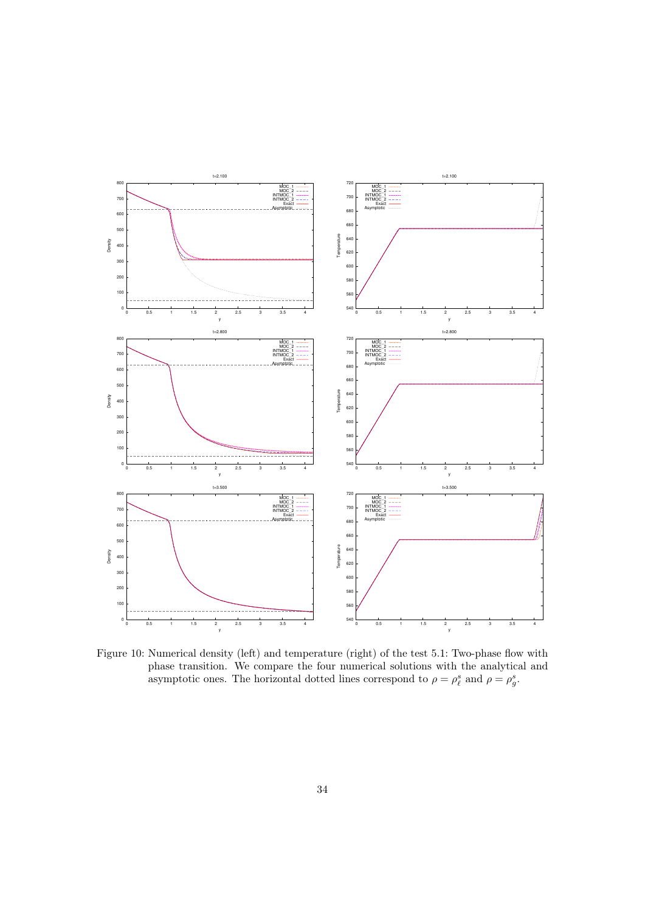<span id="page-33-0"></span>

Figure 10: Numerical density (left) and temperature (right) of the test [5.1: Two-phase flow with](#page-29-0) [phase transition.](#page-29-0) We compare the four numerical solutions with the analytical and asymptotic ones. The horizontal dotted lines correspond to  $\rho = \rho_{\ell}^{s}$  and  $\rho = \rho_{g}^{s}$ .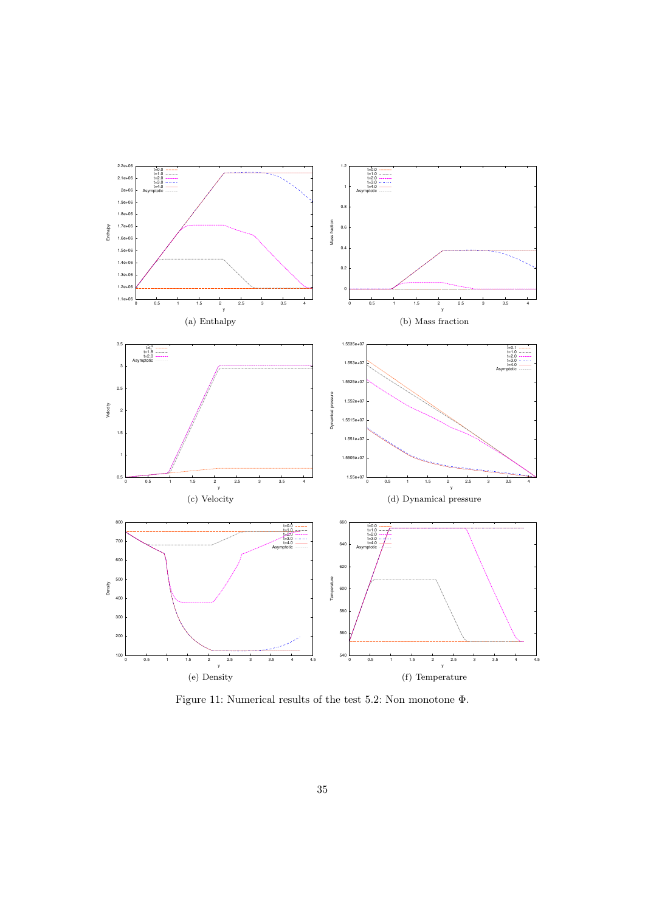<span id="page-34-0"></span>

Figure 11: Numerical results of the test [5.2: Non monotone](#page-30-0) Φ.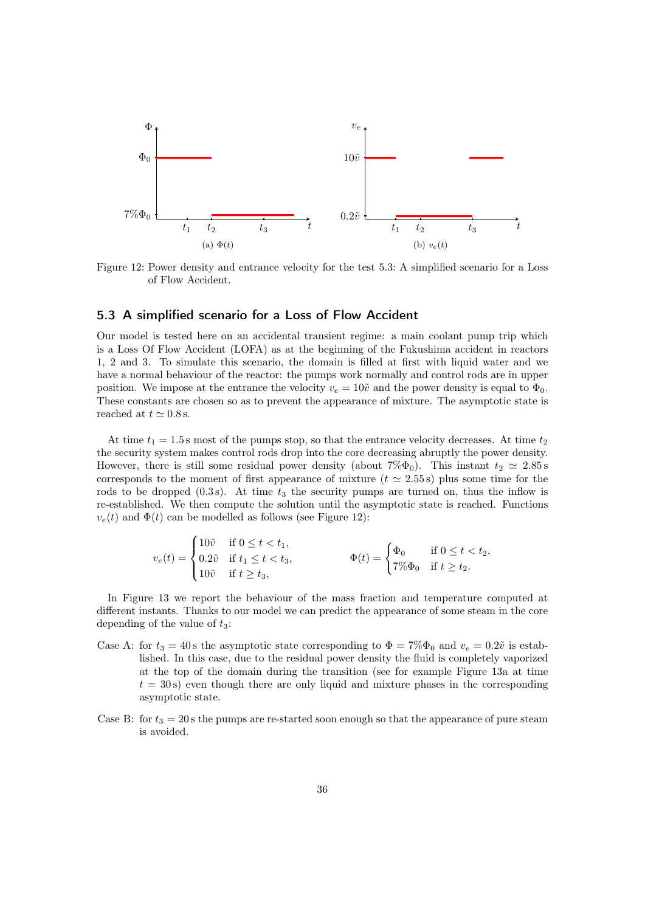<span id="page-35-1"></span>

Figure 12: Power density and entrance velocity for the test [5.3: A simplified scenario for a Loss](#page-35-0) [of Flow Accident.](#page-35-0)

### <span id="page-35-0"></span>5.3 A simplified scenario for a Loss of Flow Accident

Our model is tested here on an accidental transient regime: a main coolant pump trip which is a Loss Of Flow Accident (LOFA) as at the beginning of the Fukushima accident in reactors 1, 2 and 3. To simulate this scenario, the domain is filled at first with liquid water and we have a normal behaviour of the reactor: the pumps work normally and control rods are in upper position. We impose at the entrance the velocity  $v_e = 10\tilde{v}$  and the power density is equal to  $\Phi_0$ . These constants are chosen so as to prevent the appearance of mixture. The asymptotic state is reached at  $t \approx 0.8$  s.

At time  $t_1 = 1.5$  s most of the pumps stop, so that the entrance velocity decreases. At time  $t_2$ the security system makes control rods drop into the core decreasing abruptly the power density. However, there is still some residual power density (about  $7\% \Phi_0$ ). This instant  $t_2 \simeq 2.85$  s corresponds to the moment of first appearance of mixture  $(t \approx 2.55 s)$  plus some time for the rods to be dropped  $(0.3 s)$ . At time  $t_3$  the security pumps are turned on, thus the inflow is re-established. We then compute the solution until the asymptotic state is reached. Functions  $v_e(t)$  and  $\Phi(t)$  can be modelled as follows (see Figure [12\)](#page-34-0):

$$
v_e(t) = \begin{cases} 10\tilde{v} & \text{if } 0 \le t < t_1, \\ 0.2\tilde{v} & \text{if } t_1 \le t < t_3, \\ 10\tilde{v} & \text{if } t \ge t_3, \end{cases} \qquad \qquad \Phi(t) = \begin{cases} \Phi_0 & \text{if } 0 \le t < t_2, \\ 7\% \Phi_0 & \text{if } t \ge t_2. \end{cases}
$$

In Figure [13](#page-35-1) we report the behaviour of the mass fraction and temperature computed at different instants. Thanks to our model we can predict the appearance of some steam in the core depending of the value of  $t_3$ :

- <span id="page-35-2"></span>Case A: for  $t_3 = 40$  s the asymptotic state corresponding to  $\Phi = 7\% \Phi_0$  and  $v_e = 0.2\tilde{v}$  is established. In this case, due to the residual power density the fluid is completely vaporized at the top of the domain during the transition (see for example Figure [13a](#page-37-0) at time  $t = 30$  s) even though there are only liquid and mixture phases in the corresponding asymptotic state.
- <span id="page-35-3"></span>Case B: for  $t_3 = 20$  s the pumps are re-started soon enough so that the appearance of pure steam is avoided.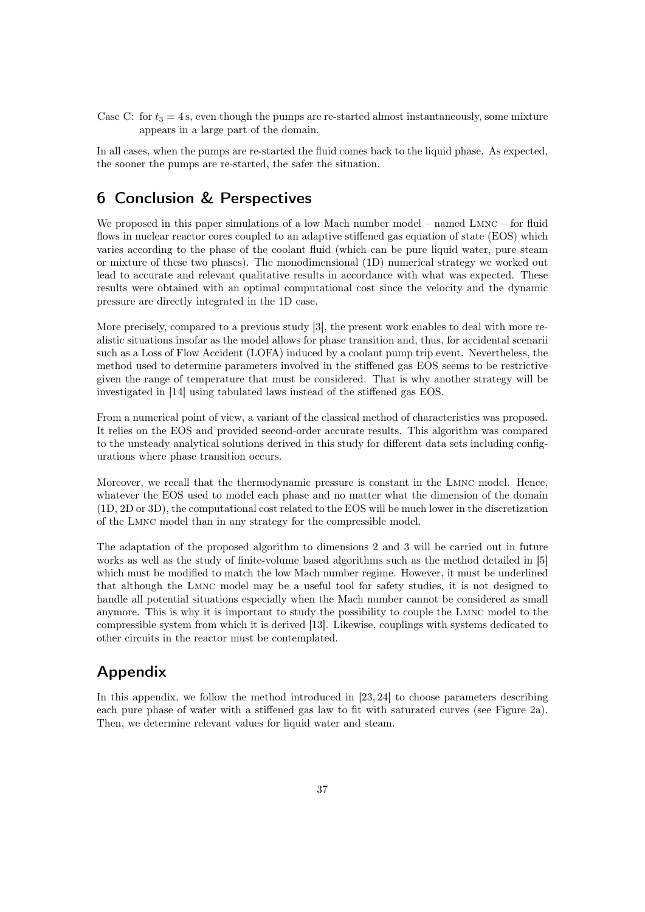<span id="page-36-0"></span>Case C: for  $t_3 = 4$  s, even though the pumps are re-started almost instantaneously, some mixture appears in a large part of the domain.

In all cases, when the pumps are re-started the fluid comes back to the liquid phase. As expected, the sooner the pumps are re-started, the safer the situation.

# 6 Conclusion & Perspectives

We proposed in this paper simulations of a low Mach number model – named LMNC – for fluid flows in nuclear reactor cores coupled to an adaptive stiffened gas equation of state (EOS) which varies according to the phase of the coolant fluid (which can be pure liquid water, pure steam or mixture of these two phases). The monodimensional (1D) numerical strategy we worked out lead to accurate and relevant qualitative results in accordance with what was expected. These results were obtained with an optimal computational cost since the velocity and the dynamic pressure are directly integrated in the 1D case.

More precisely, compared to a previous study [\[3\]](#page-40-8), the present work enables to deal with more realistic situations insofar as the model allows for phase transition and, thus, for accidental scenarii such as a Loss of Flow Accident (LOFA) induced by a coolant pump trip event. Nevertheless, the method used to determine parameters involved in the stiffened gas EOS seems to be restrictive given the range of temperature that must be considered. That is why another strategy will be investigated in [\[14\]](#page-40-16) using tabulated laws instead of the stiffened gas EOS.

From a numerical point of view, a variant of the classical method of characteristics was proposed. It relies on the EOS and provided second-order accurate results. This algorithm was compared to the unsteady analytical solutions derived in this study for different data sets including configurations where phase transition occurs.

Moreover, we recall that the thermodynamic pressure is constant in the Lmnc model. Hence, whatever the EOS used to model each phase and no matter what the dimension of the domain (1D, 2D or 3D), the computational cost related to the EOS will be much lower in the discretization of the Lmnc model than in any strategy for the compressible model.

The adaptation of the proposed algorithm to dimensions 2 and 3 will be carried out in future works as well as the study of finite-volume based algorithms such as the method detailed in [\[5\]](#page-40-10) which must be modified to match the low Mach number regime. However, it must be underlined that although the Lmnc model may be a useful tool for safety studies, it is not designed to handle all potential situations especially when the Mach number cannot be considered as small anymore. This is why it is important to study the possibility to couple the Lmnc model to the compressible system from which it is derived [\[13\]](#page-40-17). Likewise, couplings with systems dedicated to other circuits in the reactor must be contemplated.

# Appendix

In this appendix, we follow the method introduced in [\[23,](#page-41-6) [24\]](#page-41-10) to choose parameters describing each pure phase of water with a stiffened gas law to fit with saturated curves (see Figure [2a\)](#page-8-0). Then, we determine relevant values for liquid water and steam.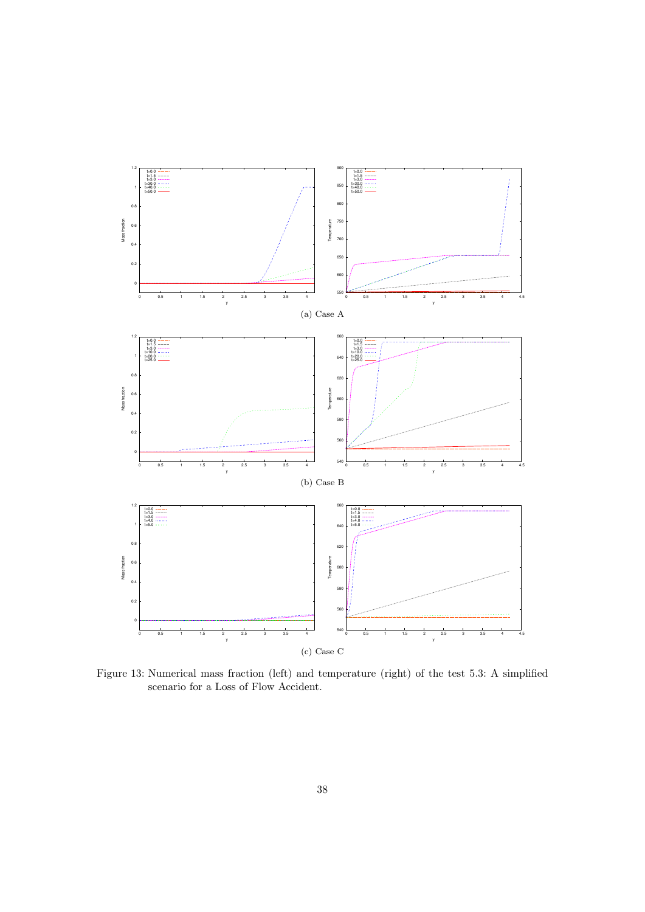<span id="page-37-0"></span>

Figure 13: Numerical mass fraction (left) and temperature (right) of the test [5.3: A simplified](#page-35-0) [scenario for a Loss of Flow Accident.](#page-35-0)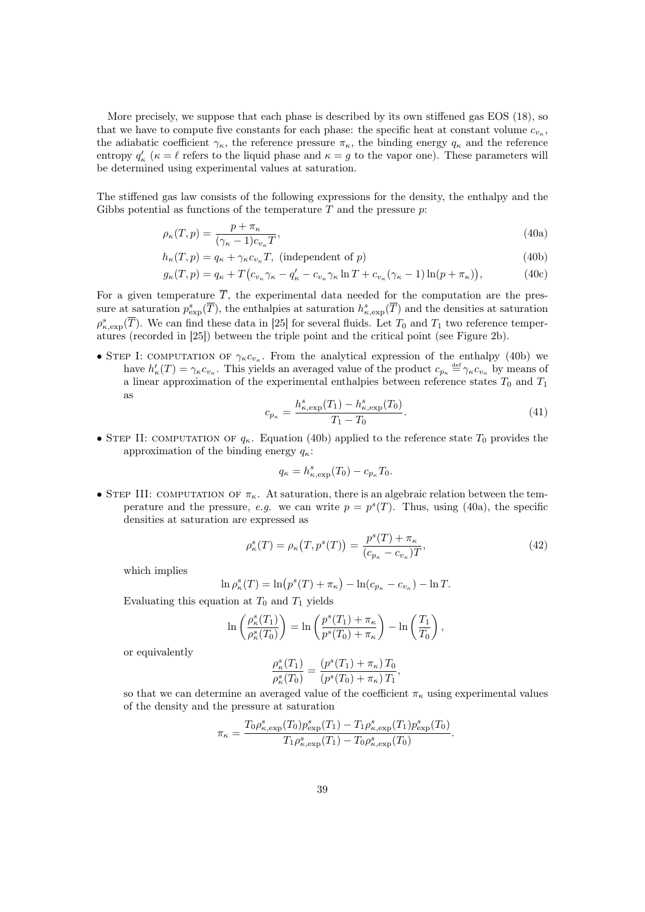More precisely, we suppose that each phase is described by its own stiffened gas EOS [\(18\)](#page-11-1), so that we have to compute five constants for each phase: the specific heat at constant volume  $c_{v_{\kappa}}$ , the adiabatic coefficient  $\gamma_{\kappa}$ , the reference pressure  $\pi_{\kappa}$ , the binding energy  $q_{\kappa}$  and the reference entropy  $q'_{\kappa}$  ( $\kappa = \ell$  refers to the liquid phase and  $\kappa = g$  to the vapor one). These parameters will be determined using experimental values at saturation.

The stiffened gas law consists of the following expressions for the density, the enthalpy and the Gibbs potential as functions of the temperature  $T$  and the pressure  $p$ :

$$
\rho_{\kappa}(T, p) = \frac{p + \pi_{\kappa}}{(\gamma_{\kappa} - 1)c_{v_{\kappa}}T},\tag{40a}
$$

$$
h_{\kappa}(T, p) = q_{\kappa} + \gamma_{\kappa} c_{v_{\kappa}} T, \text{ (independent of } p)
$$
\n
$$
(40b)
$$

$$
g_{\kappa}(T, p) = q_{\kappa} + T\big(c_{v_{\kappa}}\gamma_{\kappa} - q_{\kappa}' - c_{v_{\kappa}}\gamma_{\kappa}\ln T + c_{v_{\kappa}}(\gamma_{\kappa} - 1)\ln(p + \pi_{\kappa})\big),\tag{40c}
$$

For a given temperature  $\overline{T}$ , the experimental data needed for the computation are the pressure at saturation  $p_{\text{exp}}^s(\overline{T})$ , the enthalpies at saturation  $h_{\kappa,\text{exp}}^s(\overline{T})$  and the densities at saturation  $\rho_{\kappa,\text{exp}}^s(\overline{T})$ . We can find these data in [\[25\]](#page-41-4) for several fluids. Let  $T_0$  and  $T_1$  two reference temperatures (recorded in [\[25\]](#page-41-4)) between the triple point and the critical point (see Figure [2b\)](#page-8-1).

• STEP I: COMPUTATION OF  $\gamma_{\kappa}c_{v_{\kappa}}$ . From the analytical expression of the enthalpy [\(40b\)](#page-38-0) we have  $h'_{\kappa}(T) = \gamma_{\kappa} c_{v_{\kappa}}$ . This yields an averaged value of the product  $c_{p_{\kappa}} \stackrel{\text{def}}{=} \gamma_{\kappa} c_{v_{\kappa}}$  by means of a linear approximation of the experimental enthalpies between reference states  $T_0$  and  $T_1$ as

<span id="page-38-4"></span><span id="page-38-3"></span><span id="page-38-1"></span><span id="page-38-0"></span>
$$
c_{p_{\kappa}} = \frac{h_{\kappa,\exp}^s(T_1) - h_{\kappa,\exp}^s(T_0)}{T_1 - T_0}.
$$
\n(41)

• STEP II: COMPUTATION OF  $q_{\kappa}$ . Equation [\(40b\)](#page-38-0) applied to the reference state  $T_0$  provides the approximation of the binding energy  $q_{\kappa}$ :

$$
q_{\kappa} = h_{\kappa, \exp}^s(T_0) - c_{p_{\kappa}} T_0.
$$

• STEP III: COMPUTATION OF  $\pi_{\kappa}$ . At saturation, there is an algebraic relation between the temperature and the pressure, e.g. we can write  $p = p<sup>s</sup>(T)$ . Thus, using [\(40a\)](#page-38-1), the specific densities at saturation are expressed as

<span id="page-38-2"></span>
$$
\rho_{\kappa}^{s}(T) = \rho_{\kappa}(T, p^{s}(T)) = \frac{p^{s}(T) + \pi_{\kappa}}{(c_{p_{\kappa}} - c_{v_{\kappa}})T},
$$
\n(42)

which implies

$$
\ln \rho_{\kappa}^{s}(T) = \ln (p^{s}(T) + \pi_{\kappa}) - \ln (c_{p_{\kappa}} - c_{v_{\kappa}}) - \ln T.
$$

Evaluating this equation at  $T_0$  and  $T_1$  yields

$$
\ln\left(\frac{\rho^s_\kappa(T_1)}{\rho^s_\kappa(T_0)}\right) = \ln\left(\frac{p^s(T_1) + \pi_\kappa}{p^s(T_0) + \pi_\kappa}\right) - \ln\left(\frac{T_1}{T_0}\right),
$$

or equivalently

$$
\frac{\rho_{\kappa}^{s}(T_1)}{\rho_{\kappa}^{s}(T_0)} = \frac{(p^{s}(T_1) + \pi_{\kappa}) T_0}{(p^{s}(T_0) + \pi_{\kappa}) T_1},
$$

so that we can determine an averaged value of the coefficient  $\pi_{\kappa}$  using experimental values of the density and the pressure at saturation

$$
\pi_{\kappa} = \frac{T_0 \rho_{\kappa, \text{exp}}^s(T_0) p_{\text{exp}}^s(T_1) - T_1 \rho_{\kappa, \text{exp}}^s(T_1) p_{\text{exp}}^s(T_0)}{T_1 \rho_{\kappa, \text{exp}}^s(T_1) - T_0 \rho_{\kappa, \text{exp}}^s(T_0)}.
$$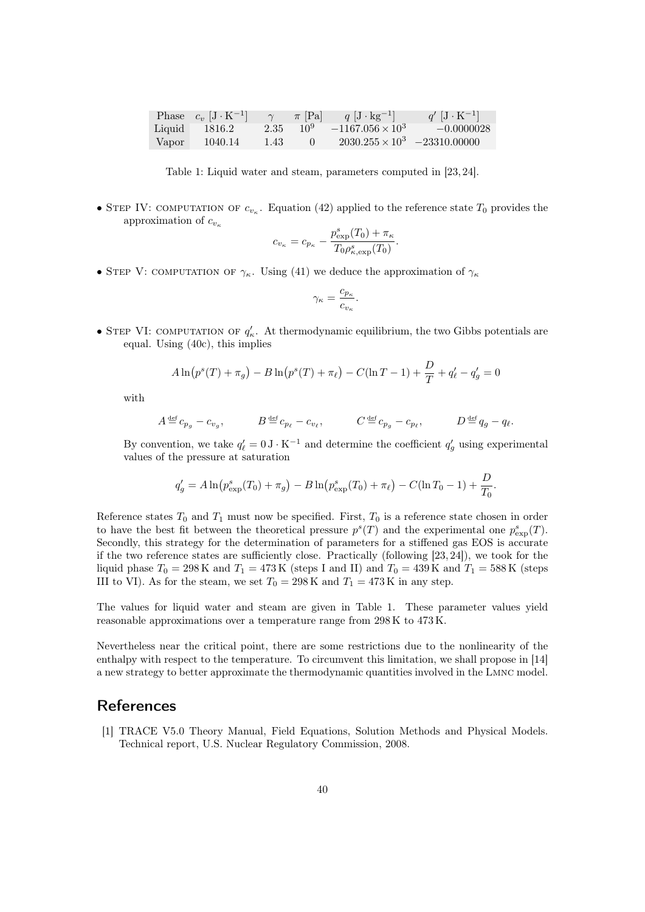|        | Phase $c_v$ $[J K^{-1}]$ | $\gamma$ | $\pi$  Pa       | $q \left[ \text{J} \cdot \text{kg}^{-1} \right]$ | $q'$ $[J \cdot K^{-1}]$ |
|--------|--------------------------|----------|-----------------|--------------------------------------------------|-------------------------|
| Liquid | 1816.2                   | 2.35     | 10 <sup>9</sup> | $-1167.056 \times 10^{3}$                        | $-0.0000028$            |
| Vapor  | 1040.14                  | 1.43     |                 | $2030.255 \times 10^3$ $-23310.00000$            |                         |

Table 1: Liquid water and steam, parameters computed in [\[23,](#page-41-6) [24\]](#page-41-10).

• STEP IV: COMPUTATION OF  $c_{v_{\kappa}}$ . Equation [\(42\)](#page-38-2) applied to the reference state  $T_0$  provides the approximation of  $c_{v_{\kappa}}$ 

$$
c_{v_{\kappa}} = c_{p_{\kappa}} - \frac{p_{\exp}^s(T_0) + \pi_{\kappa}}{T_0 \rho_{\kappa,\exp}^s(T_0)}.
$$

• STEP V: COMPUTATION OF  $\gamma_{\kappa}$ . Using [\(41\)](#page-38-3) we deduce the approximation of  $\gamma_{\kappa}$ 

$$
\gamma_{\kappa} = \frac{c_{p_{\kappa}}}{c_{v_{\kappa}}}.
$$

• STEP VI: COMPUTATION OF  $q'_{\kappa}$ . At thermodynamic equilibrium, the two Gibbs potentials are equal. Using [\(40c\)](#page-38-4), this implies

$$
A\ln(p^{s}(T) + \pi_{g}) - B\ln(p^{s}(T) + \pi_{\ell}) - C(\ln T - 1) + \frac{D}{T} + q'_{\ell} - q'_{g} = 0
$$

with

$$
A \stackrel{\text{def}}{=} c_{p_g} - c_{v_g}, \qquad B \stackrel{\text{def}}{=} c_{p_\ell} - c_{v_\ell}, \qquad C \stackrel{\text{def}}{=} c_{p_g} - c_{p_\ell}, \qquad D \stackrel{\text{def}}{=} q_g - q_\ell.
$$

By convention, we take  $q'_{\ell} = 0 \text{ J} \cdot \text{K}^{-1}$  and determine the coefficient  $q'_{g}$  using experimental values of the pressure at saturation

$$
q'_{g} = A \ln \left( p_{\exp}^{s}(T_0) + \pi_g \right) - B \ln \left( p_{\exp}^{s}(T_0) + \pi_{\ell} \right) - C(\ln T_0 - 1) + \frac{D}{T_0}.
$$

Reference states  $T_0$  and  $T_1$  must now be specified. First,  $T_0$  is a reference state chosen in order to have the best fit between the theoretical pressure  $p^{s}(T)$  and the experimental one  $p^{s}_{exp}(T)$ . Secondly, this strategy for the determination of parameters for a stiffened gas EOS is accurate if the two reference states are sufficiently close. Practically (following [\[23,](#page-41-6) [24\]](#page-41-10)), we took for the liquid phase  $T_0 = 298 \text{ K}$  and  $T_1 = 473 \text{ K}$  (steps I and II) and  $T_0 = 439 \text{ K}$  and  $T_1 = 588 \text{ K}$  (steps III to VI). As for the steam, we set  $T_0 = 298 \text{ K}$  and  $T_1 = 473 \text{ K}$  in any step.

The values for liquid water and steam are given in Table [1.](#page-0-2) These parameter values yield reasonable approximations over a temperature range from 298 K to 473 K.

Nevertheless near the critical point, there are some restrictions due to the nonlinearity of the enthalpy with respect to the temperature. To circumvent this limitation, we shall propose in [\[14\]](#page-40-16) a new strategy to better approximate the thermodynamic quantities involved in the Lmnc model.

# **References**

<span id="page-39-0"></span>[1] TRACE V5.0 Theory Manual, Field Equations, Solution Methods and Physical Models. Technical report, U.S. Nuclear Regulatory Commission, 2008.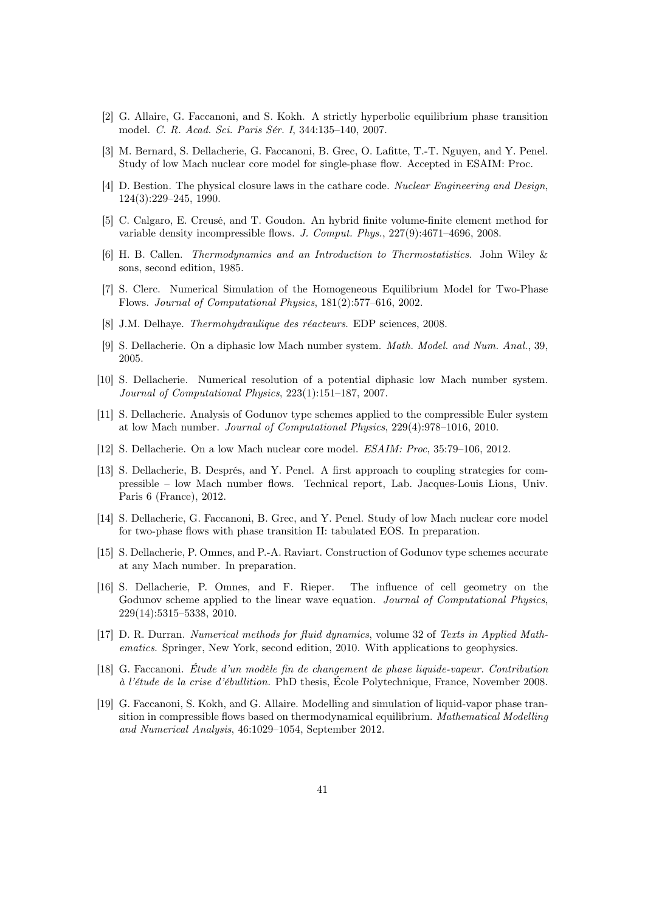- <span id="page-40-13"></span>[2] G. Allaire, G. Faccanoni, and S. Kokh. A strictly hyperbolic equilibrium phase transition model. C. R. Acad. Sci. Paris Sér. I, 344:135–140, 2007.
- <span id="page-40-8"></span>[3] M. Bernard, S. Dellacherie, G. Faccanoni, B. Grec, O. Lafitte, T.-T. Nguyen, and Y. Penel. Study of low Mach nuclear core model for single-phase flow. Accepted in ESAIM: Proc.
- <span id="page-40-1"></span>[4] D. Bestion. The physical closure laws in the cathare code. Nuclear Engineering and Design, 124(3):229–245, 1990.
- <span id="page-40-10"></span>[5] C. Calgaro, E. Creusé, and T. Goudon. An hybrid finite volume-finite element method for variable density incompressible flows. J. Comput. Phys., 227(9):4671–4696, 2008.
- <span id="page-40-11"></span>[6] H. B. Callen. Thermodynamics and an Introduction to Thermostatistics. John Wiley & sons, second edition, 1985.
- <span id="page-40-9"></span>[7] S. Clerc. Numerical Simulation of the Homogeneous Equilibrium Model for Two-Phase Flows. Journal of Computational Physics, 181(2):577–616, 2002.
- <span id="page-40-0"></span>[8] J.M. Delhaye. Thermohydraulique des réacteurs. EDP sciences, 2008.
- <span id="page-40-6"></span>[9] S. Dellacherie. On a diphasic low Mach number system. Math. Model. and Num. Anal., 39, 2005.
- <span id="page-40-7"></span>[10] S. Dellacherie. Numerical resolution of a potential diphasic low Mach number system. Journal of Computational Physics, 223(1):151–187, 2007.
- <span id="page-40-2"></span>[11] S. Dellacherie. Analysis of Godunov type schemes applied to the compressible Euler system at low Mach number. Journal of Computational Physics, 229(4):978–1016, 2010.
- <span id="page-40-5"></span>[12] S. Dellacherie. On a low Mach nuclear core model. ESAIM: Proc, 35:79–106, 2012.
- <span id="page-40-17"></span>[13] S. Dellacherie, B. Després, and Y. Penel. A first approach to coupling strategies for compressible – low Mach number flows. Technical report, Lab. Jacques-Louis Lions, Univ. Paris 6 (France), 2012.
- <span id="page-40-16"></span>[14] S. Dellacherie, G. Faccanoni, B. Grec, and Y. Penel. Study of low Mach nuclear core model for two-phase flows with phase transition II: tabulated EOS. In preparation.
- <span id="page-40-3"></span>[15] S. Dellacherie, P. Omnes, and P.-A. Raviart. Construction of Godunov type schemes accurate at any Mach number. In preparation.
- <span id="page-40-4"></span>[16] S. Dellacherie, P. Omnes, and F. Rieper. The influence of cell geometry on the Godunov scheme applied to the linear wave equation. Journal of Computational Physics, 229(14):5315–5338, 2010.
- <span id="page-40-15"></span>[17] D. R. Durran. Numerical methods for fluid dynamics, volume 32 of Texts in Applied Mathematics. Springer, New York, second edition, 2010. With applications to geophysics.
- <span id="page-40-12"></span>[18] G. Faccanoni. Étude d'un modèle fin de changement de phase liquide-vapeur. Contribution à l'étude de la crise d'ébullition. PhD thesis, École Polytechnique, France, November 2008.
- <span id="page-40-14"></span>[19] G. Faccanoni, S. Kokh, and G. Allaire. Modelling and simulation of liquid-vapor phase transition in compressible flows based on thermodynamical equilibrium. Mathematical Modelling and Numerical Analysis, 46:1029–1054, September 2012.